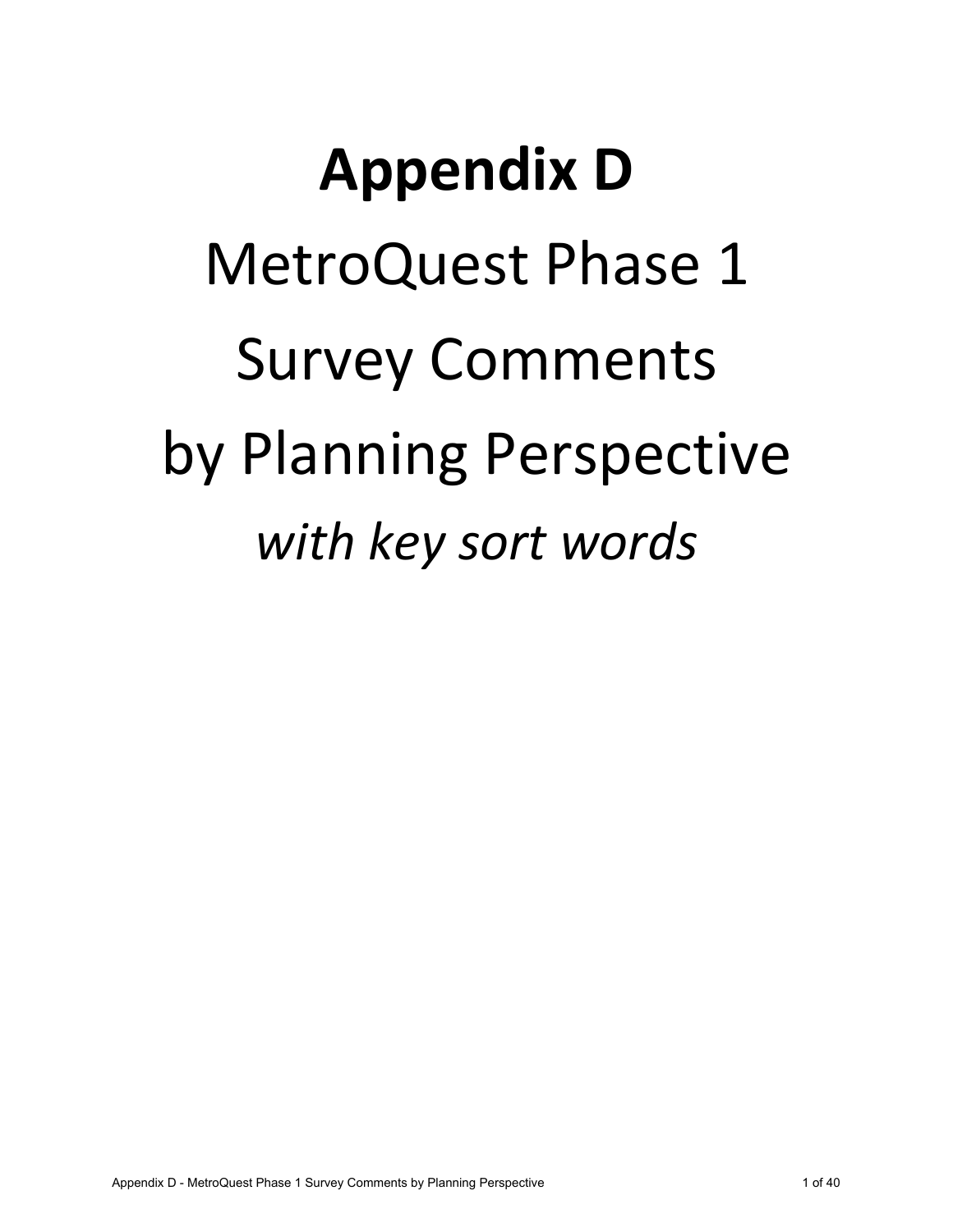## **Appendix D** MetroQuest Phase 1 Survey Comments by Planning Perspective *with key sort words*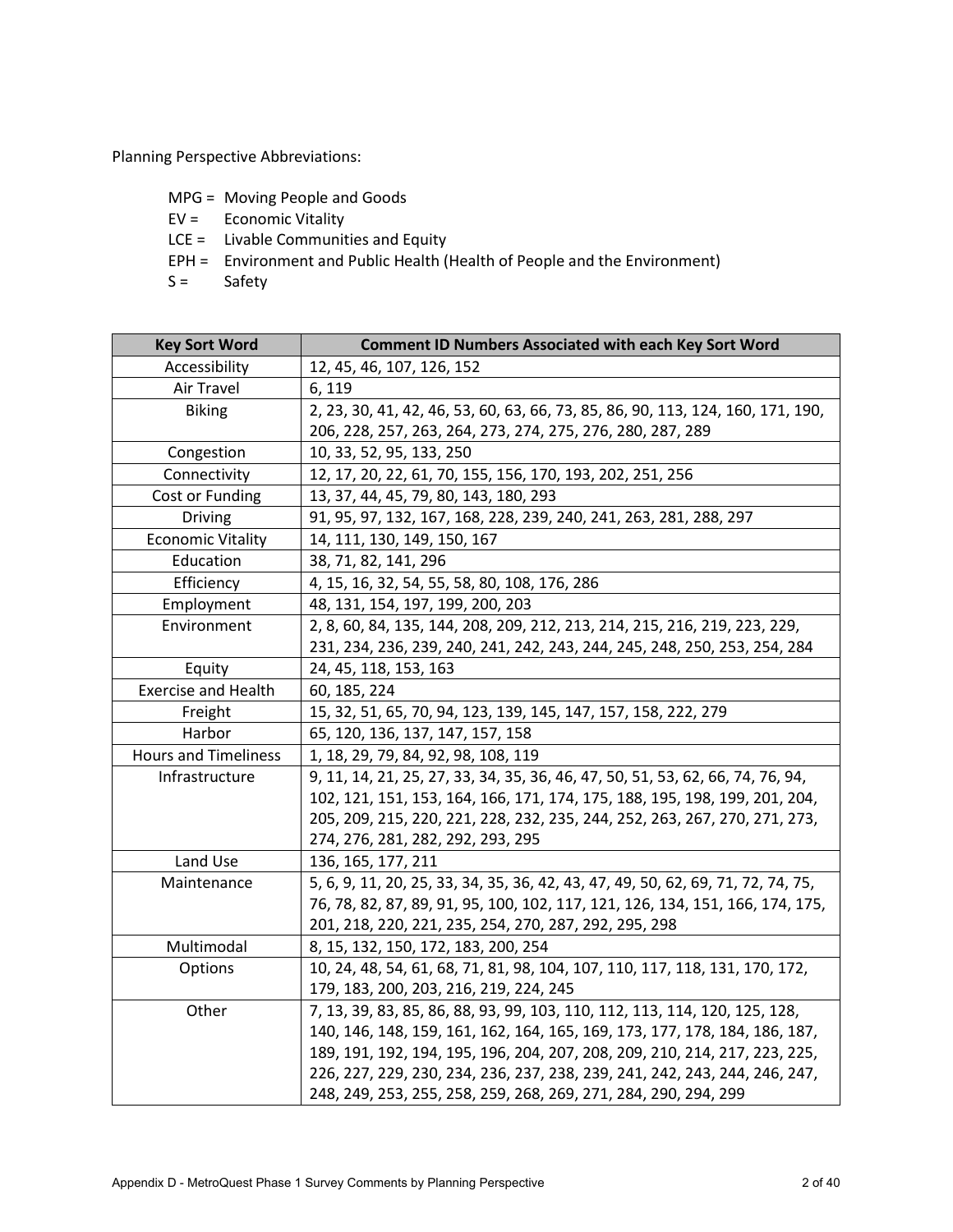Planning Perspective Abbreviations:

- MPG = Moving People and Goods
- EV = Economic Vitality
- LCE = Livable Communities and Equity
- EPH = Environment and Public Health (Health of People and the Environment)
- $S =$  Safety

| <b>Key Sort Word</b>        | <b>Comment ID Numbers Associated with each Key Sort Word</b>                     |
|-----------------------------|----------------------------------------------------------------------------------|
| Accessibility               | 12, 45, 46, 107, 126, 152                                                        |
| Air Travel                  | 6, 119                                                                           |
| <b>Biking</b>               | 2, 23, 30, 41, 42, 46, 53, 60, 63, 66, 73, 85, 86, 90, 113, 124, 160, 171, 190,  |
|                             | 206, 228, 257, 263, 264, 273, 274, 275, 276, 280, 287, 289                       |
| Congestion                  | 10, 33, 52, 95, 133, 250                                                         |
| Connectivity                | 12, 17, 20, 22, 61, 70, 155, 156, 170, 193, 202, 251, 256                        |
| Cost or Funding             | 13, 37, 44, 45, 79, 80, 143, 180, 293                                            |
| <b>Driving</b>              | 91, 95, 97, 132, 167, 168, 228, 239, 240, 241, 263, 281, 288, 297                |
| <b>Economic Vitality</b>    | 14, 111, 130, 149, 150, 167                                                      |
| Education                   | 38, 71, 82, 141, 296                                                             |
| Efficiency                  | 4, 15, 16, 32, 54, 55, 58, 80, 108, 176, 286                                     |
| Employment                  | 48, 131, 154, 197, 199, 200, 203                                                 |
| Environment                 | 2, 8, 60, 84, 135, 144, 208, 209, 212, 213, 214, 215, 216, 219, 223, 229,        |
|                             | 231, 234, 236, 239, 240, 241, 242, 243, 244, 245, 248, 250, 253, 254, 284        |
| Equity                      | 24, 45, 118, 153, 163                                                            |
| <b>Exercise and Health</b>  | 60, 185, 224                                                                     |
| Freight                     | 15, 32, 51, 65, 70, 94, 123, 139, 145, 147, 157, 158, 222, 279                   |
| Harbor                      | 65, 120, 136, 137, 147, 157, 158                                                 |
| <b>Hours and Timeliness</b> | 1, 18, 29, 79, 84, 92, 98, 108, 119                                              |
| Infrastructure              | 9, 11, 14, 21, 25, 27, 33, 34, 35, 36, 46, 47, 50, 51, 53, 62, 66, 74, 76, 94,   |
|                             | 102, 121, 151, 153, 164, 166, 171, 174, 175, 188, 195, 198, 199, 201, 204,       |
|                             | 205, 209, 215, 220, 221, 228, 232, 235, 244, 252, 263, 267, 270, 271, 273,       |
|                             | 274, 276, 281, 282, 292, 293, 295                                                |
| Land Use                    | 136, 165, 177, 211                                                               |
| Maintenance                 | 5, 6, 9, 11, 20, 25, 33, 34, 35, 36, 42, 43, 47, 49, 50, 62, 69, 71, 72, 74, 75, |
|                             | 76, 78, 82, 87, 89, 91, 95, 100, 102, 117, 121, 126, 134, 151, 166, 174, 175,    |
|                             | 201, 218, 220, 221, 235, 254, 270, 287, 292, 295, 298                            |
| Multimodal                  | 8, 15, 132, 150, 172, 183, 200, 254                                              |
| Options                     | 10, 24, 48, 54, 61, 68, 71, 81, 98, 104, 107, 110, 117, 118, 131, 170, 172,      |
|                             | 179, 183, 200, 203, 216, 219, 224, 245                                           |
| Other                       | 7, 13, 39, 83, 85, 86, 88, 93, 99, 103, 110, 112, 113, 114, 120, 125, 128,       |
|                             | 140, 146, 148, 159, 161, 162, 164, 165, 169, 173, 177, 178, 184, 186, 187,       |
|                             | 189, 191, 192, 194, 195, 196, 204, 207, 208, 209, 210, 214, 217, 223, 225,       |
|                             | 226, 227, 229, 230, 234, 236, 237, 238, 239, 241, 242, 243, 244, 246, 247,       |
|                             | 248, 249, 253, 255, 258, 259, 268, 269, 271, 284, 290, 294, 299                  |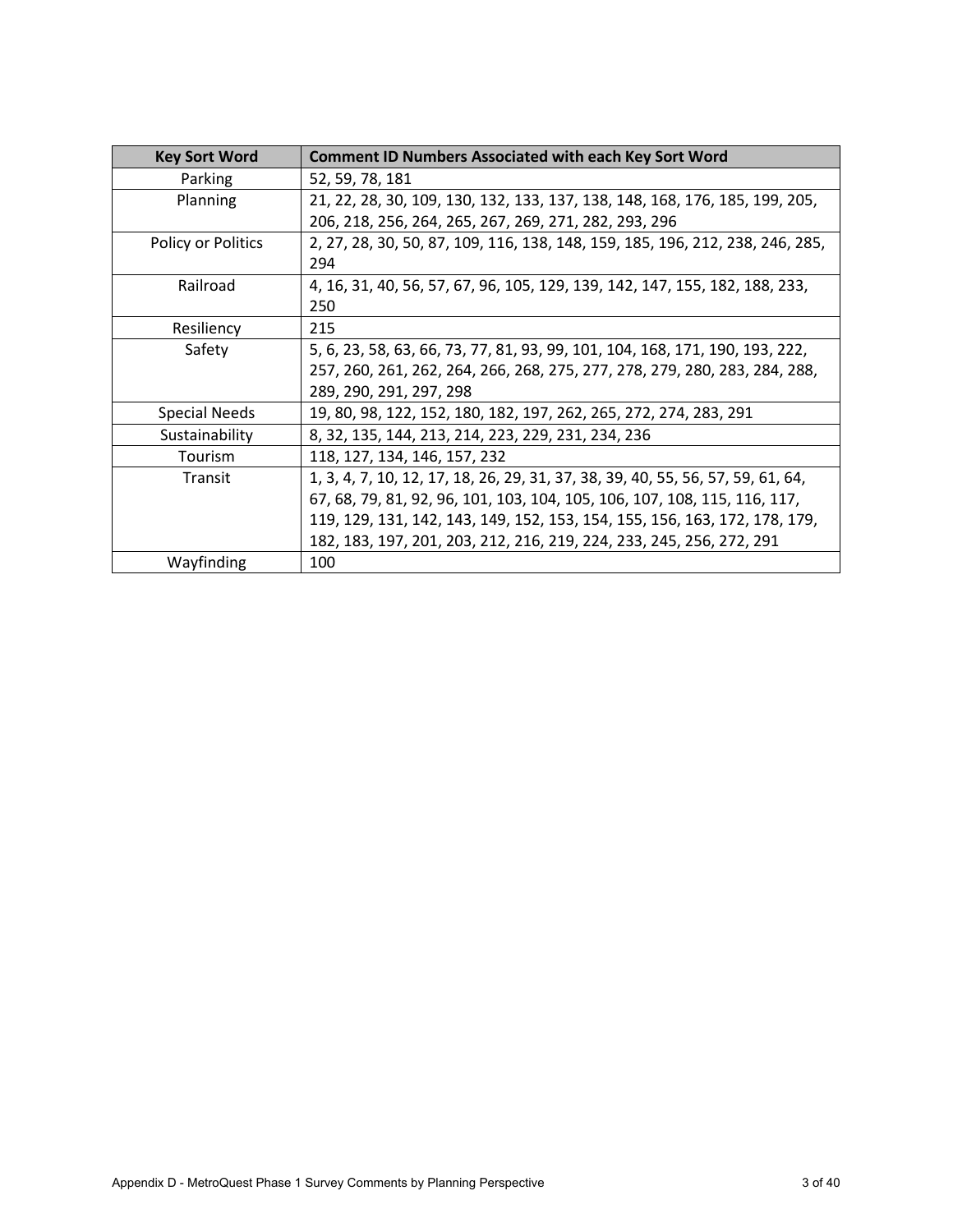| <b>Key Sort Word</b> | <b>Comment ID Numbers Associated with each Key Sort Word</b>                    |
|----------------------|---------------------------------------------------------------------------------|
| Parking              | 52, 59, 78, 181                                                                 |
| Planning             | 21, 22, 28, 30, 109, 130, 132, 133, 137, 138, 148, 168, 176, 185, 199, 205,     |
|                      | 206, 218, 256, 264, 265, 267, 269, 271, 282, 293, 296                           |
| Policy or Politics   | 2, 27, 28, 30, 50, 87, 109, 116, 138, 148, 159, 185, 196, 212, 238, 246, 285,   |
|                      | 294                                                                             |
| Railroad             | 4, 16, 31, 40, 56, 57, 67, 96, 105, 129, 139, 142, 147, 155, 182, 188, 233,     |
|                      | 250                                                                             |
| Resiliency           | 215                                                                             |
| Safety               | 5, 6, 23, 58, 63, 66, 73, 77, 81, 93, 99, 101, 104, 168, 171, 190, 193, 222,    |
|                      | 257, 260, 261, 262, 264, 266, 268, 275, 277, 278, 279, 280, 283, 284, 288,      |
|                      | 289, 290, 291, 297, 298                                                         |
| <b>Special Needs</b> | 19, 80, 98, 122, 152, 180, 182, 197, 262, 265, 272, 274, 283, 291               |
| Sustainability       | 8, 32, 135, 144, 213, 214, 223, 229, 231, 234, 236                              |
| Tourism              | 118, 127, 134, 146, 157, 232                                                    |
| Transit              | 1, 3, 4, 7, 10, 12, 17, 18, 26, 29, 31, 37, 38, 39, 40, 55, 56, 57, 59, 61, 64, |
|                      | 67, 68, 79, 81, 92, 96, 101, 103, 104, 105, 106, 107, 108, 115, 116, 117,       |
|                      | 119, 129, 131, 142, 143, 149, 152, 153, 154, 155, 156, 163, 172, 178, 179,      |
|                      | 182, 183, 197, 201, 203, 212, 216, 219, 224, 233, 245, 256, 272, 291            |
| Wayfinding           | 100                                                                             |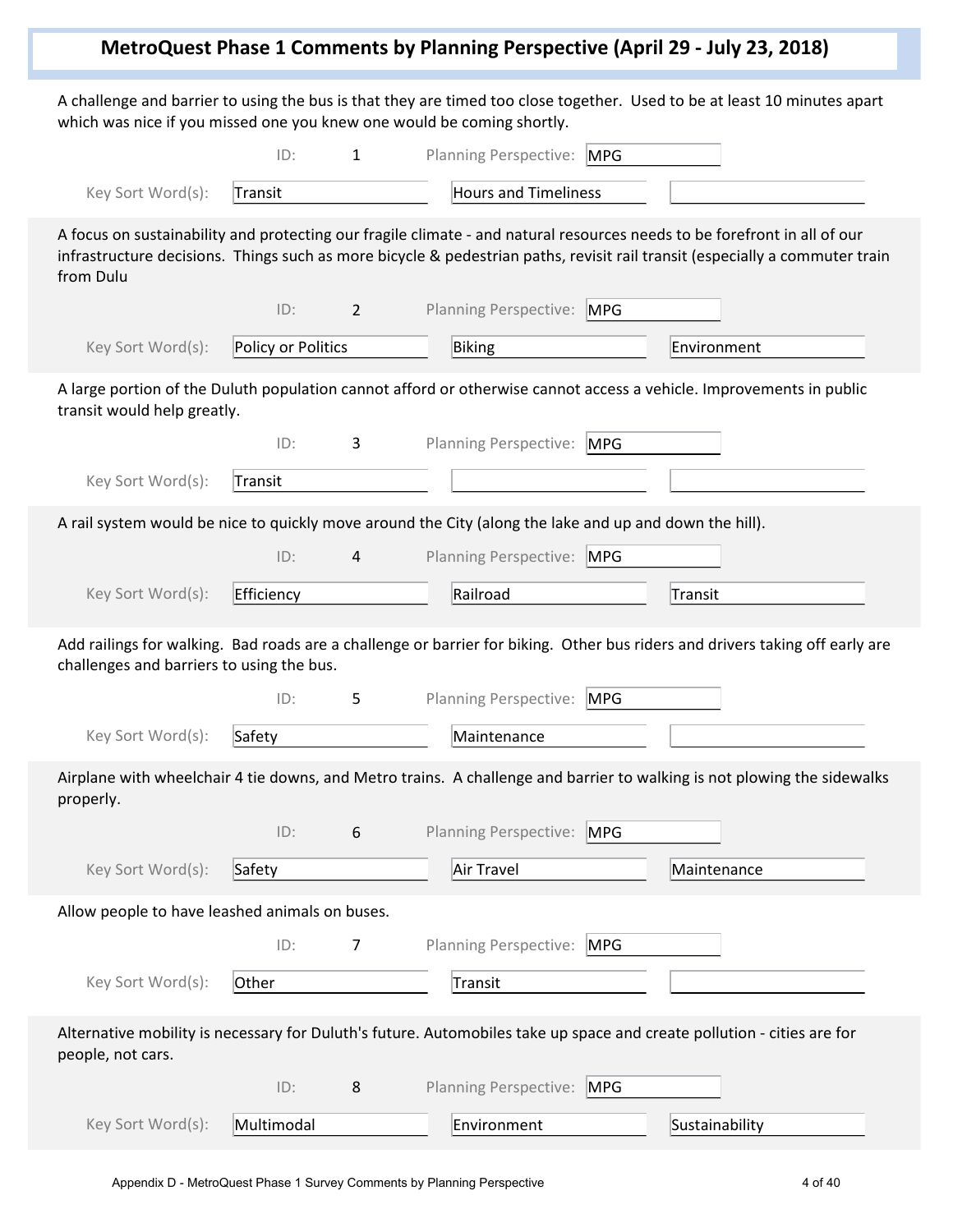## **MetroQuest Phase 1 Comments by Planning Perspective (April 29 - July 23, 2018)**

A challenge and barrier to using the bus is that they are timed too close together. Used to be at least 10 minutes apart which was nice if you missed one you knew one would be coming shortly.

|                                                                                                        | ID:                | $\mathbf{1}$   | Planning Perspective: MPG    |            |                                                                                                                                                                                                                                                         |
|--------------------------------------------------------------------------------------------------------|--------------------|----------------|------------------------------|------------|---------------------------------------------------------------------------------------------------------------------------------------------------------------------------------------------------------------------------------------------------------|
| Key Sort Word(s):                                                                                      | Transit            |                | <b>Hours and Timeliness</b>  |            |                                                                                                                                                                                                                                                         |
| from Dulu                                                                                              |                    |                |                              |            | A focus on sustainability and protecting our fragile climate - and natural resources needs to be forefront in all of our<br>infrastructure decisions. Things such as more bicycle & pedestrian paths, revisit rail transit (especially a commuter train |
|                                                                                                        | ID:                | $\overline{2}$ | <b>Planning Perspective:</b> | <b>MPG</b> |                                                                                                                                                                                                                                                         |
| Key Sort Word(s):                                                                                      | Policy or Politics |                | Biking                       |            | Environment                                                                                                                                                                                                                                             |
| transit would help greatly.                                                                            |                    |                |                              |            | A large portion of the Duluth population cannot afford or otherwise cannot access a vehicle. Improvements in public                                                                                                                                     |
|                                                                                                        | ID:                | 3              | <b>Planning Perspective:</b> | <b>MPG</b> |                                                                                                                                                                                                                                                         |
| Key Sort Word(s):                                                                                      | Transit            |                |                              |            |                                                                                                                                                                                                                                                         |
| A rail system would be nice to quickly move around the City (along the lake and up and down the hill). |                    |                |                              |            |                                                                                                                                                                                                                                                         |
|                                                                                                        | ID:                | 4              | <b>Planning Perspective:</b> | <b>MPG</b> |                                                                                                                                                                                                                                                         |
| Key Sort Word(s):                                                                                      | Efficiency         |                | Railroad                     |            | <b>Transit</b>                                                                                                                                                                                                                                          |
| challenges and barriers to using the bus.                                                              |                    |                |                              |            | Add railings for walking. Bad roads are a challenge or barrier for biking. Other bus riders and drivers taking off early are                                                                                                                            |
|                                                                                                        | ID:                | 5              | <b>Planning Perspective:</b> | MPG        |                                                                                                                                                                                                                                                         |
| Key Sort Word(s):                                                                                      | Safety             |                | Maintenance                  |            |                                                                                                                                                                                                                                                         |
| properly.                                                                                              |                    |                |                              |            | Airplane with wheelchair 4 tie downs, and Metro trains. A challenge and barrier to walking is not plowing the sidewalks                                                                                                                                 |
|                                                                                                        | ID:                | 6              | Planning Perspective: MPG    |            |                                                                                                                                                                                                                                                         |
| Key Sort Word(s):                                                                                      | Safety             |                | Air Travel                   |            | Maintenance                                                                                                                                                                                                                                             |
| Allow people to have leashed animals on buses.                                                         |                    |                |                              |            |                                                                                                                                                                                                                                                         |
|                                                                                                        | ID:                | 7              | <b>Planning Perspective:</b> | <b>MPG</b> |                                                                                                                                                                                                                                                         |
| Key Sort Word(s):                                                                                      | Other              |                | Transit                      |            |                                                                                                                                                                                                                                                         |
| people, not cars.                                                                                      |                    |                |                              |            | Alternative mobility is necessary for Duluth's future. Automobiles take up space and create pollution - cities are for                                                                                                                                  |
|                                                                                                        | ID:                | 8              | <b>Planning Perspective:</b> | MPG        |                                                                                                                                                                                                                                                         |
| Key Sort Word(s):                                                                                      | Multimodal         |                | Environment                  |            | Sustainability                                                                                                                                                                                                                                          |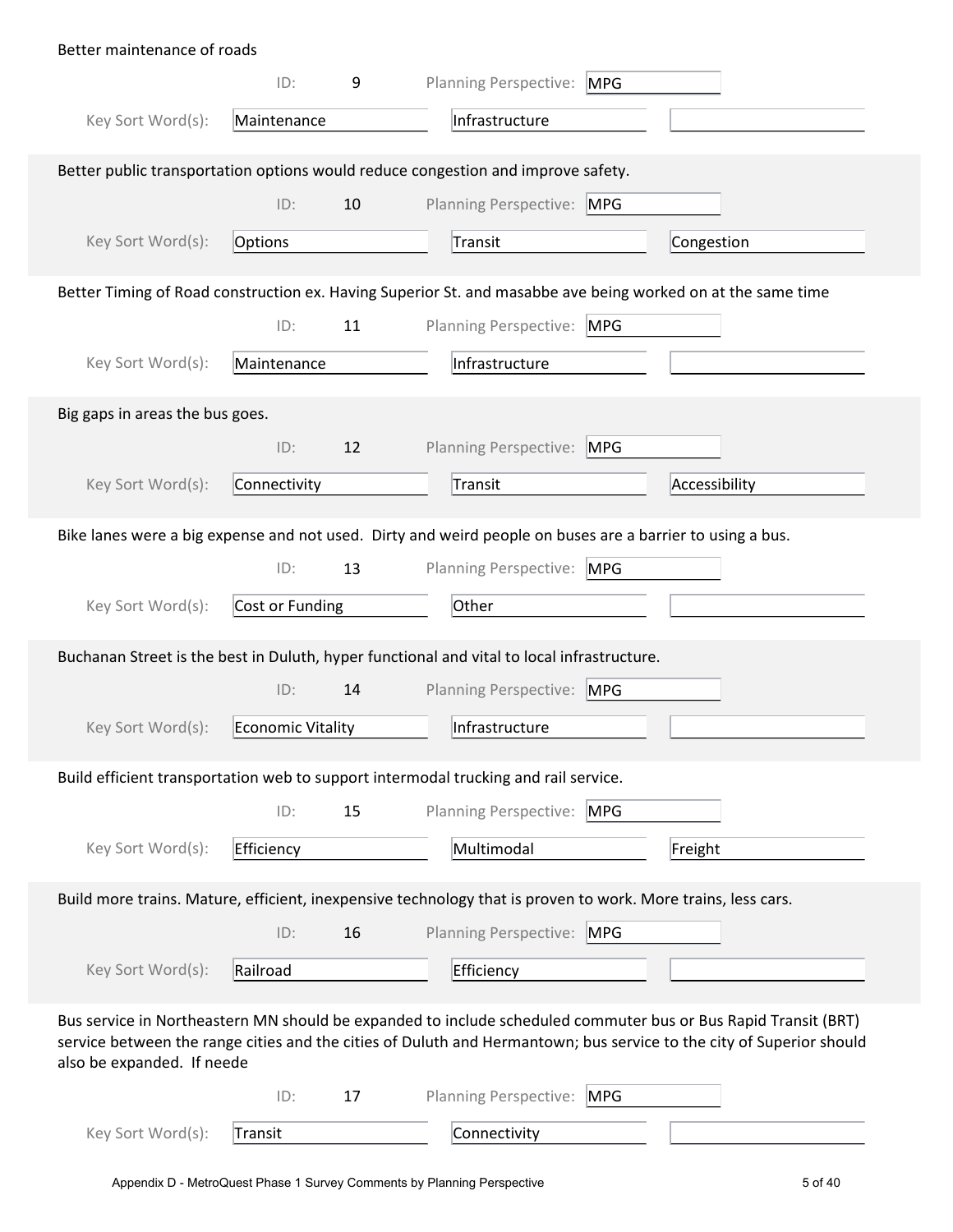| Better maintenance of roads     |                   |    |                                                                                                                                                                                                                                        |               |
|---------------------------------|-------------------|----|----------------------------------------------------------------------------------------------------------------------------------------------------------------------------------------------------------------------------------------|---------------|
|                                 | ID:               | 9  | Planning Perspective: MPG                                                                                                                                                                                                              |               |
| Key Sort Word(s):               | Maintenance       |    | Infrastructure                                                                                                                                                                                                                         |               |
|                                 |                   |    |                                                                                                                                                                                                                                        |               |
|                                 |                   |    | Better public transportation options would reduce congestion and improve safety.                                                                                                                                                       |               |
|                                 | ID:               | 10 | Planning Perspective: MPG                                                                                                                                                                                                              |               |
| Key Sort Word(s):               | Options           |    | Transit                                                                                                                                                                                                                                | Congestion    |
|                                 |                   |    | Better Timing of Road construction ex. Having Superior St. and masabbe ave being worked on at the same time                                                                                                                            |               |
|                                 | ID:               | 11 | Planning Perspective: MPG                                                                                                                                                                                                              |               |
| Key Sort Word(s):               | Maintenance       |    | Infrastructure                                                                                                                                                                                                                         |               |
| Big gaps in areas the bus goes. |                   |    |                                                                                                                                                                                                                                        |               |
|                                 | ID:               | 12 | Planning Perspective: MPG                                                                                                                                                                                                              |               |
| Key Sort Word(s):               | Connectivity      |    | Transit                                                                                                                                                                                                                                | Accessibility |
|                                 |                   |    |                                                                                                                                                                                                                                        |               |
|                                 |                   |    | Bike lanes were a big expense and not used. Dirty and weird people on buses are a barrier to using a bus.                                                                                                                              |               |
|                                 | ID:               | 13 | Planning Perspective: MPG                                                                                                                                                                                                              |               |
| Key Sort Word(s):               | Cost or Funding   |    | Other                                                                                                                                                                                                                                  |               |
|                                 |                   |    | Buchanan Street is the best in Duluth, hyper functional and vital to local infrastructure.                                                                                                                                             |               |
|                                 | ID:               | 14 | Planning Perspective: MPG                                                                                                                                                                                                              |               |
| Key Sort Word(s):               | Economic Vitality |    | Infrastructure                                                                                                                                                                                                                         |               |
|                                 |                   |    |                                                                                                                                                                                                                                        |               |
|                                 |                   |    | Build efficient transportation web to support intermodal trucking and rail service.                                                                                                                                                    |               |
|                                 | ID:               | 15 | Planning Perspective:<br><b>MPG</b>                                                                                                                                                                                                    |               |
| Key Sort Word(s):               | Efficiency        |    | Multimodal                                                                                                                                                                                                                             | Freight       |
|                                 |                   |    | Build more trains. Mature, efficient, inexpensive technology that is proven to work. More trains, less cars.                                                                                                                           |               |
|                                 | ID:               | 16 | Planning Perspective: MPG                                                                                                                                                                                                              |               |
| Key Sort Word(s):               | Railroad          |    | Efficiency                                                                                                                                                                                                                             |               |
|                                 |                   |    |                                                                                                                                                                                                                                        |               |
| also be expanded. If neede      |                   |    | Bus service in Northeastern MN should be expanded to include scheduled commuter bus or Bus Rapid Transit (BRT)<br>service between the range cities and the cities of Duluth and Hermantown; bus service to the city of Superior should |               |
|                                 | ID:               | 17 | Planning Perspective: MPG                                                                                                                                                                                                              |               |
| Key Sort Word(s):               | Transit           |    | Connectivity                                                                                                                                                                                                                           |               |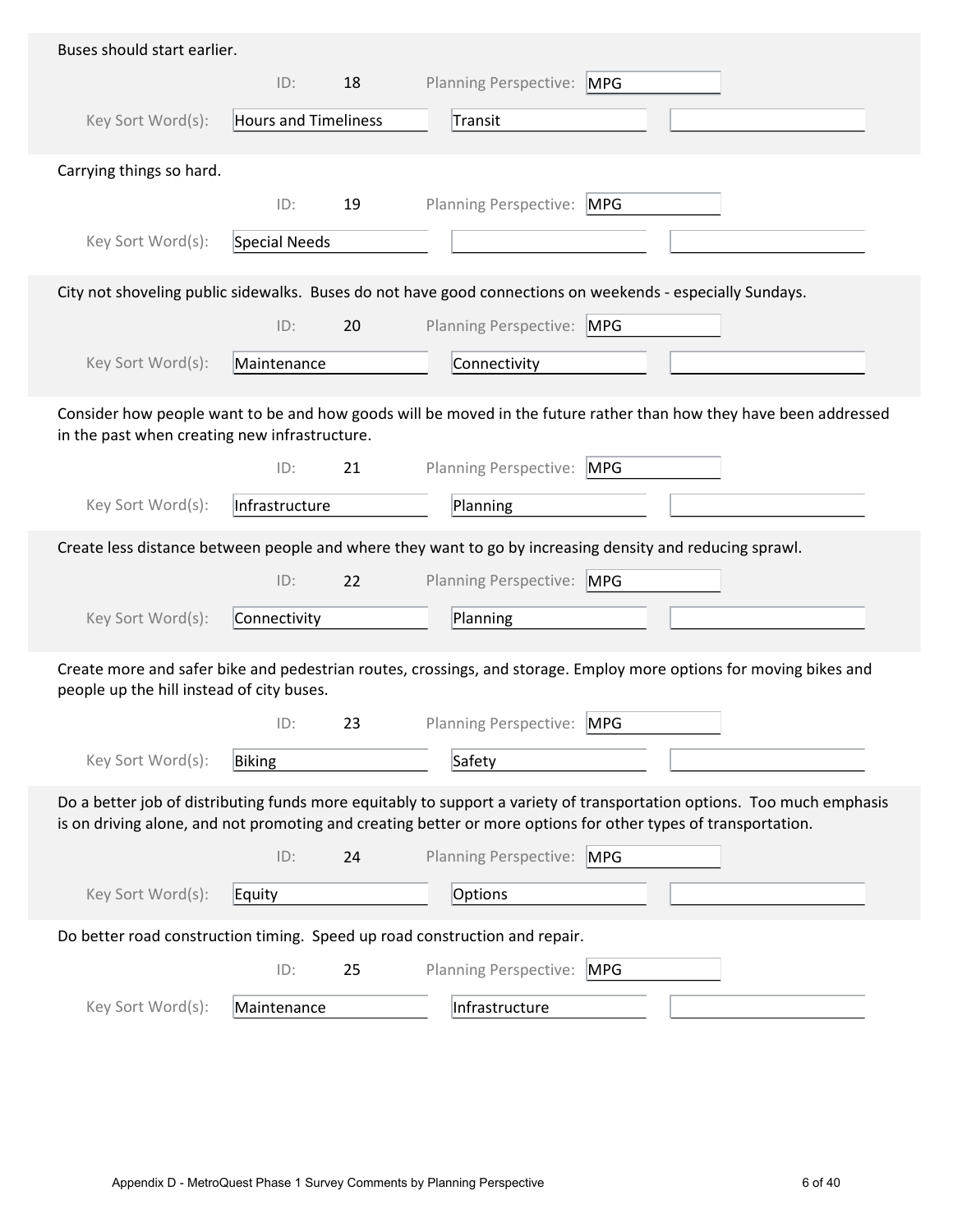| Buses should start earlier.                   |                      |    |                                                                                                                                                                                                                                         |
|-----------------------------------------------|----------------------|----|-----------------------------------------------------------------------------------------------------------------------------------------------------------------------------------------------------------------------------------------|
|                                               | ID:                  | 18 | Planning Perspective: MPG                                                                                                                                                                                                               |
| Key Sort Word(s):                             | Hours and Timeliness |    | Transit                                                                                                                                                                                                                                 |
| Carrying things so hard.                      |                      |    |                                                                                                                                                                                                                                         |
|                                               | ID:                  | 19 | Planning Perspective: MPG                                                                                                                                                                                                               |
| Key Sort Word(s):                             | Special Needs        |    |                                                                                                                                                                                                                                         |
|                                               |                      |    | City not shoveling public sidewalks. Buses do not have good connections on weekends - especially Sundays.                                                                                                                               |
|                                               | ID:                  | 20 | Planning Perspective: MPG                                                                                                                                                                                                               |
| Key Sort Word(s):                             | Maintenance          |    | Connectivity                                                                                                                                                                                                                            |
| in the past when creating new infrastructure. |                      |    | Consider how people want to be and how goods will be moved in the future rather than how they have been addressed                                                                                                                       |
|                                               | ID:                  | 21 | <b>Planning Perspective:</b><br><b>MPG</b>                                                                                                                                                                                              |
| Key Sort Word(s):                             | Infrastructure       |    | Planning                                                                                                                                                                                                                                |
|                                               |                      |    | Create less distance between people and where they want to go by increasing density and reducing sprawl.                                                                                                                                |
|                                               | ID:                  | 22 | Planning Perspective: MPG                                                                                                                                                                                                               |
| Key Sort Word(s):                             | Connectivity         |    | Planning                                                                                                                                                                                                                                |
| people up the hill instead of city buses.     |                      |    | Create more and safer bike and pedestrian routes, crossings, and storage. Employ more options for moving bikes and                                                                                                                      |
|                                               | ID:                  | 23 | <b>Planning Perspective:</b><br><b>MPG</b>                                                                                                                                                                                              |
| Key Sort Word(s):                             | Biking               |    | Safety                                                                                                                                                                                                                                  |
|                                               |                      |    | Do a better job of distributing funds more equitably to support a variety of transportation options. Too much emphasis<br>is on driving alone, and not promoting and creating better or more options for other types of transportation. |
|                                               | ID:                  | 24 | Planning Perspective: MPG                                                                                                                                                                                                               |
| Key Sort Word(s):                             | Equity               |    | Options                                                                                                                                                                                                                                 |
|                                               |                      |    | Do better road construction timing. Speed up road construction and repair.                                                                                                                                                              |
|                                               | ID:                  | 25 | Planning Perspective:<br><b>MPG</b>                                                                                                                                                                                                     |
| Key Sort Word(s):                             | Maintenance          |    | Infrastructure                                                                                                                                                                                                                          |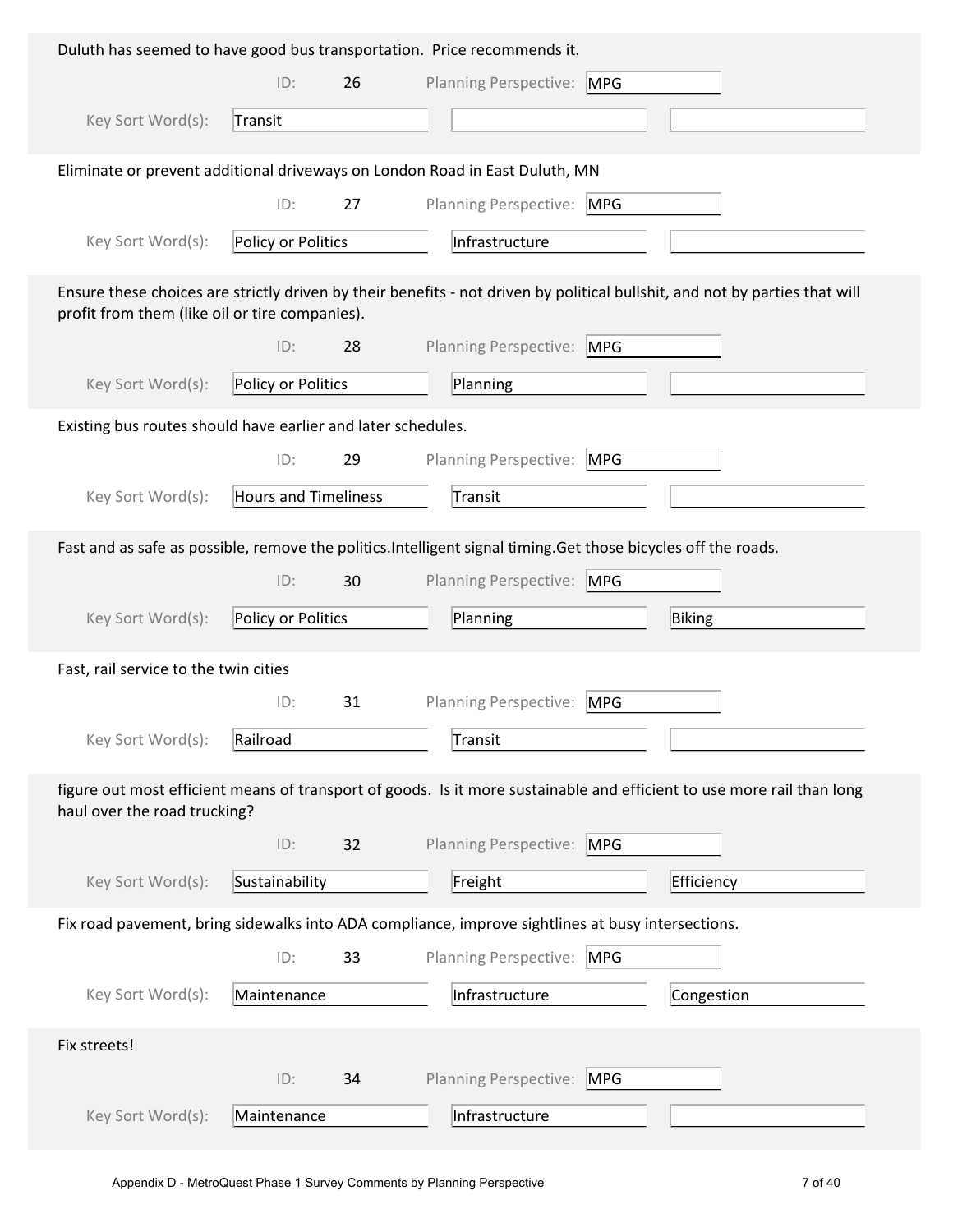|                                                              |                             |    | Duluth has seemed to have good bus transportation. Price recommends it.                                                     |
|--------------------------------------------------------------|-----------------------------|----|-----------------------------------------------------------------------------------------------------------------------------|
|                                                              | ID:                         | 26 | Planning Perspective: MPG                                                                                                   |
| Key Sort Word(s):                                            | Transit                     |    |                                                                                                                             |
|                                                              |                             |    | Eliminate or prevent additional driveways on London Road in East Duluth, MN                                                 |
|                                                              | ID:                         | 27 | Planning Perspective: MPG                                                                                                   |
| Key Sort Word(s):                                            | Policy or Politics          |    | Infrastructure                                                                                                              |
| profit from them (like oil or tire companies).               |                             |    | Ensure these choices are strictly driven by their benefits - not driven by political bullshit, and not by parties that will |
|                                                              | ID:                         | 28 | Planning Perspective: MPG                                                                                                   |
| Key Sort Word(s):                                            | Policy or Politics          |    | Planning                                                                                                                    |
| Existing bus routes should have earlier and later schedules. |                             |    |                                                                                                                             |
|                                                              | ID:                         | 29 | Planning Perspective:<br>MPG                                                                                                |
| Key Sort Word(s):                                            | <b>Hours and Timeliness</b> |    | Transit                                                                                                                     |
|                                                              |                             |    | Fast and as safe as possible, remove the politics. Intelligent signal timing. Get those bicycles off the roads.             |
|                                                              | ID:                         | 30 | Planning Perspective: MPG                                                                                                   |
| Key Sort Word(s):                                            | Policy or Politics          |    | Planning<br>Biking                                                                                                          |
| Fast, rail service to the twin cities                        |                             |    |                                                                                                                             |
|                                                              | ID:                         | 31 | Planning Perspective:<br><b>MPG</b>                                                                                         |
| Key Sort Word(s):                                            | Railroad                    |    | Transit                                                                                                                     |
| haul over the road trucking?                                 |                             |    | figure out most efficient means of transport of goods. Is it more sustainable and efficient to use more rail than long      |
|                                                              | ID:                         | 32 | Planning Perspective:<br><b>MPG</b>                                                                                         |
| Key Sort Word(s):                                            | Sustainability              |    | Freight<br>Efficiency                                                                                                       |
|                                                              |                             |    | Fix road pavement, bring sidewalks into ADA compliance, improve sightlines at busy intersections.                           |
|                                                              |                             |    |                                                                                                                             |
|                                                              | ID:                         | 33 | <b>Planning Perspective:</b><br><b>MPG</b>                                                                                  |
| Key Sort Word(s):                                            | Maintenance                 |    | Infrastructure<br>Congestion                                                                                                |
| Fix streets!                                                 |                             |    |                                                                                                                             |
|                                                              | ID:                         | 34 | <b>Planning Perspective:</b><br><b>MPG</b>                                                                                  |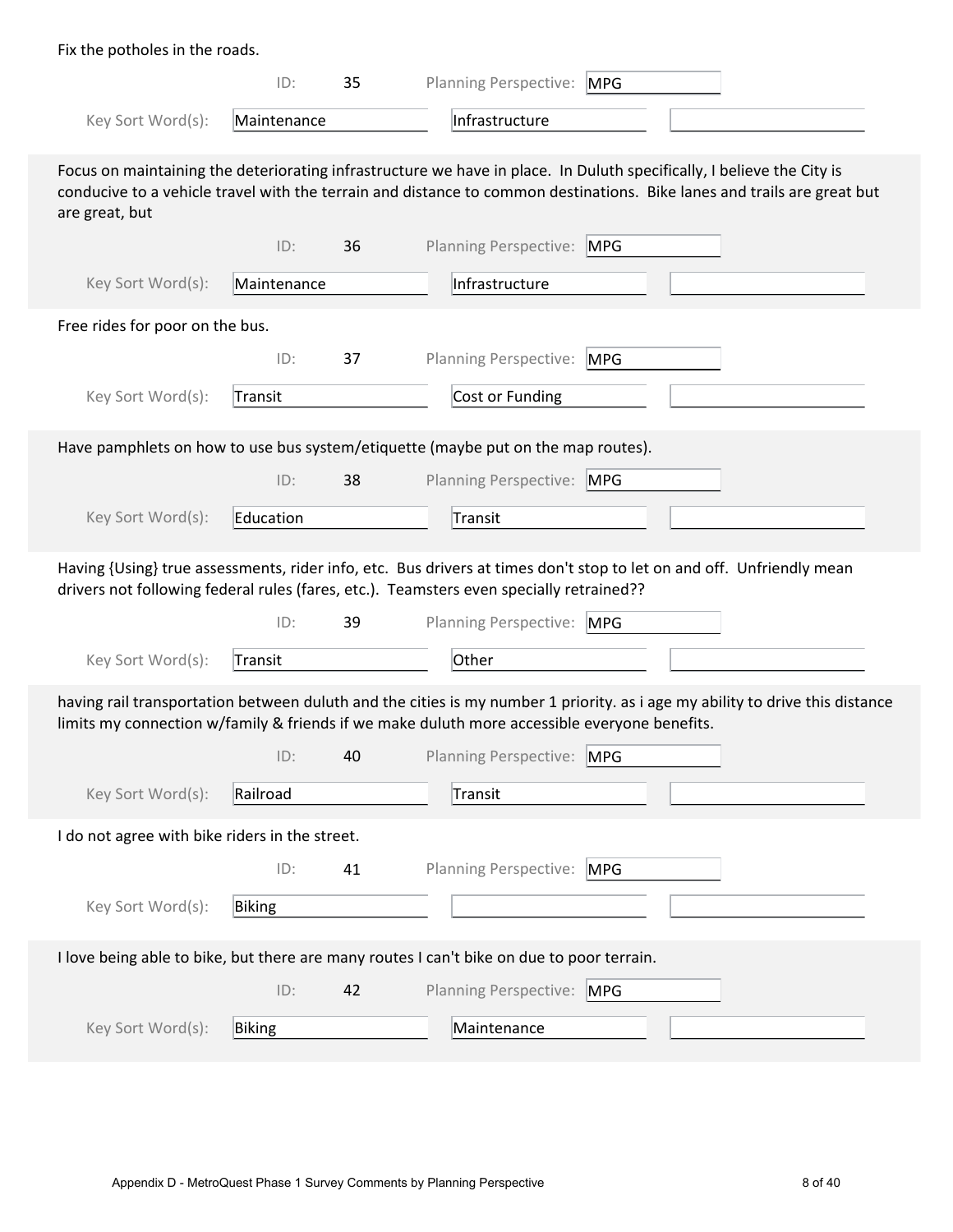| Fix the potholes in the roads.                 |             |    |                                                                                                                                                                                                                                                  |
|------------------------------------------------|-------------|----|--------------------------------------------------------------------------------------------------------------------------------------------------------------------------------------------------------------------------------------------------|
|                                                | ID:         | 35 | <b>Planning Perspective:</b><br>MPG                                                                                                                                                                                                              |
| Key Sort Word(s):                              | Maintenance |    | Infrastructure                                                                                                                                                                                                                                   |
| are great, but                                 |             |    | Focus on maintaining the deteriorating infrastructure we have in place. In Duluth specifically, I believe the City is<br>conducive to a vehicle travel with the terrain and distance to common destinations. Bike lanes and trails are great but |
|                                                | ID:         | 36 | <b>Planning Perspective:</b><br><b>MPG</b>                                                                                                                                                                                                       |
| Key Sort Word(s):                              | Maintenance |    | Infrastructure                                                                                                                                                                                                                                   |
| Free rides for poor on the bus.                |             |    |                                                                                                                                                                                                                                                  |
|                                                | ID:         | 37 | <b>Planning Perspective:</b><br><b>MPG</b>                                                                                                                                                                                                       |
| Key Sort Word(s):                              | Transit     |    | Cost or Funding                                                                                                                                                                                                                                  |
|                                                |             |    | Have pamphlets on how to use bus system/etiquette (maybe put on the map routes).                                                                                                                                                                 |
|                                                | ID:         | 38 | Planning Perspective: MPG                                                                                                                                                                                                                        |
| Key Sort Word(s):                              | Education   |    | Transit                                                                                                                                                                                                                                          |
|                                                |             |    |                                                                                                                                                                                                                                                  |
|                                                |             |    | Having {Using} true assessments, rider info, etc. Bus drivers at times don't stop to let on and off. Unfriendly mean<br>drivers not following federal rules (fares, etc.). Teamsters even specially retrained??                                  |
|                                                | ID:         | 39 | Planning Perspective: MPG                                                                                                                                                                                                                        |
| Key Sort Word(s):                              | Transit     |    | Other                                                                                                                                                                                                                                            |
|                                                |             |    | having rail transportation between duluth and the cities is my number 1 priority. as i age my ability to drive this distance                                                                                                                     |
|                                                | ID:         | 40 | limits my connection w/family & friends if we make duluth more accessible everyone benefits.<br>Planning Perspective: MPG                                                                                                                        |
| Key Sort Word(s):                              | Railroad    |    | Transit                                                                                                                                                                                                                                          |
| I do not agree with bike riders in the street. |             |    |                                                                                                                                                                                                                                                  |
|                                                | ID:         | 41 | Planning Perspective: MPG                                                                                                                                                                                                                        |
| Key Sort Word(s):                              | Biking      |    |                                                                                                                                                                                                                                                  |
|                                                |             |    | I love being able to bike, but there are many routes I can't bike on due to poor terrain.                                                                                                                                                        |
|                                                | ID:         | 42 | Planning Perspective: MPG                                                                                                                                                                                                                        |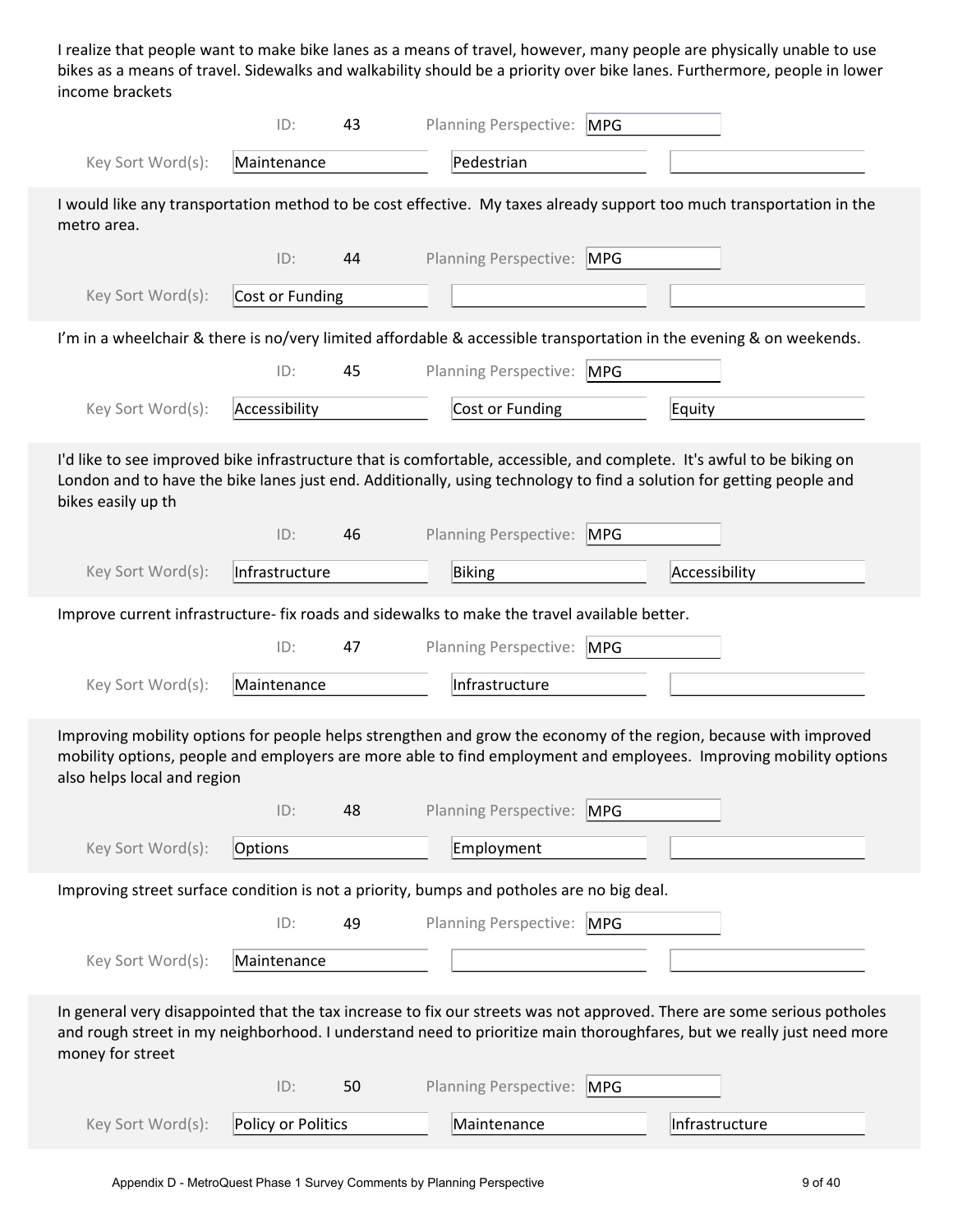I realize that people want to make bike lanes as a means of travel, however, many people are physically unable to use bikes as a means of travel. Sidewalks and walkability should be a priority over bike lanes. Furthermore, people in lower income brackets

|                                                                                                                                                                                                                                                                      | ID:                | 43 |        | <b>Planning Perspective:</b> | <b>MPG</b> |                |  |
|----------------------------------------------------------------------------------------------------------------------------------------------------------------------------------------------------------------------------------------------------------------------|--------------------|----|--------|------------------------------|------------|----------------|--|
| Key Sort Word(s):                                                                                                                                                                                                                                                    | Maintenance        |    |        | Pedestrian                   |            |                |  |
| I would like any transportation method to be cost effective. My taxes already support too much transportation in the<br>metro area.                                                                                                                                  |                    |    |        |                              |            |                |  |
|                                                                                                                                                                                                                                                                      | ID:                | 44 |        | <b>Planning Perspective:</b> | <b>MPG</b> |                |  |
| Key Sort Word(s):                                                                                                                                                                                                                                                    | Cost or Funding    |    |        |                              |            |                |  |
| I'm in a wheelchair & there is no/very limited affordable & accessible transportation in the evening & on weekends.                                                                                                                                                  |                    |    |        |                              |            |                |  |
|                                                                                                                                                                                                                                                                      | ID:                | 45 |        | Planning Perspective: MPG    |            |                |  |
| Key Sort Word(s):                                                                                                                                                                                                                                                    | Accessibility      |    |        | Cost or Funding              |            | Equity         |  |
| I'd like to see improved bike infrastructure that is comfortable, accessible, and complete. It's awful to be biking on<br>London and to have the bike lanes just end. Additionally, using technology to find a solution for getting people and<br>bikes easily up th |                    |    |        |                              |            |                |  |
|                                                                                                                                                                                                                                                                      | ID:                | 46 |        | <b>Planning Perspective:</b> | <b>MPG</b> |                |  |
| Key Sort Word(s):                                                                                                                                                                                                                                                    | Infrastructure     |    | Biking |                              |            | Accessibility  |  |
| Improve current infrastructure- fix roads and sidewalks to make the travel available better.                                                                                                                                                                         |                    |    |        |                              |            |                |  |
|                                                                                                                                                                                                                                                                      | ID:                | 47 |        | <b>Planning Perspective:</b> | <b>MPG</b> |                |  |
| Key Sort Word(s):                                                                                                                                                                                                                                                    | Maintenance        |    |        | Infrastructure               |            |                |  |
| Improving mobility options for people helps strengthen and grow the economy of the region, because with improved<br>mobility options, people and employers are more able to find employment and employees. Improving mobility options<br>also helps local and region |                    |    |        |                              |            |                |  |
|                                                                                                                                                                                                                                                                      | ID:                | 48 |        | Planning Perspective: MPG    |            |                |  |
| Key Sort Word(s):                                                                                                                                                                                                                                                    | Options            |    |        | Employment                   |            |                |  |
| Improving street surface condition is not a priority, bumps and potholes are no big deal.                                                                                                                                                                            |                    |    |        |                              |            |                |  |
|                                                                                                                                                                                                                                                                      | ID:                | 49 |        | Planning Perspective:        | <b>MPG</b> |                |  |
| Key Sort Word(s):                                                                                                                                                                                                                                                    | Maintenance        |    |        |                              |            |                |  |
| In general very disappointed that the tax increase to fix our streets was not approved. There are some serious potholes<br>and rough street in my neighborhood. I understand need to prioritize main thoroughfares, but we really just need more<br>money for street |                    |    |        |                              |            |                |  |
|                                                                                                                                                                                                                                                                      | ID:                | 50 |        | Planning Perspective:        | <b>MPG</b> |                |  |
| Key Sort Word(s):                                                                                                                                                                                                                                                    | Policy or Politics |    |        | Maintenance                  |            | Infrastructure |  |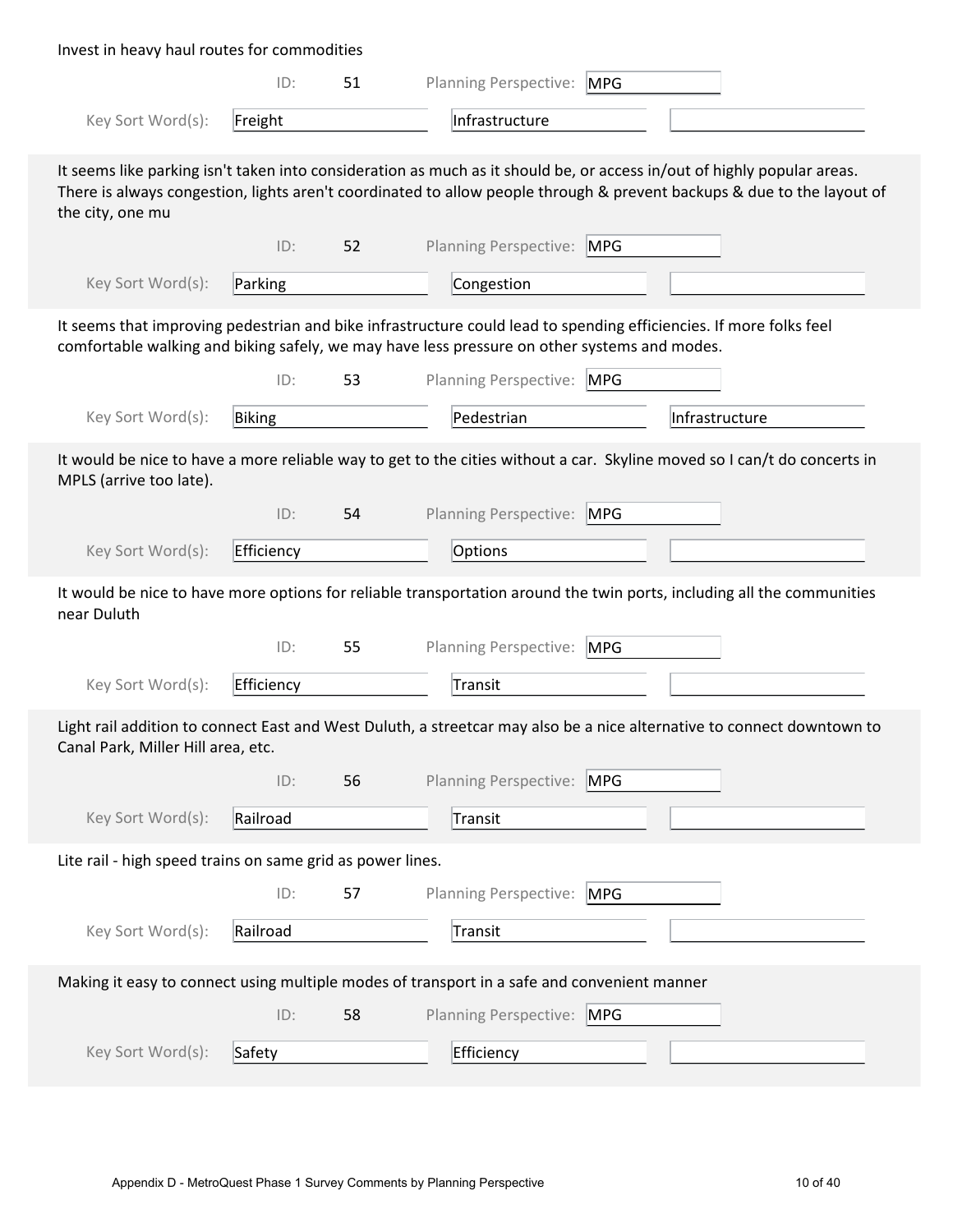| Invest in heavy haul routes for commodities                |            |    |                                                                                                                                                                                                                    |            |                                                                                                                                                                                                                                                   |
|------------------------------------------------------------|------------|----|--------------------------------------------------------------------------------------------------------------------------------------------------------------------------------------------------------------------|------------|---------------------------------------------------------------------------------------------------------------------------------------------------------------------------------------------------------------------------------------------------|
|                                                            | ID:        | 51 | Planning Perspective: MPG                                                                                                                                                                                          |            |                                                                                                                                                                                                                                                   |
| Key Sort Word(s):                                          | Freight    |    | Infrastructure                                                                                                                                                                                                     |            |                                                                                                                                                                                                                                                   |
| the city, one mu                                           |            |    |                                                                                                                                                                                                                    |            | It seems like parking isn't taken into consideration as much as it should be, or access in/out of highly popular areas.<br>There is always congestion, lights aren't coordinated to allow people through & prevent backups & due to the layout of |
|                                                            | ID:        | 52 | <b>Planning Perspective:</b>                                                                                                                                                                                       | <b>MPG</b> |                                                                                                                                                                                                                                                   |
| Key Sort Word(s):                                          | Parking    |    | Congestion                                                                                                                                                                                                         |            |                                                                                                                                                                                                                                                   |
|                                                            |            |    | It seems that improving pedestrian and bike infrastructure could lead to spending efficiencies. If more folks feel<br>comfortable walking and biking safely, we may have less pressure on other systems and modes. |            |                                                                                                                                                                                                                                                   |
|                                                            | ID:        | 53 | Planning Perspective: MPG                                                                                                                                                                                          |            |                                                                                                                                                                                                                                                   |
| Key Sort Word(s):                                          | Biking     |    | Pedestrian                                                                                                                                                                                                         |            | Infrastructure                                                                                                                                                                                                                                    |
| MPLS (arrive too late).                                    |            |    |                                                                                                                                                                                                                    |            | It would be nice to have a more reliable way to get to the cities without a car. Skyline moved so I can/t do concerts in                                                                                                                          |
|                                                            | ID:        | 54 | Planning Perspective: MPG                                                                                                                                                                                          |            |                                                                                                                                                                                                                                                   |
| Key Sort Word(s):                                          | Efficiency |    | Options                                                                                                                                                                                                            |            |                                                                                                                                                                                                                                                   |
| near Duluth                                                |            |    |                                                                                                                                                                                                                    |            | It would be nice to have more options for reliable transportation around the twin ports, including all the communities                                                                                                                            |
|                                                            | ID:        | 55 | <b>Planning Perspective:</b>                                                                                                                                                                                       | <b>MPG</b> |                                                                                                                                                                                                                                                   |
| Key Sort Word(s):                                          | Efficiency |    | Transit                                                                                                                                                                                                            |            |                                                                                                                                                                                                                                                   |
| Canal Park, Miller Hill area, etc.                         |            |    |                                                                                                                                                                                                                    |            | Light rail addition to connect East and West Duluth, a streetcar may also be a nice alternative to connect downtown to                                                                                                                            |
|                                                            | ID:        | 56 | Planning Perspective: MPG                                                                                                                                                                                          |            |                                                                                                                                                                                                                                                   |
| Key Sort Word(s):                                          | Railroad   |    | Transit                                                                                                                                                                                                            |            |                                                                                                                                                                                                                                                   |
| Lite rail - high speed trains on same grid as power lines. |            |    |                                                                                                                                                                                                                    |            |                                                                                                                                                                                                                                                   |
|                                                            | ID:        | 57 | Planning Perspective: MPG                                                                                                                                                                                          |            |                                                                                                                                                                                                                                                   |
| Key Sort Word(s):                                          | Railroad   |    | Transit                                                                                                                                                                                                            |            |                                                                                                                                                                                                                                                   |
|                                                            |            |    | Making it easy to connect using multiple modes of transport in a safe and convenient manner                                                                                                                        |            |                                                                                                                                                                                                                                                   |
|                                                            | ID:        | 58 | Planning Perspective: MPG                                                                                                                                                                                          |            |                                                                                                                                                                                                                                                   |
| Key Sort Word(s):                                          | Safety     |    | Efficiency                                                                                                                                                                                                         |            |                                                                                                                                                                                                                                                   |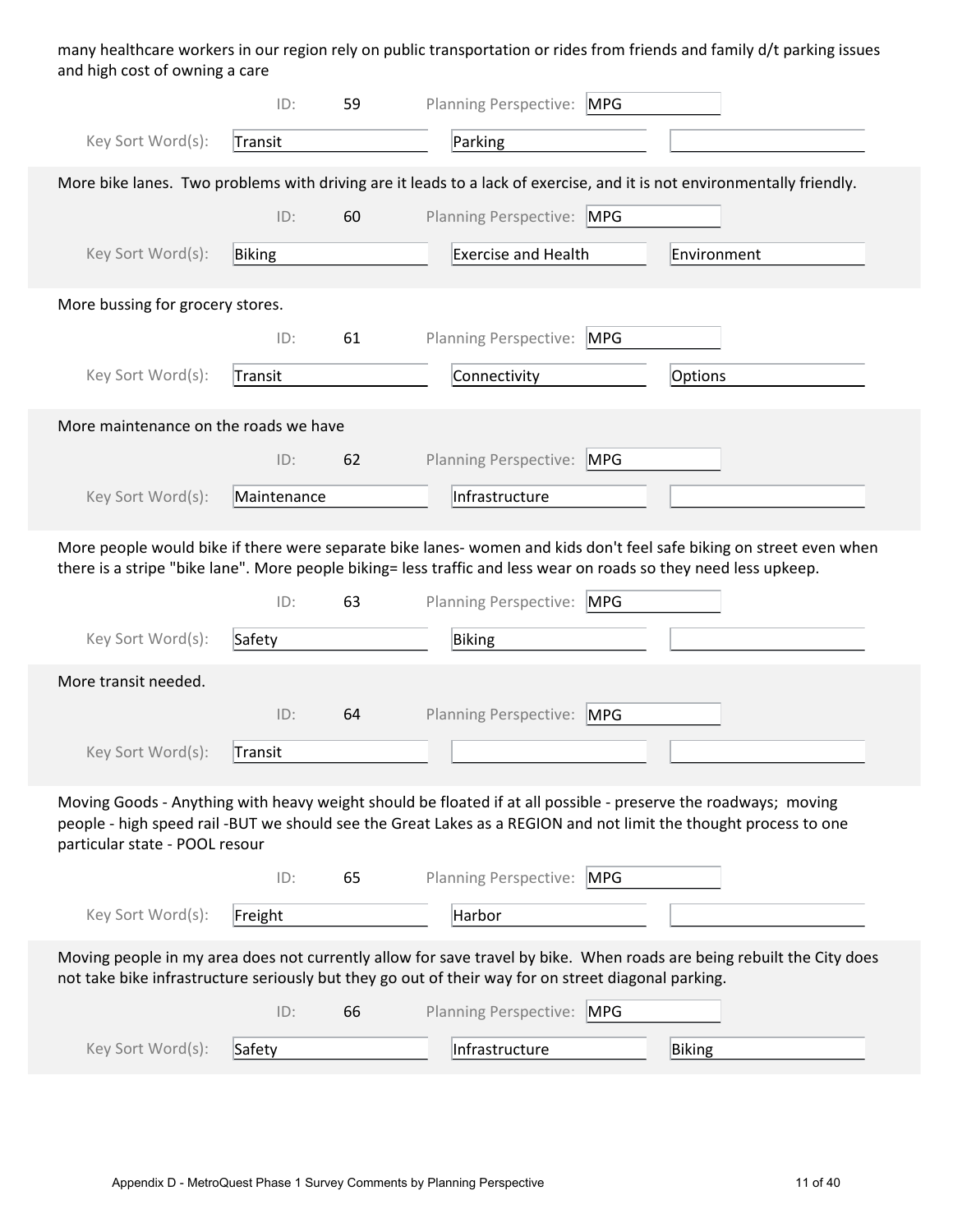many healthcare workers in our region rely on public transportation or rides from friends and family d/t parking issues and high cost of owning a care

|                                       | ID:         | 59 | <b>Planning Perspective:</b><br><b>MPG</b>                                                                                                                                                                                             |
|---------------------------------------|-------------|----|----------------------------------------------------------------------------------------------------------------------------------------------------------------------------------------------------------------------------------------|
| Key Sort Word(s):                     | Transit     |    | Parking                                                                                                                                                                                                                                |
|                                       |             |    | More bike lanes. Two problems with driving are it leads to a lack of exercise, and it is not environmentally friendly.                                                                                                                 |
|                                       | ID:         | 60 | Planning Perspective: MPG                                                                                                                                                                                                              |
| Key Sort Word(s):                     | Biking      |    | <b>Exercise and Health</b><br>Environment                                                                                                                                                                                              |
| More bussing for grocery stores.      |             |    |                                                                                                                                                                                                                                        |
|                                       | ID:         | 61 | <b>Planning Perspective:</b><br>MPG                                                                                                                                                                                                    |
| Key Sort Word(s):                     | Transit     |    | Connectivity<br>Options                                                                                                                                                                                                                |
| More maintenance on the roads we have |             |    |                                                                                                                                                                                                                                        |
|                                       | ID:         | 62 | Planning Perspective: MPG                                                                                                                                                                                                              |
| Key Sort Word(s):                     | Maintenance |    | Infrastructure                                                                                                                                                                                                                         |
|                                       |             |    | More people would bike if there were separate bike lanes-women and kids don't feel safe biking on street even when<br>there is a stripe "bike lane". More people biking= less traffic and less wear on roads so they need less upkeep. |
|                                       | ID:         | 63 | <b>Planning Perspective:</b><br>MPG                                                                                                                                                                                                    |
| Key Sort Word(s):                     | Safety      |    | Biking                                                                                                                                                                                                                                 |
| More transit needed.                  |             |    |                                                                                                                                                                                                                                        |
|                                       | ID:         | 64 | <b>Planning Perspective:</b><br><b>MPG</b>                                                                                                                                                                                             |
| Key Sort Word(s):                     | Transit     |    |                                                                                                                                                                                                                                        |
| particular state - POOL resour        |             |    | Moving Goods - Anything with heavy weight should be floated if at all possible - preserve the roadways; moving<br>people - high speed rail -BUT we should see the Great Lakes as a REGION and not limit the thought process to one     |
|                                       | ID:         | 65 | Planning Perspective:<br>MPG                                                                                                                                                                                                           |
| Key Sort Word(s):                     | Freight     |    | Harbor                                                                                                                                                                                                                                 |
|                                       |             |    | Moving people in my area does not currently allow for save travel by bike. When roads are being rebuilt the City does<br>not take bike infrastructure seriously but they go out of their way for on street diagonal parking.           |
|                                       | ID:         | 66 | <b>Planning Perspective:</b><br><b>MPG</b>                                                                                                                                                                                             |
| Key Sort Word(s):                     | Safety      |    | Infrastructure<br>Biking                                                                                                                                                                                                               |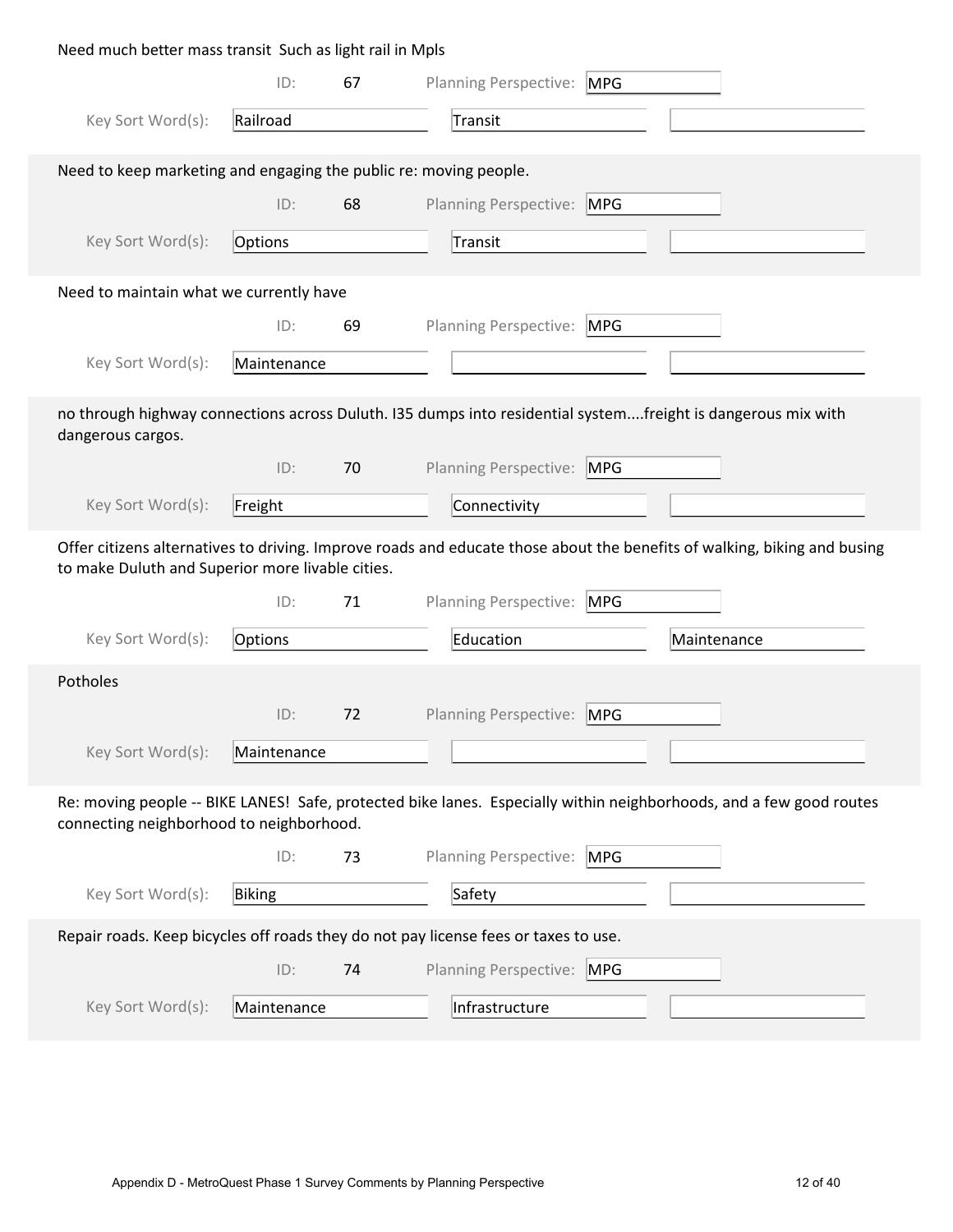| Need much better mass transit Such as light rail in Mpls          |             |    |                                                                                                                          |  |
|-------------------------------------------------------------------|-------------|----|--------------------------------------------------------------------------------------------------------------------------|--|
|                                                                   | ID:         | 67 | Planning Perspective:<br><b>MPG</b>                                                                                      |  |
| Key Sort Word(s):                                                 | Railroad    |    | Transit                                                                                                                  |  |
| Need to keep marketing and engaging the public re: moving people. |             |    |                                                                                                                          |  |
|                                                                   | ID:         | 68 | Planning Perspective: MPG                                                                                                |  |
| Key Sort Word(s):                                                 | Options     |    | Transit                                                                                                                  |  |
| Need to maintain what we currently have                           |             |    |                                                                                                                          |  |
|                                                                   | ID:         | 69 | <b>Planning Perspective:</b><br><b>MPG</b>                                                                               |  |
| Key Sort Word(s):                                                 | Maintenance |    |                                                                                                                          |  |
| dangerous cargos.                                                 |             |    | no through highway connections across Duluth. I35 dumps into residential systemfreight is dangerous mix with             |  |
|                                                                   | ID:         | 70 | Planning Perspective: MPG                                                                                                |  |
| Key Sort Word(s):                                                 | Freight     |    | Connectivity                                                                                                             |  |
|                                                                   |             |    |                                                                                                                          |  |
| to make Duluth and Superior more livable cities.                  |             |    | Offer citizens alternatives to driving. Improve roads and educate those about the benefits of walking, biking and busing |  |
|                                                                   | ID:         | 71 | Planning Perspective:<br><b>MPG</b>                                                                                      |  |
| Key Sort Word(s):                                                 | Options     |    | Education<br>Maintenance                                                                                                 |  |
| Potholes                                                          |             |    |                                                                                                                          |  |
|                                                                   | ID:         | 72 | Planning Perspective:<br><b>MPG</b>                                                                                      |  |
| Key Sort Word(s):                                                 | Maintenance |    |                                                                                                                          |  |
| connecting neighborhood to neighborhood.                          |             |    | Re: moving people -- BIKE LANES! Safe, protected bike lanes. Especially within neighborhoods, and a few good routes      |  |
|                                                                   | ID:         | 73 | <b>Planning Perspective:</b><br>MPG                                                                                      |  |
| Key Sort Word(s):                                                 | Biking      |    | Safety                                                                                                                   |  |
|                                                                   |             |    | Repair roads. Keep bicycles off roads they do not pay license fees or taxes to use.                                      |  |
|                                                                   | ID:         | 74 | Planning Perspective: MPG                                                                                                |  |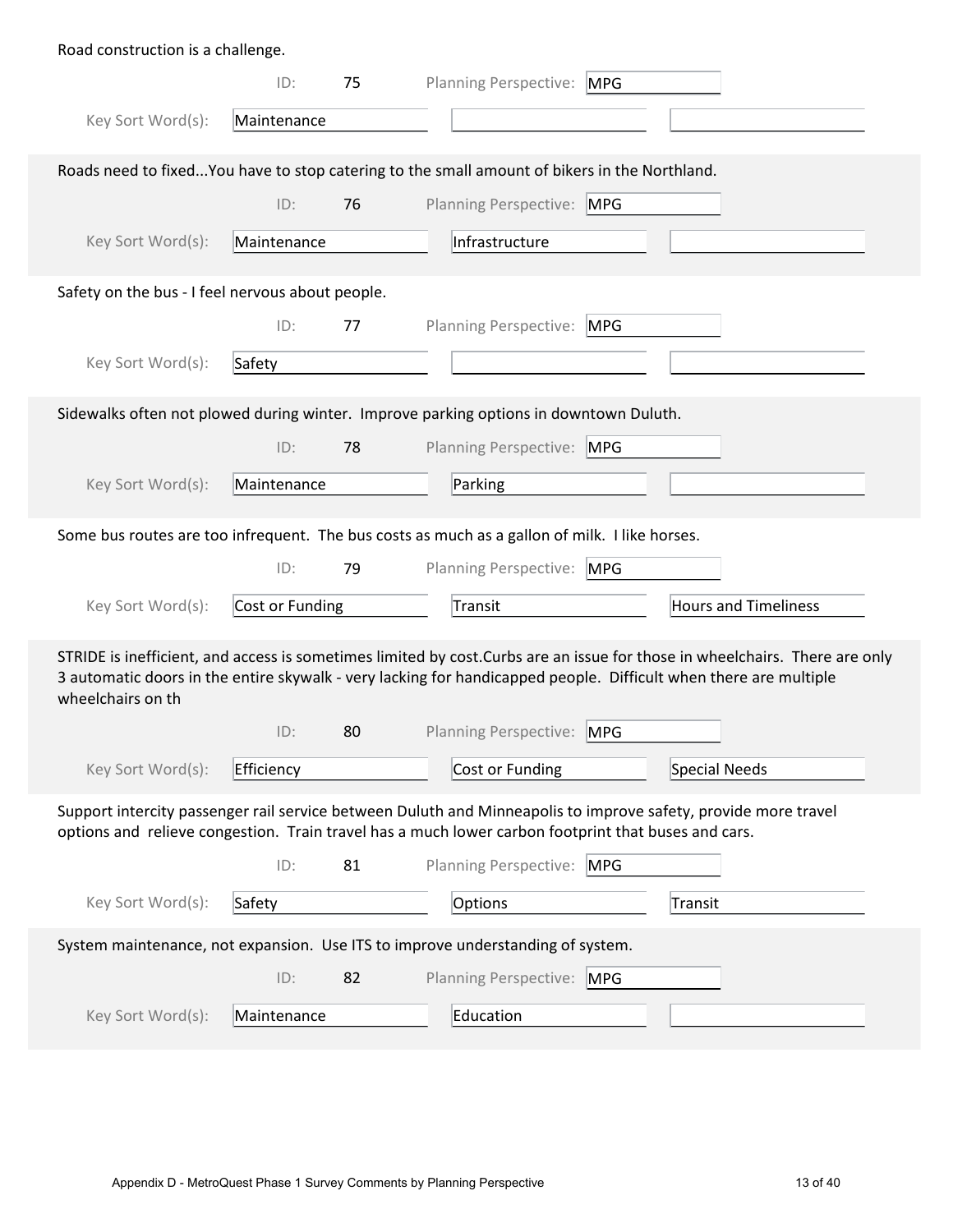| Road construction is a challenge.                                                                                                                                                                                     |                 |    |  |                              |            |                                                                                                                                                                                                                                                 |  |
|-----------------------------------------------------------------------------------------------------------------------------------------------------------------------------------------------------------------------|-----------------|----|--|------------------------------|------------|-------------------------------------------------------------------------------------------------------------------------------------------------------------------------------------------------------------------------------------------------|--|
|                                                                                                                                                                                                                       | ID:             | 75 |  | Planning Perspective:        | <b>MPG</b> |                                                                                                                                                                                                                                                 |  |
| Key Sort Word(s):                                                                                                                                                                                                     | Maintenance     |    |  |                              |            |                                                                                                                                                                                                                                                 |  |
| Roads need to fixedYou have to stop catering to the small amount of bikers in the Northland.                                                                                                                          |                 |    |  |                              |            |                                                                                                                                                                                                                                                 |  |
|                                                                                                                                                                                                                       | ID:             | 76 |  | Planning Perspective: MPG    |            |                                                                                                                                                                                                                                                 |  |
| Key Sort Word(s):                                                                                                                                                                                                     | Maintenance     |    |  | Infrastructure               |            |                                                                                                                                                                                                                                                 |  |
| Safety on the bus - I feel nervous about people.                                                                                                                                                                      |                 |    |  |                              |            |                                                                                                                                                                                                                                                 |  |
|                                                                                                                                                                                                                       | ID:             | 77 |  | Planning Perspective:        | <b>MPG</b> |                                                                                                                                                                                                                                                 |  |
| Key Sort Word(s):                                                                                                                                                                                                     | Safety          |    |  |                              |            |                                                                                                                                                                                                                                                 |  |
| Sidewalks often not plowed during winter. Improve parking options in downtown Duluth.                                                                                                                                 |                 |    |  |                              |            |                                                                                                                                                                                                                                                 |  |
|                                                                                                                                                                                                                       | ID:             | 78 |  | Planning Perspective: MPG    |            |                                                                                                                                                                                                                                                 |  |
| Key Sort Word(s):                                                                                                                                                                                                     | Maintenance     |    |  | Parking                      |            |                                                                                                                                                                                                                                                 |  |
| Some bus routes are too infrequent. The bus costs as much as a gallon of milk. I like horses.                                                                                                                         |                 |    |  |                              |            |                                                                                                                                                                                                                                                 |  |
|                                                                                                                                                                                                                       | ID:             | 79 |  | Planning Perspective: MPG    |            |                                                                                                                                                                                                                                                 |  |
| Key Sort Word(s):                                                                                                                                                                                                     | Cost or Funding |    |  | Transit                      |            | <b>Hours and Timeliness</b>                                                                                                                                                                                                                     |  |
| wheelchairs on th                                                                                                                                                                                                     |                 |    |  |                              |            | STRIDE is inefficient, and access is sometimes limited by cost. Curbs are an issue for those in wheelchairs. There are only<br>3 automatic doors in the entire skywalk - very lacking for handicapped people. Difficult when there are multiple |  |
|                                                                                                                                                                                                                       | ID:             | 80 |  | <b>Planning Perspective:</b> | <b>MPG</b> |                                                                                                                                                                                                                                                 |  |
| Key Sort Word(s):                                                                                                                                                                                                     | Efficiency      |    |  | Cost or Funding              |            | Special Needs                                                                                                                                                                                                                                   |  |
| Support intercity passenger rail service between Duluth and Minneapolis to improve safety, provide more travel<br>options and relieve congestion. Train travel has a much lower carbon footprint that buses and cars. |                 |    |  |                              |            |                                                                                                                                                                                                                                                 |  |
|                                                                                                                                                                                                                       | ID:             | 81 |  | Planning Perspective: MPG    |            |                                                                                                                                                                                                                                                 |  |
| Key Sort Word(s):                                                                                                                                                                                                     | Safety          |    |  | Options                      |            | Transit                                                                                                                                                                                                                                         |  |
| System maintenance, not expansion. Use ITS to improve understanding of system.                                                                                                                                        |                 |    |  |                              |            |                                                                                                                                                                                                                                                 |  |
|                                                                                                                                                                                                                       | ID:             | 82 |  | Planning Perspective: MPG    |            |                                                                                                                                                                                                                                                 |  |
| Key Sort Word(s):                                                                                                                                                                                                     | Maintenance     |    |  | Education                    |            |                                                                                                                                                                                                                                                 |  |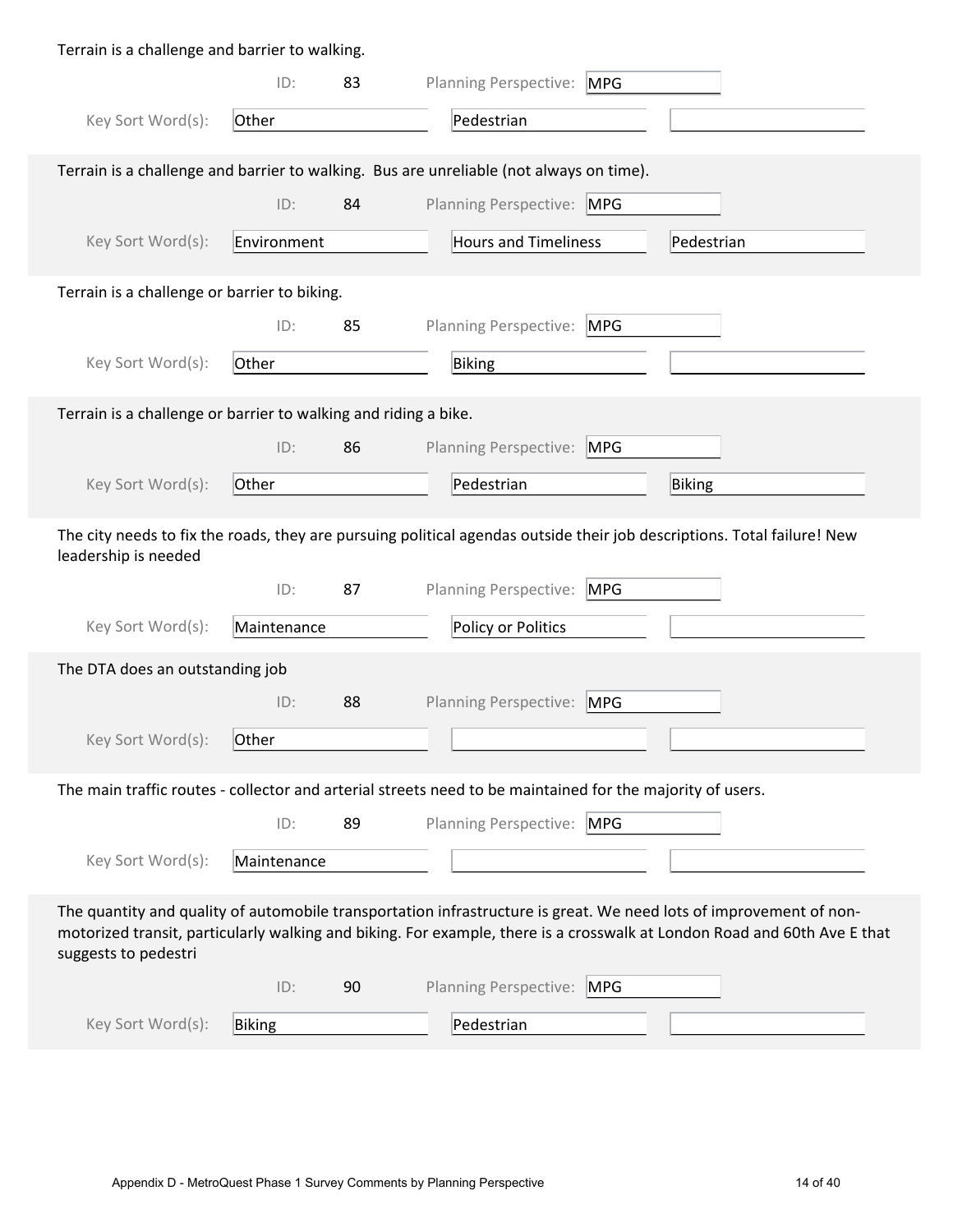| Terrain is a challenge and barrier to walking.                                                                                                                                                                                                                         |             |    |                                                                                                                         |  |  |  |  |
|------------------------------------------------------------------------------------------------------------------------------------------------------------------------------------------------------------------------------------------------------------------------|-------------|----|-------------------------------------------------------------------------------------------------------------------------|--|--|--|--|
|                                                                                                                                                                                                                                                                        | ID:         | 83 | Planning Perspective: MPG                                                                                               |  |  |  |  |
| Key Sort Word(s):                                                                                                                                                                                                                                                      | Other       |    | Pedestrian                                                                                                              |  |  |  |  |
| Terrain is a challenge and barrier to walking. Bus are unreliable (not always on time).                                                                                                                                                                                |             |    |                                                                                                                         |  |  |  |  |
|                                                                                                                                                                                                                                                                        | ID:         | 84 | Planning Perspective: MPG                                                                                               |  |  |  |  |
| Key Sort Word(s):                                                                                                                                                                                                                                                      | Environment |    | <b>Hours and Timeliness</b><br>Pedestrian                                                                               |  |  |  |  |
| Terrain is a challenge or barrier to biking.                                                                                                                                                                                                                           |             |    |                                                                                                                         |  |  |  |  |
|                                                                                                                                                                                                                                                                        | ID:         | 85 | Planning Perspective: MPG                                                                                               |  |  |  |  |
| Key Sort Word(s):                                                                                                                                                                                                                                                      | Other       |    | Biking                                                                                                                  |  |  |  |  |
| Terrain is a challenge or barrier to walking and riding a bike.                                                                                                                                                                                                        |             |    |                                                                                                                         |  |  |  |  |
|                                                                                                                                                                                                                                                                        | ID:         | 86 | Planning Perspective: MPG                                                                                               |  |  |  |  |
| Key Sort Word(s):                                                                                                                                                                                                                                                      | Other       |    | Pedestrian<br>Biking                                                                                                    |  |  |  |  |
| leadership is needed                                                                                                                                                                                                                                                   |             |    | The city needs to fix the roads, they are pursuing political agendas outside their job descriptions. Total failure! New |  |  |  |  |
|                                                                                                                                                                                                                                                                        | ID:         | 87 | Planning Perspective: MPG                                                                                               |  |  |  |  |
| Key Sort Word(s):                                                                                                                                                                                                                                                      | Maintenance |    | Policy or Politics                                                                                                      |  |  |  |  |
| The DTA does an outstanding job                                                                                                                                                                                                                                        |             |    |                                                                                                                         |  |  |  |  |
|                                                                                                                                                                                                                                                                        | ID:         | 88 | Planning Perspective:<br><b>MPG</b>                                                                                     |  |  |  |  |
| Key Sort Word(s):                                                                                                                                                                                                                                                      | Other       |    |                                                                                                                         |  |  |  |  |
|                                                                                                                                                                                                                                                                        |             |    | The main traffic routes - collector and arterial streets need to be maintained for the majority of users.               |  |  |  |  |
|                                                                                                                                                                                                                                                                        | ID:         | 89 | Planning Perspective: MPG                                                                                               |  |  |  |  |
| Key Sort Word(s):                                                                                                                                                                                                                                                      | Maintenance |    |                                                                                                                         |  |  |  |  |
| The quantity and quality of automobile transportation infrastructure is great. We need lots of improvement of non-<br>motorized transit, particularly walking and biking. For example, there is a crosswalk at London Road and 60th Ave E that<br>suggests to pedestri |             |    |                                                                                                                         |  |  |  |  |
|                                                                                                                                                                                                                                                                        | ID:         | 90 | Planning Perspective: MPG                                                                                               |  |  |  |  |
| Key Sort Word(s):                                                                                                                                                                                                                                                      | Biking      |    | Pedestrian                                                                                                              |  |  |  |  |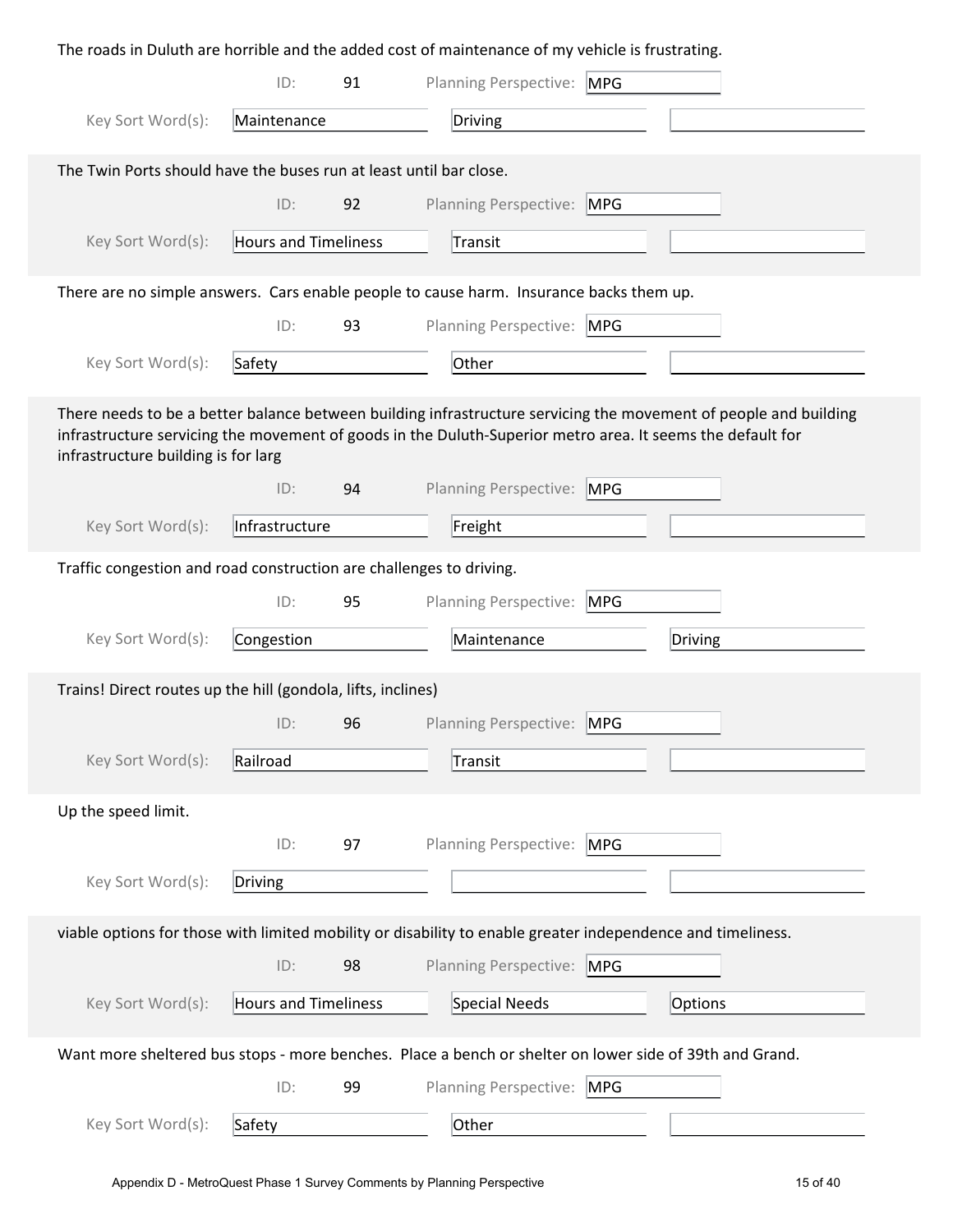| The roads in Duluth are horrible and the added cost of maintenance of my vehicle is frustrating. |                             |    |                                                                                                                                                                                                                                |  |  |  |  |
|--------------------------------------------------------------------------------------------------|-----------------------------|----|--------------------------------------------------------------------------------------------------------------------------------------------------------------------------------------------------------------------------------|--|--|--|--|
|                                                                                                  | ID:                         | 91 | Planning Perspective: MPG                                                                                                                                                                                                      |  |  |  |  |
| Key Sort Word(s):                                                                                | Maintenance                 |    | Driving                                                                                                                                                                                                                        |  |  |  |  |
| The Twin Ports should have the buses run at least until bar close.                               |                             |    |                                                                                                                                                                                                                                |  |  |  |  |
|                                                                                                  | ID:                         | 92 | Planning Perspective: MPG                                                                                                                                                                                                      |  |  |  |  |
| Key Sort Word(s):                                                                                | <b>Hours and Timeliness</b> |    | Transit                                                                                                                                                                                                                        |  |  |  |  |
|                                                                                                  |                             |    | There are no simple answers. Cars enable people to cause harm. Insurance backs them up.                                                                                                                                        |  |  |  |  |
|                                                                                                  | ID:                         | 93 | Planning Perspective: MPG                                                                                                                                                                                                      |  |  |  |  |
| Key Sort Word(s):                                                                                | Safety                      |    | Other                                                                                                                                                                                                                          |  |  |  |  |
| infrastructure building is for larg                                                              |                             |    | There needs to be a better balance between building infrastructure servicing the movement of people and building<br>infrastructure servicing the movement of goods in the Duluth-Superior metro area. It seems the default for |  |  |  |  |
|                                                                                                  | ID:                         | 94 | <b>Planning Perspective:</b><br><b>MPG</b>                                                                                                                                                                                     |  |  |  |  |
| Key Sort Word(s):                                                                                | Infrastructure              |    | Freight                                                                                                                                                                                                                        |  |  |  |  |
| Traffic congestion and road construction are challenges to driving.                              |                             |    |                                                                                                                                                                                                                                |  |  |  |  |
|                                                                                                  | ID:                         | 95 | Planning Perspective:<br><b>MPG</b>                                                                                                                                                                                            |  |  |  |  |
| Key Sort Word(s):                                                                                | Congestion                  |    | Maintenance<br>Driving                                                                                                                                                                                                         |  |  |  |  |
| Trains! Direct routes up the hill (gondola, lifts, inclines)                                     |                             |    |                                                                                                                                                                                                                                |  |  |  |  |
|                                                                                                  | ID:                         | 96 | Planning Perspective:<br><b>MPG</b>                                                                                                                                                                                            |  |  |  |  |
| Key Sort Word(s):                                                                                | Railroad                    |    | Transit                                                                                                                                                                                                                        |  |  |  |  |
| Up the speed limit.                                                                              |                             |    |                                                                                                                                                                                                                                |  |  |  |  |
|                                                                                                  | ID:                         | 97 | Planning Perspective:<br><b>MPG</b>                                                                                                                                                                                            |  |  |  |  |
| Key Sort Word(s):                                                                                | Driving                     |    |                                                                                                                                                                                                                                |  |  |  |  |
|                                                                                                  |                             |    | viable options for those with limited mobility or disability to enable greater independence and timeliness.                                                                                                                    |  |  |  |  |
|                                                                                                  | ID:                         | 98 | <b>Planning Perspective:</b><br><b>MPG</b>                                                                                                                                                                                     |  |  |  |  |
| Key Sort Word(s):                                                                                | <b>Hours and Timeliness</b> |    | Special Needs<br>Options                                                                                                                                                                                                       |  |  |  |  |
|                                                                                                  |                             |    | Want more sheltered bus stops - more benches. Place a bench or shelter on lower side of 39th and Grand.                                                                                                                        |  |  |  |  |
|                                                                                                  | ID:                         | 99 | <b>Planning Perspective:</b><br><b>MPG</b>                                                                                                                                                                                     |  |  |  |  |
| Key Sort Word(s):                                                                                | Safety                      |    | Other                                                                                                                                                                                                                          |  |  |  |  |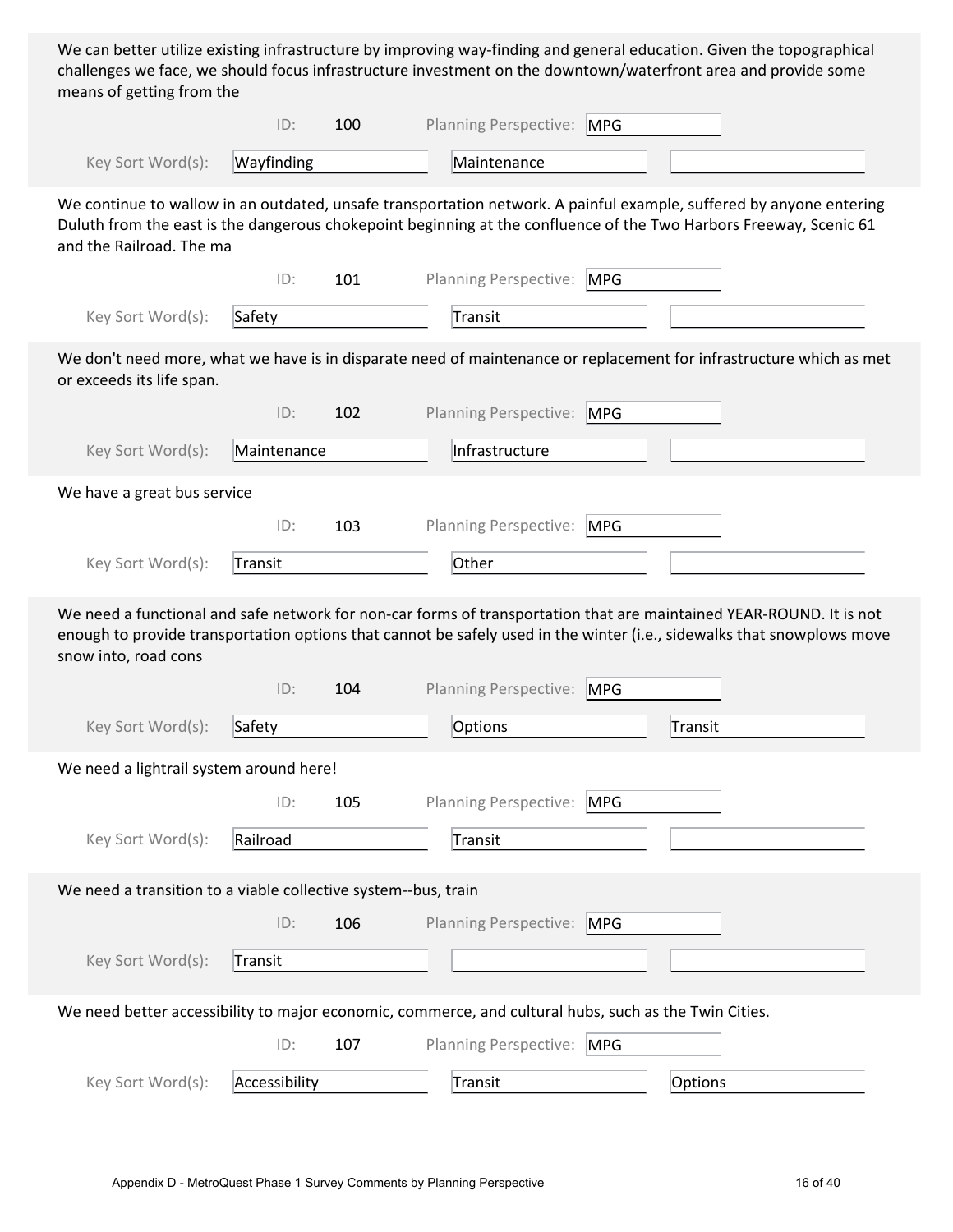We can better utilize existing infrastructure by improving way-finding and general education. Given the topographical challenges we face, we should focus infrastructure investment on the downtown/waterfront area and provide some means of getting from the

|                                                                                                       | ID:            | 100 | <b>Planning Perspective:</b> | <b>MPG</b> |                                                                                                                                                                                                                                               |
|-------------------------------------------------------------------------------------------------------|----------------|-----|------------------------------|------------|-----------------------------------------------------------------------------------------------------------------------------------------------------------------------------------------------------------------------------------------------|
| Key Sort Word(s):                                                                                     | Wayfinding     |     | Maintenance                  |            |                                                                                                                                                                                                                                               |
| and the Railroad. The ma                                                                              |                |     |                              |            | We continue to wallow in an outdated, unsafe transportation network. A painful example, suffered by anyone entering<br>Duluth from the east is the dangerous chokepoint beginning at the confluence of the Two Harbors Freeway, Scenic 61     |
|                                                                                                       | ID:            | 101 | <b>Planning Perspective:</b> | <b>MPG</b> |                                                                                                                                                                                                                                               |
| Key Sort Word(s):                                                                                     | Safety         |     | Transit                      |            |                                                                                                                                                                                                                                               |
| or exceeds its life span.                                                                             |                |     |                              |            | We don't need more, what we have is in disparate need of maintenance or replacement for infrastructure which as met                                                                                                                           |
|                                                                                                       | ID:            | 102 | Planning Perspective:        | <b>MPG</b> |                                                                                                                                                                                                                                               |
| Key Sort Word(s):                                                                                     | Maintenance    |     | Infrastructure               |            |                                                                                                                                                                                                                                               |
| We have a great bus service                                                                           |                |     |                              |            |                                                                                                                                                                                                                                               |
|                                                                                                       | ID:            | 103 | <b>Planning Perspective:</b> | <b>MPG</b> |                                                                                                                                                                                                                                               |
| Key Sort Word(s):                                                                                     | <b>Transit</b> |     | Other                        |            |                                                                                                                                                                                                                                               |
|                                                                                                       |                |     |                              |            |                                                                                                                                                                                                                                               |
| snow into, road cons                                                                                  |                |     |                              |            | We need a functional and safe network for non-car forms of transportation that are maintained YEAR-ROUND. It is not<br>enough to provide transportation options that cannot be safely used in the winter (i.e., sidewalks that snowplows move |
|                                                                                                       | ID:            | 104 | <b>Planning Perspective:</b> | <b>MPG</b> |                                                                                                                                                                                                                                               |
| Key Sort Word(s):                                                                                     | Safety         |     | Options                      |            | Transit                                                                                                                                                                                                                                       |
| We need a lightrail system around here!                                                               |                |     |                              |            |                                                                                                                                                                                                                                               |
|                                                                                                       | ID:            | 105 | Planning Perspective:        | <b>MPG</b> |                                                                                                                                                                                                                                               |
| Key Sort Word(s):                                                                                     | Railroad       |     | Transit                      |            |                                                                                                                                                                                                                                               |
|                                                                                                       |                |     |                              |            |                                                                                                                                                                                                                                               |
| We need a transition to a viable collective system--bus, train                                        | ID:            | 106 | <b>Planning Perspective:</b> | <b>MPG</b> |                                                                                                                                                                                                                                               |
| Key Sort Word(s):                                                                                     | Transit        |     |                              |            |                                                                                                                                                                                                                                               |
| We need better accessibility to major economic, commerce, and cultural hubs, such as the Twin Cities. |                |     |                              |            |                                                                                                                                                                                                                                               |
|                                                                                                       | ID:            | 107 | Planning Perspective: MPG    |            |                                                                                                                                                                                                                                               |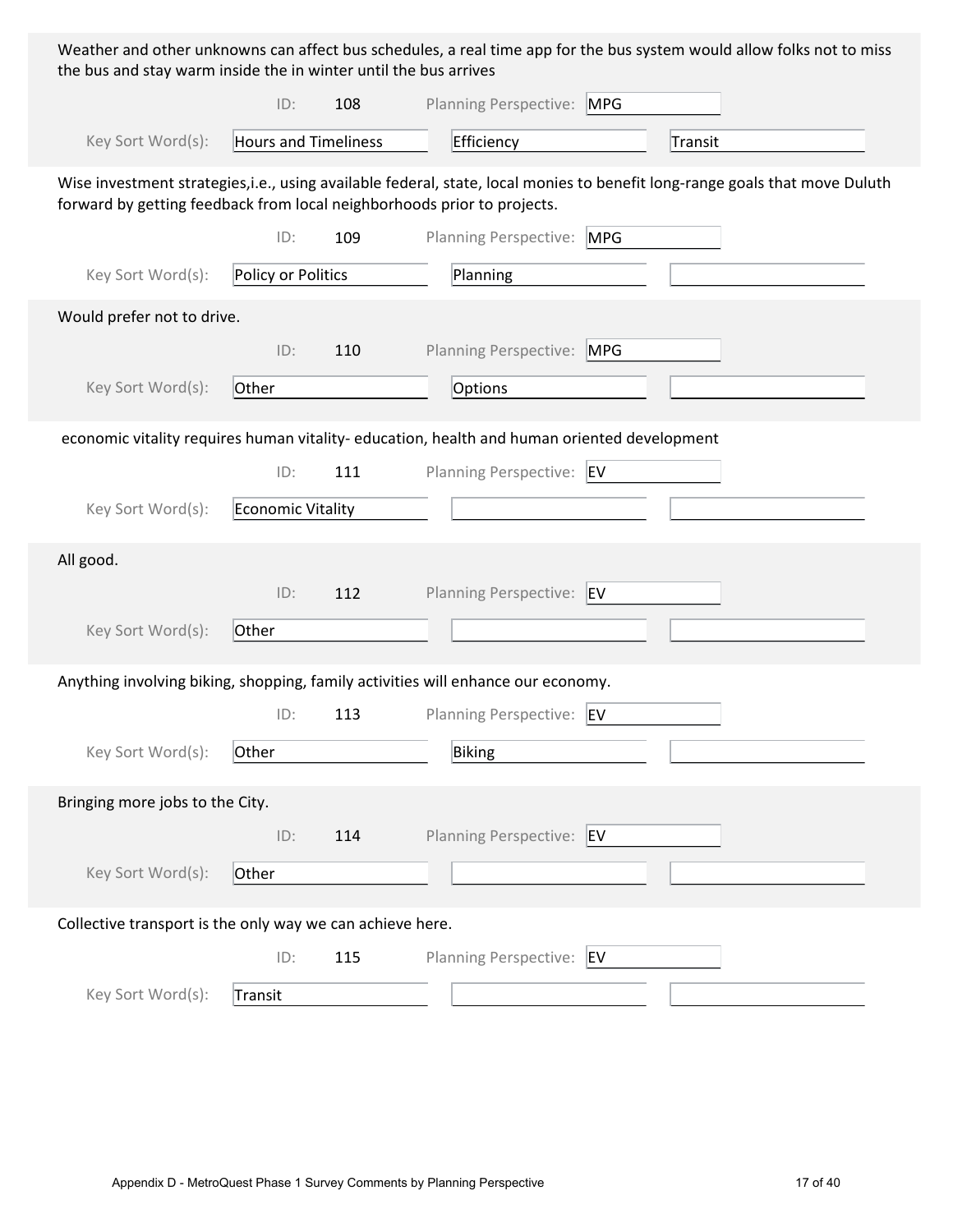Weather and other unknowns can affect bus schedules, a real time app for the bus system would allow folks not to miss the bus and stay warm inside the in winter until the bus arrives

|                                                                         | ID:                  | 108 | Planning Perspective: MPG                                                                   |                                                                                                                             |
|-------------------------------------------------------------------------|----------------------|-----|---------------------------------------------------------------------------------------------|-----------------------------------------------------------------------------------------------------------------------------|
| Key Sort Word(s):                                                       | Hours and Timeliness |     | Efficiency                                                                                  | Transit                                                                                                                     |
| forward by getting feedback from local neighborhoods prior to projects. |                      |     |                                                                                             | Wise investment strategies, i.e., using available federal, state, local monies to benefit long-range goals that move Duluth |
|                                                                         | ID:                  | 109 | Planning Perspective: MPG                                                                   |                                                                                                                             |
| Key Sort Word(s):                                                       | Policy or Politics   |     | Planning                                                                                    |                                                                                                                             |
| Would prefer not to drive.                                              |                      |     |                                                                                             |                                                                                                                             |
|                                                                         | ID:                  | 110 | Planning Perspective: MPG                                                                   |                                                                                                                             |
| Key Sort Word(s):                                                       | Other                |     | Options                                                                                     |                                                                                                                             |
|                                                                         |                      |     | economic vitality requires human vitality- education, health and human oriented development |                                                                                                                             |
|                                                                         | ID:                  | 111 | Planning Perspective: EV                                                                    |                                                                                                                             |
| Key Sort Word(s):                                                       | Economic Vitality    |     |                                                                                             |                                                                                                                             |
| All good.                                                               |                      |     |                                                                                             |                                                                                                                             |
|                                                                         | ID:                  | 112 | Planning Perspective: EV                                                                    |                                                                                                                             |
| Key Sort Word(s):                                                       | Other                |     |                                                                                             |                                                                                                                             |
|                                                                         |                      |     | Anything involving biking, shopping, family activities will enhance our economy.            |                                                                                                                             |
|                                                                         | ID:                  | 113 | Planning Perspective: EV                                                                    |                                                                                                                             |
| Key Sort Word(s):                                                       | Other                |     | Biking                                                                                      |                                                                                                                             |
| Bringing more jobs to the City.                                         |                      |     |                                                                                             |                                                                                                                             |
|                                                                         | ID:                  | 114 | Planning Perspective: EV                                                                    |                                                                                                                             |
| Key Sort Word(s):                                                       | Other                |     |                                                                                             |                                                                                                                             |
| Collective transport is the only way we can achieve here.               |                      |     |                                                                                             |                                                                                                                             |
|                                                                         | ID:                  | 115 | Planning Perspective: EV                                                                    |                                                                                                                             |
| Key Sort Word(s):                                                       | Transit              |     |                                                                                             |                                                                                                                             |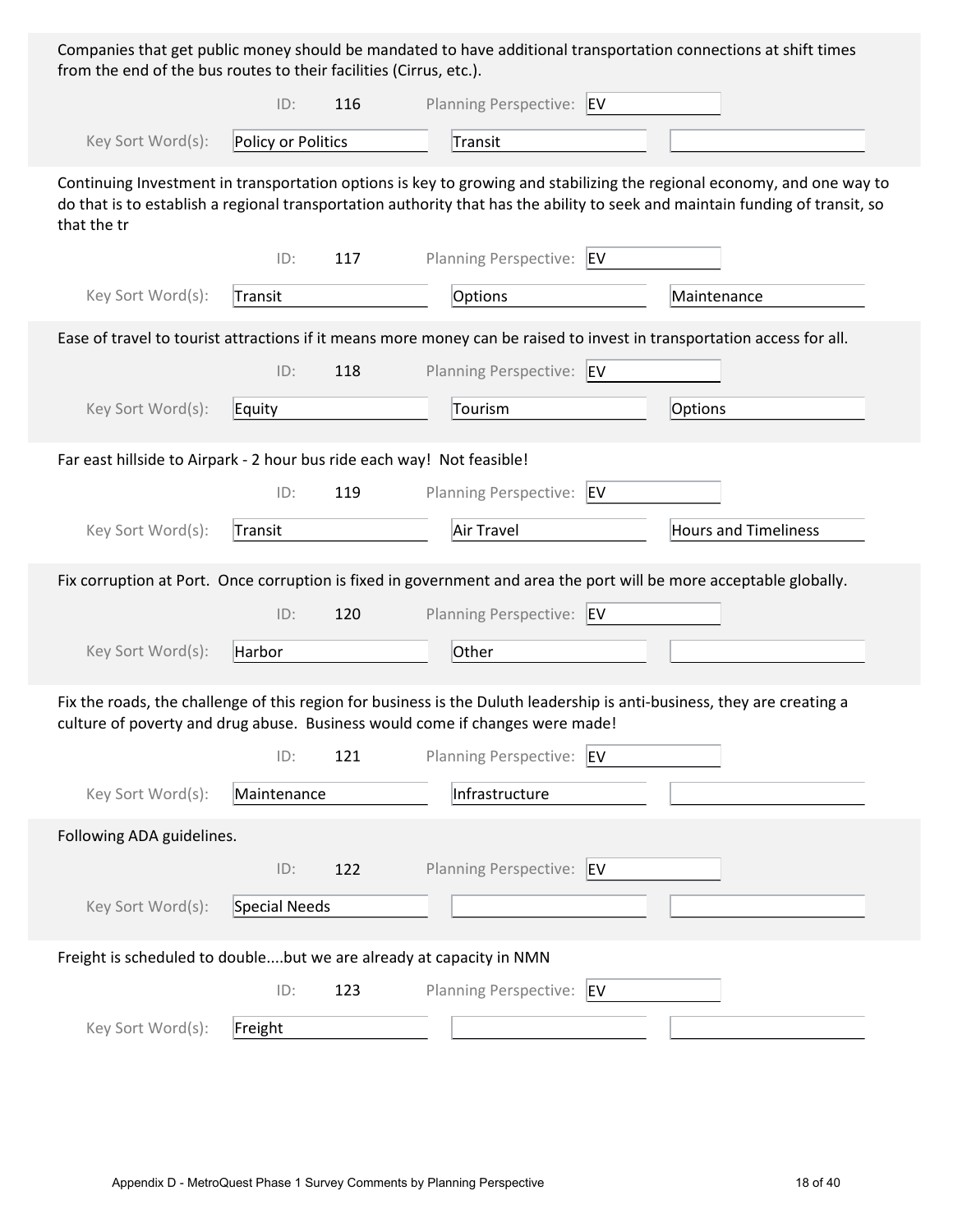Companies that get public money should be mandated to have additional transportation connections at shift times from the end of the bus routes to their facilities (Cirrus, etc.).

|                                                                        | ID:                | 116 | Planning Perspective: EV                                                                                                                                                                                |                                                                                                                                                                                                                                                        |
|------------------------------------------------------------------------|--------------------|-----|---------------------------------------------------------------------------------------------------------------------------------------------------------------------------------------------------------|--------------------------------------------------------------------------------------------------------------------------------------------------------------------------------------------------------------------------------------------------------|
| Key Sort Word(s):                                                      | Policy or Politics |     | Transit                                                                                                                                                                                                 |                                                                                                                                                                                                                                                        |
| that the tr                                                            |                    |     |                                                                                                                                                                                                         | Continuing Investment in transportation options is key to growing and stabilizing the regional economy, and one way to<br>do that is to establish a regional transportation authority that has the ability to seek and maintain funding of transit, so |
|                                                                        | ID:                | 117 | Planning Perspective:<br>EV                                                                                                                                                                             |                                                                                                                                                                                                                                                        |
| Key Sort Word(s):                                                      | Transit            |     | Options                                                                                                                                                                                                 | Maintenance                                                                                                                                                                                                                                            |
|                                                                        |                    |     | Ease of travel to tourist attractions if it means more money can be raised to invest in transportation access for all.                                                                                  |                                                                                                                                                                                                                                                        |
|                                                                        | ID:                | 118 | <b>Planning Perspective:</b><br><b>EV</b>                                                                                                                                                               |                                                                                                                                                                                                                                                        |
| Key Sort Word(s):                                                      | Equity             |     | Tourism                                                                                                                                                                                                 | Options                                                                                                                                                                                                                                                |
| Far east hillside to Airpark - 2 hour bus ride each way! Not feasible! |                    |     |                                                                                                                                                                                                         |                                                                                                                                                                                                                                                        |
|                                                                        | ID:                | 119 | <b>Planning Perspective:</b><br>EV                                                                                                                                                                      |                                                                                                                                                                                                                                                        |
| Key Sort Word(s):                                                      | Transit            |     | Air Travel                                                                                                                                                                                              | <b>Hours and Timeliness</b>                                                                                                                                                                                                                            |
|                                                                        |                    |     | Fix corruption at Port. Once corruption is fixed in government and area the port will be more acceptable globally.                                                                                      |                                                                                                                                                                                                                                                        |
|                                                                        | ID:                | 120 | <b>Planning Perspective:</b><br><b>EV</b>                                                                                                                                                               |                                                                                                                                                                                                                                                        |
| Key Sort Word(s):                                                      | Harbor             |     | Other                                                                                                                                                                                                   |                                                                                                                                                                                                                                                        |
|                                                                        |                    |     | Fix the roads, the challenge of this region for business is the Duluth leadership is anti-business, they are creating a<br>culture of poverty and drug abuse. Business would come if changes were made! |                                                                                                                                                                                                                                                        |
|                                                                        | ID:                | 121 | Planning Perspective: EV                                                                                                                                                                                |                                                                                                                                                                                                                                                        |
| Key Sort Word(s):                                                      | Maintenance        |     | Infrastructure                                                                                                                                                                                          |                                                                                                                                                                                                                                                        |
| Following ADA guidelines.                                              |                    |     |                                                                                                                                                                                                         |                                                                                                                                                                                                                                                        |
|                                                                        | ID:                | 122 | Planning Perspective: EV                                                                                                                                                                                |                                                                                                                                                                                                                                                        |
| Key Sort Word(s):                                                      | Special Needs      |     |                                                                                                                                                                                                         |                                                                                                                                                                                                                                                        |
| Freight is scheduled to doublebut we are already at capacity in NMN    |                    |     |                                                                                                                                                                                                         |                                                                                                                                                                                                                                                        |
|                                                                        | ID:                | 123 | <b>Planning Perspective:</b><br>EV                                                                                                                                                                      |                                                                                                                                                                                                                                                        |
| Key Sort Word(s):                                                      | Freight            |     |                                                                                                                                                                                                         |                                                                                                                                                                                                                                                        |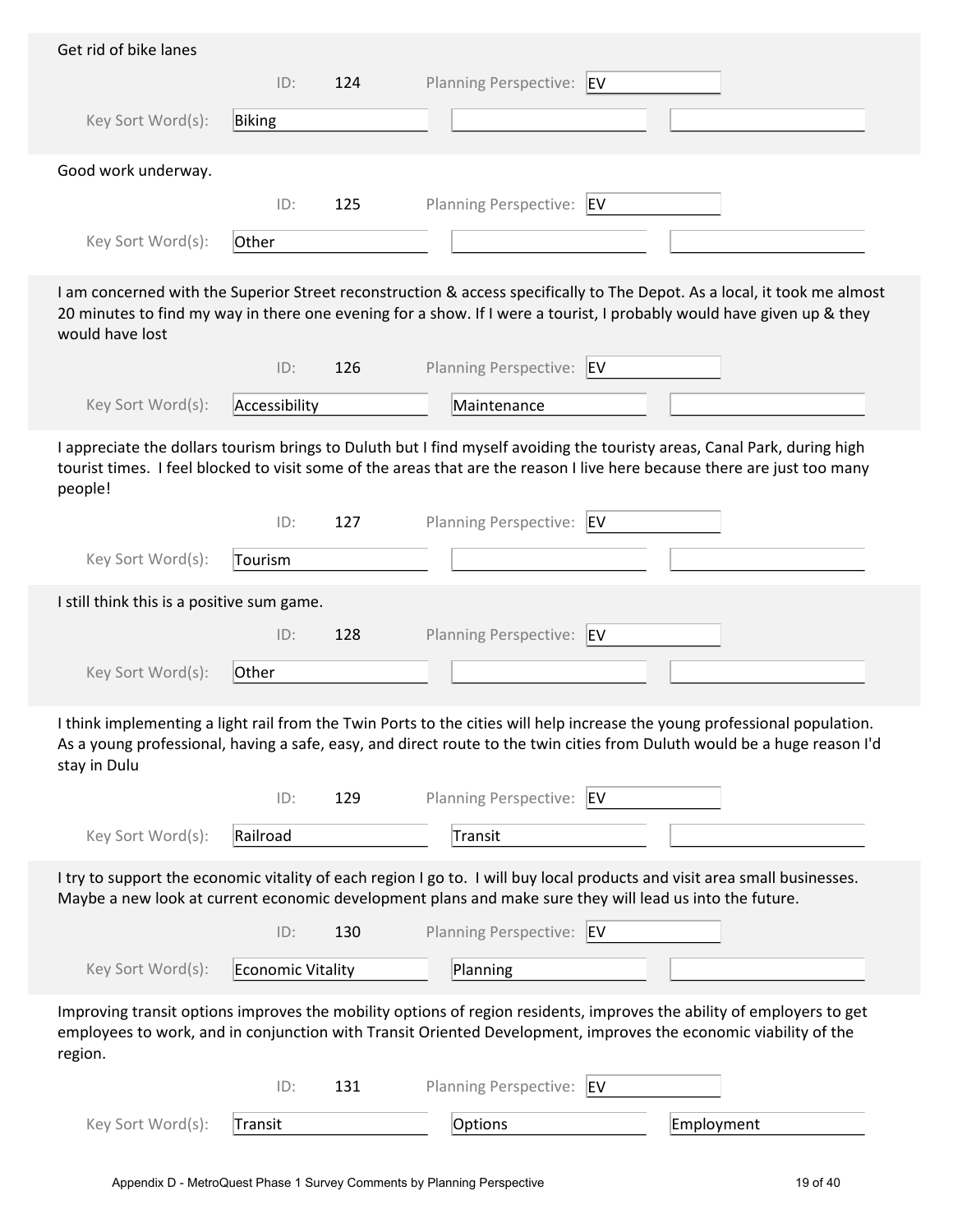|                                            | ID:               | 124 | Planning Perspective: EV                                                                                                                                                                                                                              |
|--------------------------------------------|-------------------|-----|-------------------------------------------------------------------------------------------------------------------------------------------------------------------------------------------------------------------------------------------------------|
| Key Sort Word(s):                          | Biking            |     |                                                                                                                                                                                                                                                       |
| Good work underway.                        |                   |     |                                                                                                                                                                                                                                                       |
|                                            | ID:               | 125 | Planning Perspective: EV                                                                                                                                                                                                                              |
| Key Sort Word(s):                          | Other             |     |                                                                                                                                                                                                                                                       |
| would have lost                            |                   |     | I am concerned with the Superior Street reconstruction & access specifically to The Depot. As a local, it took me almost<br>20 minutes to find my way in there one evening for a show. If I were a tourist, I probably would have given up & they     |
|                                            | ID:               | 126 | Planning Perspective: EV                                                                                                                                                                                                                              |
| Key Sort Word(s):                          | Accessibility     |     | Maintenance                                                                                                                                                                                                                                           |
| people!                                    |                   |     | I appreciate the dollars tourism brings to Duluth but I find myself avoiding the touristy areas, Canal Park, during high<br>tourist times. I feel blocked to visit some of the areas that are the reason I live here because there are just too many  |
|                                            | ID:               | 127 | Planning Perspective: EV                                                                                                                                                                                                                              |
| Key Sort Word(s):                          | Tourism           |     |                                                                                                                                                                                                                                                       |
| I still think this is a positive sum game. |                   |     |                                                                                                                                                                                                                                                       |
|                                            | ID:               | 128 | Planning Perspective: EV                                                                                                                                                                                                                              |
| Key Sort Word(s):                          | Other             |     |                                                                                                                                                                                                                                                       |
|                                            |                   |     |                                                                                                                                                                                                                                                       |
| stay in Dulu                               |                   |     | I think implementing a light rail from the Twin Ports to the cities will help increase the young professional population.<br>As a young professional, having a safe, easy, and direct route to the twin cities from Duluth would be a huge reason I'd |
|                                            | ID:               | 129 | Planning Perspective: EV                                                                                                                                                                                                                              |
| Key Sort Word(s):                          | Railroad          |     | Transit                                                                                                                                                                                                                                               |
|                                            |                   |     | I try to support the economic vitality of each region I go to. I will buy local products and visit area small businesses.<br>Maybe a new look at current economic development plans and make sure they will lead us into the future.                  |
|                                            | ID:               | 130 | Planning Perspective: EV                                                                                                                                                                                                                              |
| Key Sort Word(s):                          | Economic Vitality |     | Planning                                                                                                                                                                                                                                              |
| region.                                    |                   |     | Improving transit options improves the mobility options of region residents, improves the ability of employers to get<br>employees to work, and in conjunction with Transit Oriented Development, improves the economic viability of the              |
|                                            | ID:               | 131 | Planning Perspective:<br>EV                                                                                                                                                                                                                           |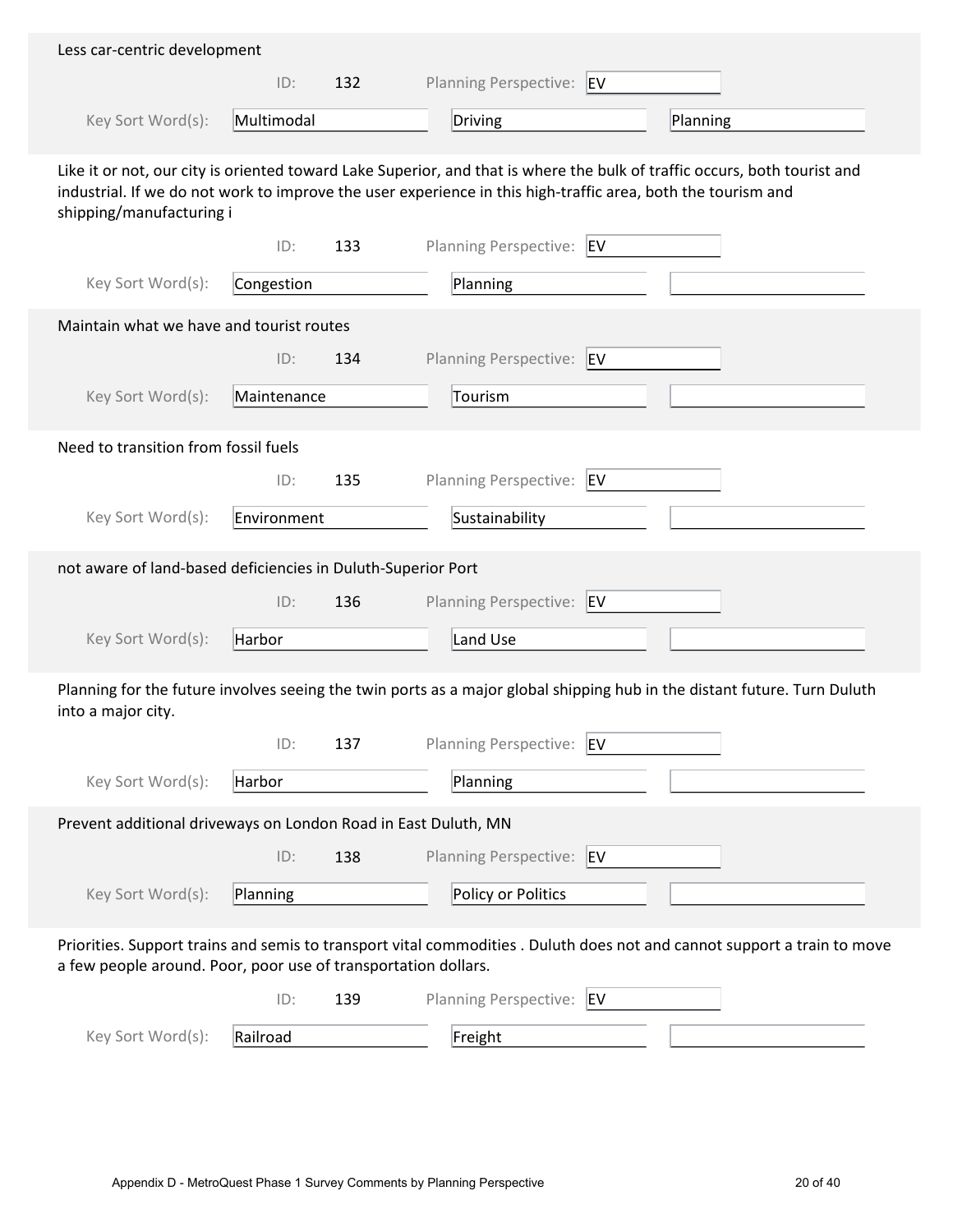| Less car-centric development                                   |             |     |                                                                                                                                                                                                                                           |
|----------------------------------------------------------------|-------------|-----|-------------------------------------------------------------------------------------------------------------------------------------------------------------------------------------------------------------------------------------------|
|                                                                | ID:         | 132 | Planning Perspective: EV                                                                                                                                                                                                                  |
| Key Sort Word(s):                                              | Multimodal  |     | Driving<br>Planning                                                                                                                                                                                                                       |
| shipping/manufacturing i                                       |             |     | Like it or not, our city is oriented toward Lake Superior, and that is where the bulk of traffic occurs, both tourist and<br>industrial. If we do not work to improve the user experience in this high-traffic area, both the tourism and |
|                                                                | ID:         | 133 | Planning Perspective: EV                                                                                                                                                                                                                  |
| Key Sort Word(s):                                              | Congestion  |     | Planning                                                                                                                                                                                                                                  |
| Maintain what we have and tourist routes                       |             |     |                                                                                                                                                                                                                                           |
|                                                                | ID:         | 134 | Planning Perspective: EV                                                                                                                                                                                                                  |
| Key Sort Word(s):                                              | Maintenance |     | Tourism                                                                                                                                                                                                                                   |
| Need to transition from fossil fuels                           |             |     |                                                                                                                                                                                                                                           |
|                                                                | ID:         | 135 | Planning Perspective: EV                                                                                                                                                                                                                  |
| Key Sort Word(s):                                              | Environment |     | Sustainability                                                                                                                                                                                                                            |
| not aware of land-based deficiencies in Duluth-Superior Port   |             |     |                                                                                                                                                                                                                                           |
|                                                                | ID:         | 136 | Planning Perspective: EV                                                                                                                                                                                                                  |
| Key Sort Word(s):                                              | Harbor      |     | Land Use                                                                                                                                                                                                                                  |
| into a major city.                                             |             |     | Planning for the future involves seeing the twin ports as a major global shipping hub in the distant future. Turn Duluth                                                                                                                  |
|                                                                | ID:         | 137 | Planning Perspective: EV                                                                                                                                                                                                                  |
| Key Sort Word(s):                                              | Harbor      |     | Planning                                                                                                                                                                                                                                  |
| Prevent additional driveways on London Road in East Duluth, MN |             |     |                                                                                                                                                                                                                                           |
|                                                                | ID:         | 138 | Planning Perspective: EV                                                                                                                                                                                                                  |
| Key Sort Word(s):                                              | Planning    |     | Policy or Politics                                                                                                                                                                                                                        |
| a few people around. Poor, poor use of transportation dollars. |             |     | Priorities. Support trains and semis to transport vital commodities . Duluth does not and cannot support a train to move                                                                                                                  |
|                                                                | ID:         | 139 | <b>Planning Perspective:</b><br><b>EV</b>                                                                                                                                                                                                 |
| Key Sort Word(s):                                              | Railroad    |     | Freight                                                                                                                                                                                                                                   |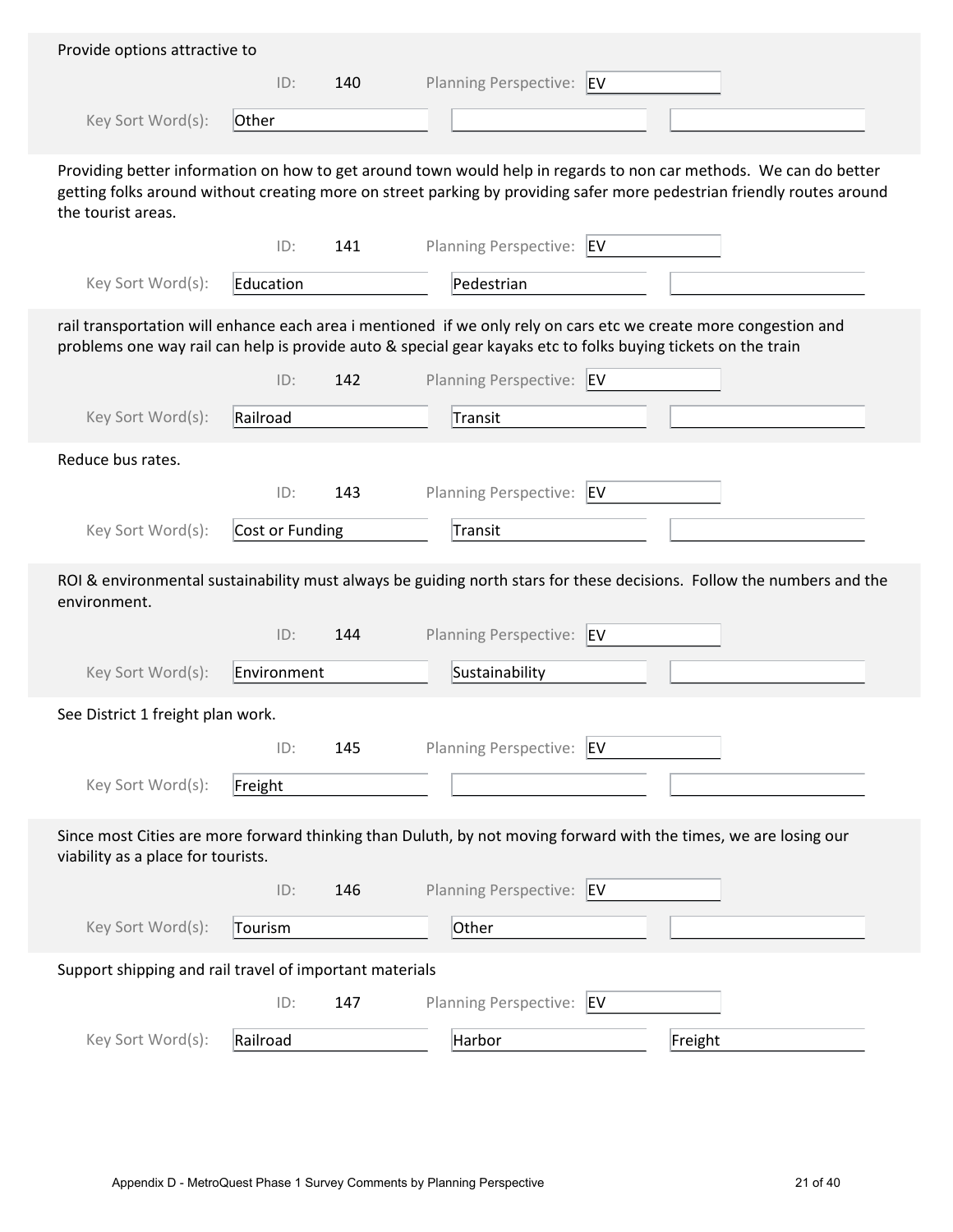| Provide options attractive to                                                                                                                          |                 |     |                                                                                                                                                                                                                                             |  |  |  |
|--------------------------------------------------------------------------------------------------------------------------------------------------------|-----------------|-----|---------------------------------------------------------------------------------------------------------------------------------------------------------------------------------------------------------------------------------------------|--|--|--|
|                                                                                                                                                        | ID:             | 140 | Planning Perspective: EV                                                                                                                                                                                                                    |  |  |  |
| Key Sort Word(s):                                                                                                                                      | Other           |     |                                                                                                                                                                                                                                             |  |  |  |
|                                                                                                                                                        |                 |     |                                                                                                                                                                                                                                             |  |  |  |
| the tourist areas.                                                                                                                                     |                 |     | Providing better information on how to get around town would help in regards to non car methods. We can do better<br>getting folks around without creating more on street parking by providing safer more pedestrian friendly routes around |  |  |  |
|                                                                                                                                                        | ID:             | 141 | <b>Planning Perspective:</b><br>EV                                                                                                                                                                                                          |  |  |  |
| Key Sort Word(s):                                                                                                                                      | Education       |     | Pedestrian                                                                                                                                                                                                                                  |  |  |  |
|                                                                                                                                                        |                 |     | rail transportation will enhance each area i mentioned if we only rely on cars etc we create more congestion and<br>problems one way rail can help is provide auto & special gear kayaks etc to folks buying tickets on the train           |  |  |  |
|                                                                                                                                                        | ID:             | 142 | Planning Perspective: EV                                                                                                                                                                                                                    |  |  |  |
| Key Sort Word(s):                                                                                                                                      | Railroad        |     | Transit                                                                                                                                                                                                                                     |  |  |  |
| Reduce bus rates.                                                                                                                                      |                 |     |                                                                                                                                                                                                                                             |  |  |  |
|                                                                                                                                                        | ID:             | 143 | Planning Perspective: EV                                                                                                                                                                                                                    |  |  |  |
| Key Sort Word(s):                                                                                                                                      | Cost or Funding |     | Transit                                                                                                                                                                                                                                     |  |  |  |
|                                                                                                                                                        |                 |     |                                                                                                                                                                                                                                             |  |  |  |
| environment.                                                                                                                                           |                 |     | ROI & environmental sustainability must always be guiding north stars for these decisions. Follow the numbers and the                                                                                                                       |  |  |  |
|                                                                                                                                                        | ID:             | 144 | <b>Planning Perspective:</b><br><b>EV</b>                                                                                                                                                                                                   |  |  |  |
| Key Sort Word(s):                                                                                                                                      | Environment     |     | Sustainability                                                                                                                                                                                                                              |  |  |  |
| See District 1 freight plan work.                                                                                                                      |                 |     |                                                                                                                                                                                                                                             |  |  |  |
|                                                                                                                                                        | ID:             | 145 | <b>Planning Perspective:</b><br>EV                                                                                                                                                                                                          |  |  |  |
| Key Sort Word(s):                                                                                                                                      | Freight         |     |                                                                                                                                                                                                                                             |  |  |  |
| Since most Cities are more forward thinking than Duluth, by not moving forward with the times, we are losing our<br>viability as a place for tourists. |                 |     |                                                                                                                                                                                                                                             |  |  |  |
|                                                                                                                                                        | ID:             | 146 | Planning Perspective: EV                                                                                                                                                                                                                    |  |  |  |
| Key Sort Word(s):                                                                                                                                      | Tourism         |     | Other                                                                                                                                                                                                                                       |  |  |  |
|                                                                                                                                                        |                 |     |                                                                                                                                                                                                                                             |  |  |  |
| Support shipping and rail travel of important materials                                                                                                | ID:             | 147 | Planning Perspective: EV                                                                                                                                                                                                                    |  |  |  |
|                                                                                                                                                        |                 |     |                                                                                                                                                                                                                                             |  |  |  |
| Key Sort Word(s):                                                                                                                                      | Railroad        |     | Harbor<br>Freight                                                                                                                                                                                                                           |  |  |  |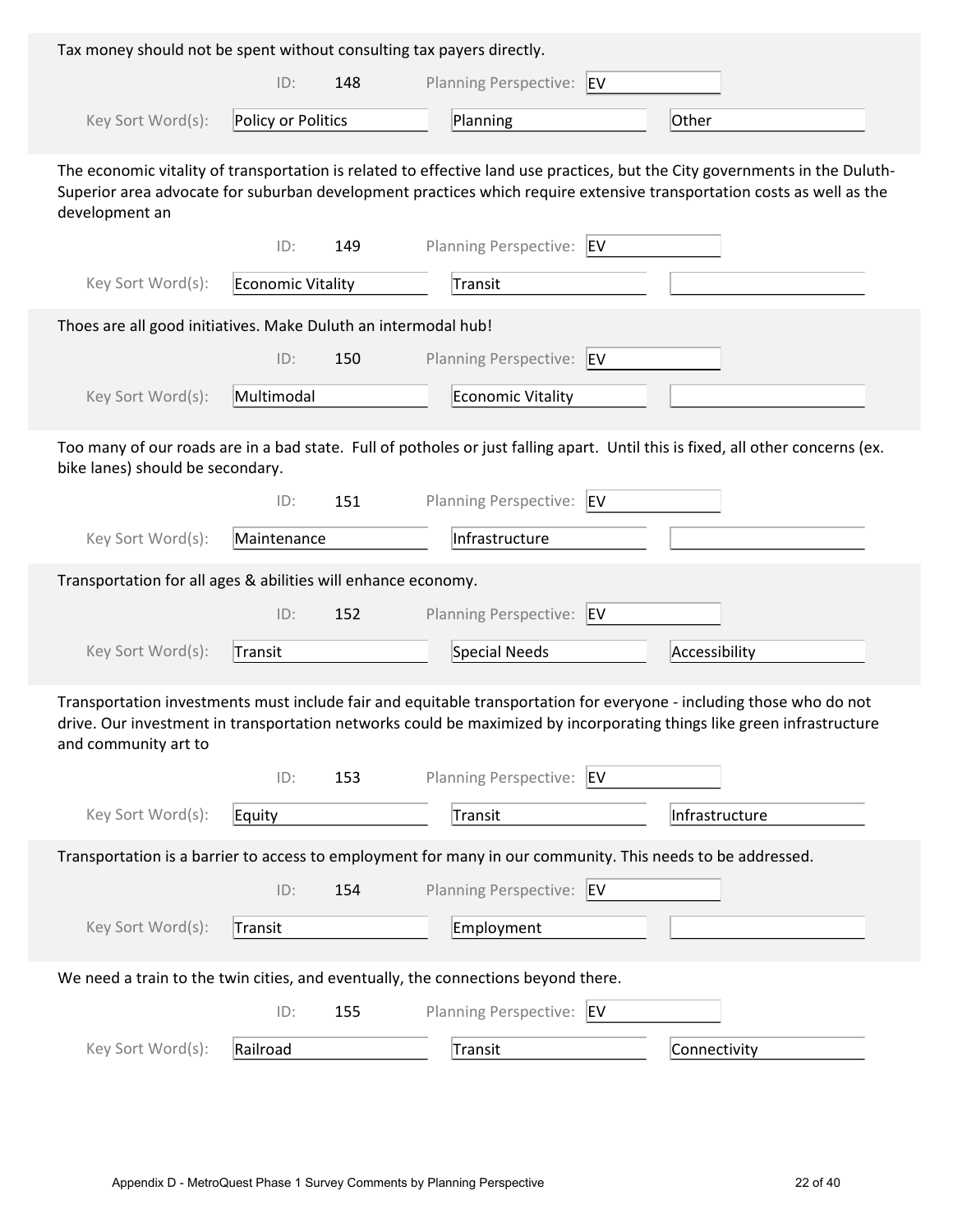| Tax money should not be spent without consulting tax payers directly. |                    |     |                                                                                                                                                                                                                                                      |  |
|-----------------------------------------------------------------------|--------------------|-----|------------------------------------------------------------------------------------------------------------------------------------------------------------------------------------------------------------------------------------------------------|--|
|                                                                       | ID:                | 148 | Planning Perspective: EV                                                                                                                                                                                                                             |  |
| Key Sort Word(s):                                                     | Policy or Politics |     | Planning<br>Other                                                                                                                                                                                                                                    |  |
| development an                                                        |                    |     | The economic vitality of transportation is related to effective land use practices, but the City governments in the Duluth-<br>Superior area advocate for suburban development practices which require extensive transportation costs as well as the |  |
|                                                                       | ID:                | 149 | Planning Perspective:<br><b>EV</b>                                                                                                                                                                                                                   |  |
| Key Sort Word(s):                                                     | Economic Vitality  |     | Transit                                                                                                                                                                                                                                              |  |
| Thoes are all good initiatives. Make Duluth an intermodal hub!        |                    |     |                                                                                                                                                                                                                                                      |  |
|                                                                       | ID:                | 150 | <b>Planning Perspective:</b><br>EV                                                                                                                                                                                                                   |  |
| Key Sort Word(s):                                                     | Multimodal         |     | <b>Economic Vitality</b>                                                                                                                                                                                                                             |  |
| bike lanes) should be secondary.                                      |                    |     | Too many of our roads are in a bad state. Full of potholes or just falling apart. Until this is fixed, all other concerns (ex.                                                                                                                       |  |
|                                                                       | ID:                | 151 | Planning Perspective:<br>EV                                                                                                                                                                                                                          |  |
| Key Sort Word(s):                                                     | Maintenance        |     | Infrastructure                                                                                                                                                                                                                                       |  |
|                                                                       |                    |     |                                                                                                                                                                                                                                                      |  |
| Transportation for all ages & abilities will enhance economy.         |                    |     |                                                                                                                                                                                                                                                      |  |
|                                                                       | ID:                | 152 | Planning Perspective:<br>EV                                                                                                                                                                                                                          |  |
| Key Sort Word(s):                                                     | Transit            |     | Special Needs<br>Accessibility                                                                                                                                                                                                                       |  |
| and community art to                                                  |                    |     | Transportation investments must include fair and equitable transportation for everyone - including those who do not<br>drive. Our investment in transportation networks could be maximized by incorporating things like green infrastructure         |  |
|                                                                       | ID:                | 153 | <b>Planning Perspective:</b><br><b>EV</b>                                                                                                                                                                                                            |  |
| Key Sort Word(s):                                                     | Equity             |     | Transit<br>Infrastructure                                                                                                                                                                                                                            |  |
|                                                                       |                    |     | Transportation is a barrier to access to employment for many in our community. This needs to be addressed.                                                                                                                                           |  |
|                                                                       | ID:                | 154 | Planning Perspective: EV                                                                                                                                                                                                                             |  |
| Key Sort Word(s):                                                     | Transit            |     | Employment                                                                                                                                                                                                                                           |  |
|                                                                       |                    |     | We need a train to the twin cities, and eventually, the connections beyond there.                                                                                                                                                                    |  |
|                                                                       | ID:                | 155 | Planning Perspective: EV                                                                                                                                                                                                                             |  |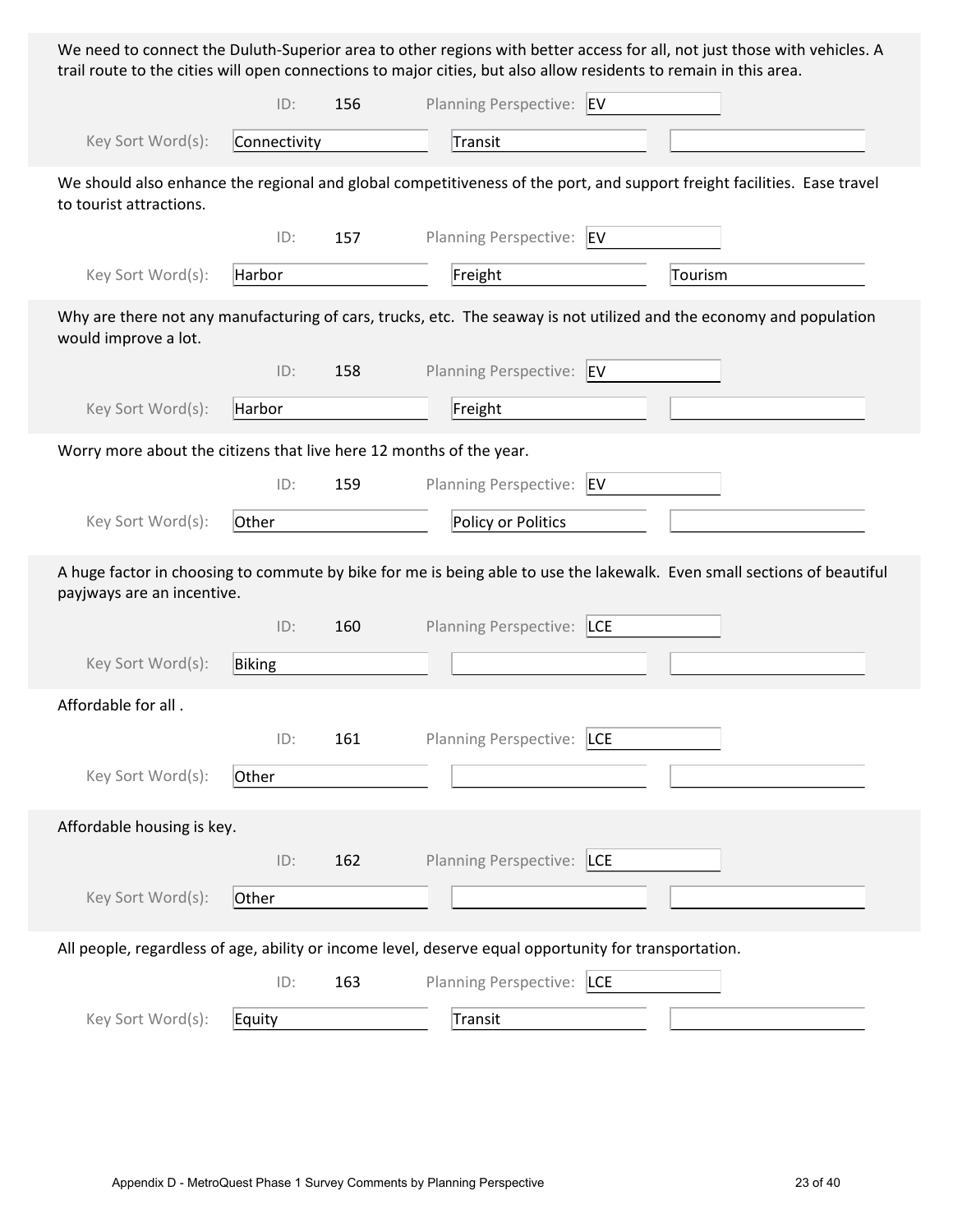We need to connect the Duluth-Superior area to other regions with better access for all, not just those with vehicles. A trail route to the cities will open connections to major cities, but also allow residents to remain in this area.

|                                                                                                                                                    | ID:          | 156 | Planning Perspective: EV     |                                                                                                                         |  |  |  |
|----------------------------------------------------------------------------------------------------------------------------------------------------|--------------|-----|------------------------------|-------------------------------------------------------------------------------------------------------------------------|--|--|--|
| Key Sort Word(s):                                                                                                                                  | Connectivity |     | Transit                      |                                                                                                                         |  |  |  |
| We should also enhance the regional and global competitiveness of the port, and support freight facilities. Ease travel<br>to tourist attractions. |              |     |                              |                                                                                                                         |  |  |  |
|                                                                                                                                                    | ID:          | 157 | Planning Perspective: EV     |                                                                                                                         |  |  |  |
| Key Sort Word(s):                                                                                                                                  | Harbor       |     | Freight                      | Tourism                                                                                                                 |  |  |  |
| would improve a lot.                                                                                                                               |              |     |                              | Why are there not any manufacturing of cars, trucks, etc. The seaway is not utilized and the economy and population     |  |  |  |
|                                                                                                                                                    | ID:          | 158 | <b>Planning Perspective:</b> | EV                                                                                                                      |  |  |  |
| Key Sort Word(s):                                                                                                                                  | Harbor       |     | Freight                      |                                                                                                                         |  |  |  |
| Worry more about the citizens that live here 12 months of the year.                                                                                |              |     |                              |                                                                                                                         |  |  |  |
|                                                                                                                                                    | ID:          | 159 | <b>Planning Perspective:</b> | EV                                                                                                                      |  |  |  |
| Key Sort Word(s):                                                                                                                                  | Other        |     | Policy or Politics           |                                                                                                                         |  |  |  |
| payjways are an incentive.                                                                                                                         |              |     |                              | A huge factor in choosing to commute by bike for me is being able to use the lakewalk. Even small sections of beautiful |  |  |  |
|                                                                                                                                                    | ID:          | 160 | Planning Perspective: LCE    |                                                                                                                         |  |  |  |
| Key Sort Word(s):                                                                                                                                  | Biking       |     |                              |                                                                                                                         |  |  |  |
| Affordable for all.                                                                                                                                |              |     |                              |                                                                                                                         |  |  |  |
|                                                                                                                                                    | ID:          | 161 | Planning Perspective: LCE    |                                                                                                                         |  |  |  |
| Key Sort Word(s):                                                                                                                                  | Other        |     |                              |                                                                                                                         |  |  |  |
| Affordable housing is key.                                                                                                                         |              |     |                              |                                                                                                                         |  |  |  |
|                                                                                                                                                    | ID:          | 162 | Planning Perspective: LCE    |                                                                                                                         |  |  |  |
| Key Sort Word(s):                                                                                                                                  | Other        |     |                              |                                                                                                                         |  |  |  |
| All people, regardless of age, ability or income level, deserve equal opportunity for transportation.                                              |              |     |                              |                                                                                                                         |  |  |  |
|                                                                                                                                                    | ID:          | 163 | Planning Perspective: LCE    |                                                                                                                         |  |  |  |
| Key Sort Word(s):                                                                                                                                  | Equity       |     | Transit                      |                                                                                                                         |  |  |  |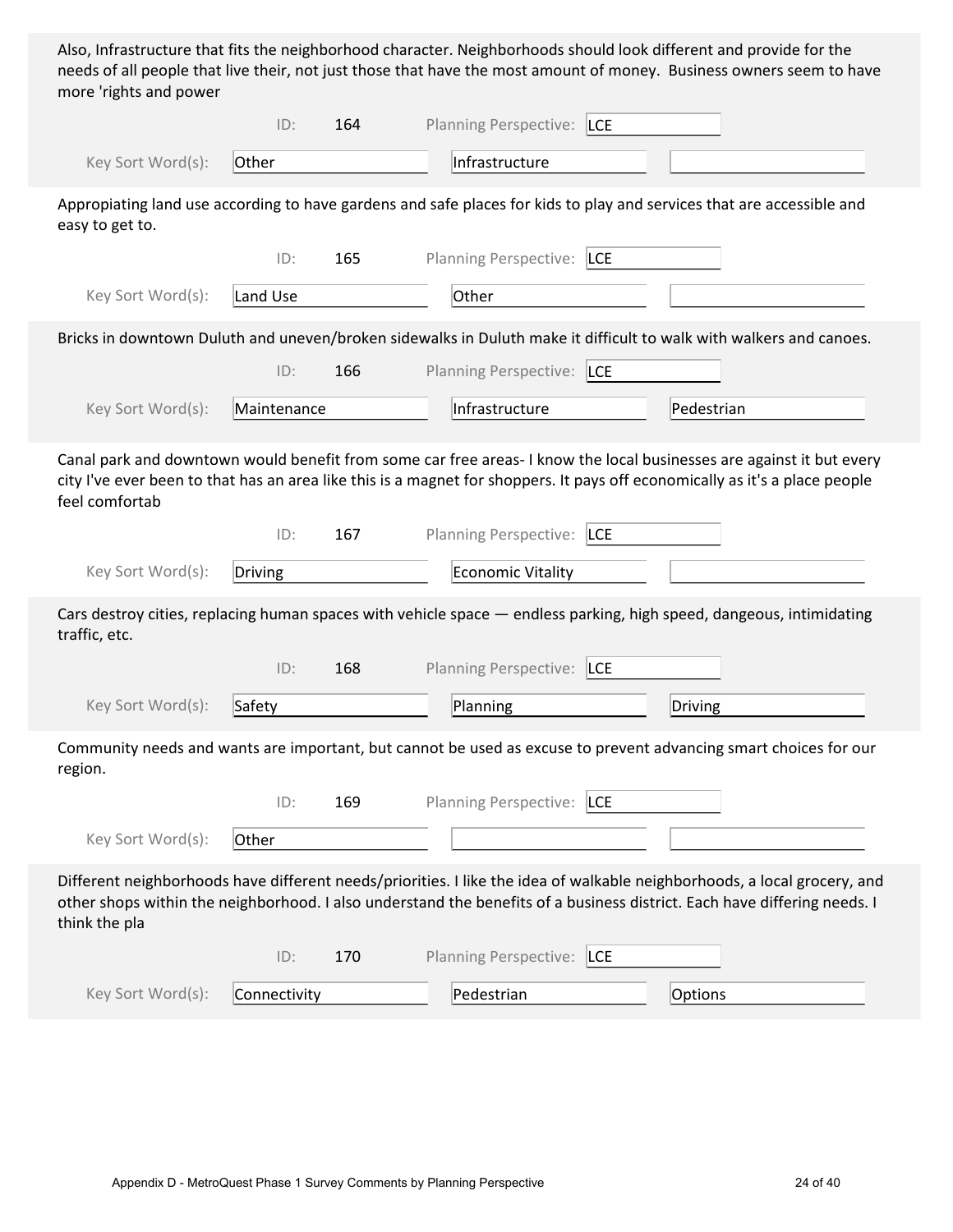Also, Infrastructure that fits the neighborhood character. Neighborhoods should look different and provide for the needs of all people that live their, not just those that have the most amount of money. Business owners seem to have more 'rights and power

|                   | ID:          | 164 | Planning Perspective: LCE  |                                                                                                                                                                                                                                                      |
|-------------------|--------------|-----|----------------------------|------------------------------------------------------------------------------------------------------------------------------------------------------------------------------------------------------------------------------------------------------|
| Key Sort Word(s): | Other        |     | Infrastructure             |                                                                                                                                                                                                                                                      |
| easy to get to.   |              |     |                            | Appropiating land use according to have gardens and safe places for kids to play and services that are accessible and                                                                                                                                |
|                   | ID:          | 165 | Planning Perspective: LCE  |                                                                                                                                                                                                                                                      |
| Key Sort Word(s): | Land Use     |     | Other                      |                                                                                                                                                                                                                                                      |
|                   |              |     |                            | Bricks in downtown Duluth and uneven/broken sidewalks in Duluth make it difficult to walk with walkers and canoes.                                                                                                                                   |
|                   | ID:          | 166 | Planning Perspective: LCE  |                                                                                                                                                                                                                                                      |
| Key Sort Word(s): | Maintenance  |     | Infrastructure             | Pedestrian                                                                                                                                                                                                                                           |
| feel comfortab    |              |     |                            | Canal park and downtown would benefit from some car free areas-I know the local businesses are against it but every<br>city I've ever been to that has an area like this is a magnet for shoppers. It pays off economically as it's a place people   |
|                   | ID:          | 167 | Planning Perspective: LCE  |                                                                                                                                                                                                                                                      |
| Key Sort Word(s): | Driving      |     | <b>Economic Vitality</b>   |                                                                                                                                                                                                                                                      |
| traffic, etc.     |              |     |                            | Cars destroy cities, replacing human spaces with vehicle space - endless parking, high speed, dangeous, intimidating                                                                                                                                 |
|                   | ID:          | 168 | Planning Perspective: LCE  |                                                                                                                                                                                                                                                      |
| Key Sort Word(s): | Safety       |     | Planning                   | Driving                                                                                                                                                                                                                                              |
| region.           |              |     |                            | Community needs and wants are important, but cannot be used as excuse to prevent advancing smart choices for our                                                                                                                                     |
|                   | ID:          | 169 | Planning Perspective:  LCE |                                                                                                                                                                                                                                                      |
| Key Sort Word(s): | Other        |     |                            |                                                                                                                                                                                                                                                      |
| think the pla     |              |     |                            | Different neighborhoods have different needs/priorities. I like the idea of walkable neighborhoods, a local grocery, and<br>other shops within the neighborhood. I also understand the benefits of a business district. Each have differing needs. I |
|                   | ID:          | 170 | Planning Perspective: LCE  |                                                                                                                                                                                                                                                      |
| Key Sort Word(s): | Connectivity |     | Pedestrian                 | Options                                                                                                                                                                                                                                              |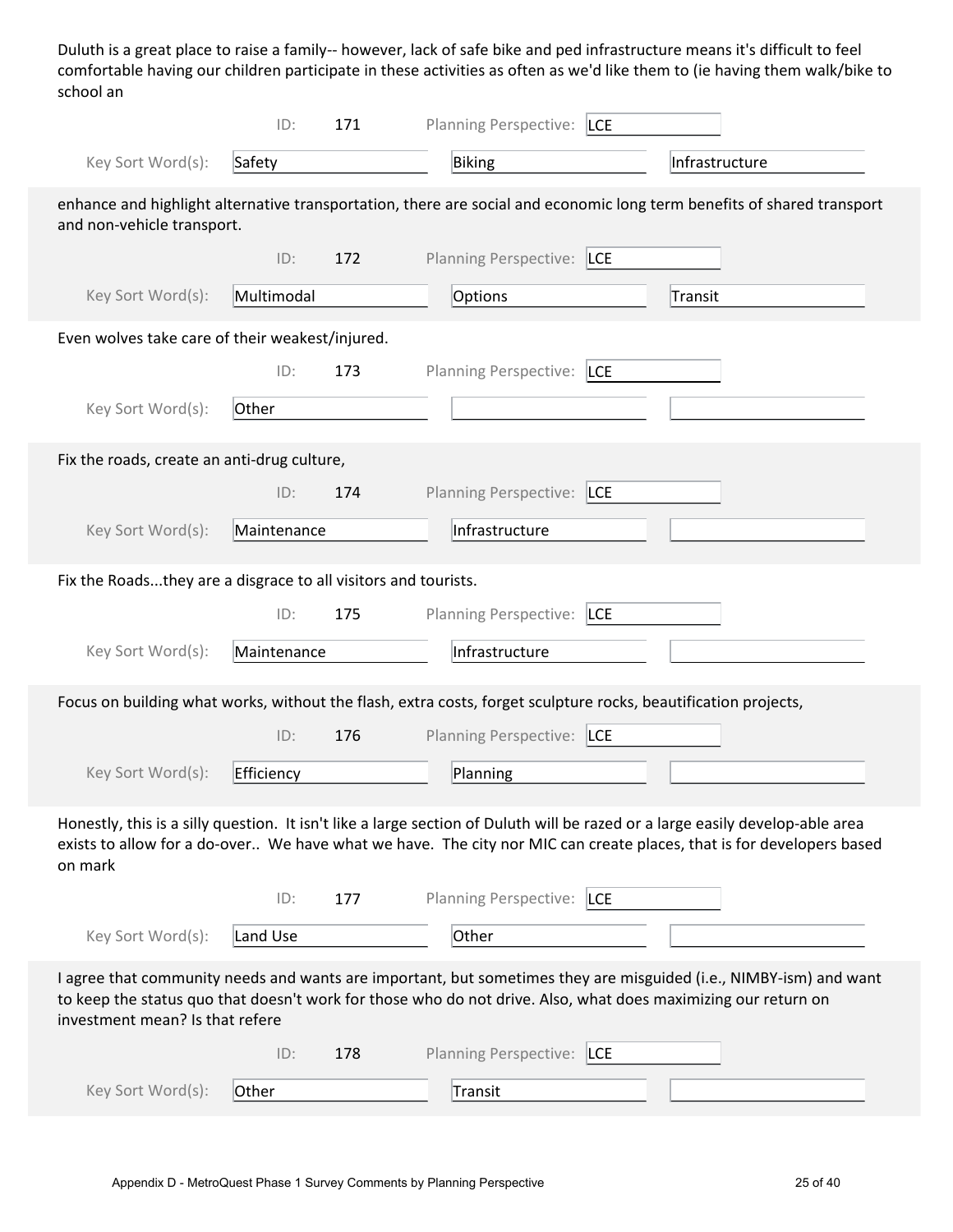Duluth is a great place to raise a family-- however, lack of safe bike and ped infrastructure means it's difficult to feel comfortable having our children participate in these activities as often as we'd like them to (ie having them walk/bike to school an

|                                                                                                                                                      | ID:                                                                                                                                                                                                                                                                   | 171 | Planning Perspective: LCE                                                                                      |                                                                                                                                                                                                                                                       |  |  |  |
|------------------------------------------------------------------------------------------------------------------------------------------------------|-----------------------------------------------------------------------------------------------------------------------------------------------------------------------------------------------------------------------------------------------------------------------|-----|----------------------------------------------------------------------------------------------------------------|-------------------------------------------------------------------------------------------------------------------------------------------------------------------------------------------------------------------------------------------------------|--|--|--|
| Key Sort Word(s):                                                                                                                                    | Safety                                                                                                                                                                                                                                                                |     | Biking                                                                                                         | Infrastructure                                                                                                                                                                                                                                        |  |  |  |
| enhance and highlight alternative transportation, there are social and economic long term benefits of shared transport<br>and non-vehicle transport. |                                                                                                                                                                                                                                                                       |     |                                                                                                                |                                                                                                                                                                                                                                                       |  |  |  |
|                                                                                                                                                      | ID:                                                                                                                                                                                                                                                                   | 172 | Planning Perspective: LCE                                                                                      |                                                                                                                                                                                                                                                       |  |  |  |
| Key Sort Word(s):                                                                                                                                    | Multimodal                                                                                                                                                                                                                                                            |     | Options                                                                                                        | Transit                                                                                                                                                                                                                                               |  |  |  |
| Even wolves take care of their weakest/injured.                                                                                                      |                                                                                                                                                                                                                                                                       |     |                                                                                                                |                                                                                                                                                                                                                                                       |  |  |  |
|                                                                                                                                                      | ID:                                                                                                                                                                                                                                                                   | 173 | Planning Perspective: LCE                                                                                      |                                                                                                                                                                                                                                                       |  |  |  |
| Key Sort Word(s):                                                                                                                                    | Other                                                                                                                                                                                                                                                                 |     |                                                                                                                |                                                                                                                                                                                                                                                       |  |  |  |
| Fix the roads, create an anti-drug culture,                                                                                                          |                                                                                                                                                                                                                                                                       |     |                                                                                                                |                                                                                                                                                                                                                                                       |  |  |  |
|                                                                                                                                                      | ID:                                                                                                                                                                                                                                                                   | 174 | Planning Perspective: LCE                                                                                      |                                                                                                                                                                                                                                                       |  |  |  |
| Key Sort Word(s):                                                                                                                                    | Maintenance                                                                                                                                                                                                                                                           |     | Infrastructure                                                                                                 |                                                                                                                                                                                                                                                       |  |  |  |
| Fix the Roadsthey are a disgrace to all visitors and tourists.                                                                                       |                                                                                                                                                                                                                                                                       |     |                                                                                                                |                                                                                                                                                                                                                                                       |  |  |  |
|                                                                                                                                                      | ID:                                                                                                                                                                                                                                                                   | 175 | Planning Perspective:  LCE                                                                                     |                                                                                                                                                                                                                                                       |  |  |  |
| Key Sort Word(s):                                                                                                                                    | Maintenance                                                                                                                                                                                                                                                           |     | Infrastructure                                                                                                 |                                                                                                                                                                                                                                                       |  |  |  |
|                                                                                                                                                      |                                                                                                                                                                                                                                                                       |     | Focus on building what works, without the flash, extra costs, forget sculpture rocks, beautification projects, |                                                                                                                                                                                                                                                       |  |  |  |
|                                                                                                                                                      | ID:                                                                                                                                                                                                                                                                   | 176 | Planning Perspective: LCE                                                                                      |                                                                                                                                                                                                                                                       |  |  |  |
| Key Sort Word(s):                                                                                                                                    | Efficiency                                                                                                                                                                                                                                                            |     | Planning                                                                                                       |                                                                                                                                                                                                                                                       |  |  |  |
| on mark                                                                                                                                              |                                                                                                                                                                                                                                                                       |     |                                                                                                                | Honestly, this is a silly question. It isn't like a large section of Duluth will be razed or a large easily develop-able area<br>exists to allow for a do-over We have what we have. The city nor MIC can create places, that is for developers based |  |  |  |
|                                                                                                                                                      | ID:                                                                                                                                                                                                                                                                   | 177 | <b>Planning Perspective:</b><br><b>LCE</b>                                                                     |                                                                                                                                                                                                                                                       |  |  |  |
| Key Sort Word(s):                                                                                                                                    | Land Use                                                                                                                                                                                                                                                              |     | Other                                                                                                          |                                                                                                                                                                                                                                                       |  |  |  |
|                                                                                                                                                      | I agree that community needs and wants are important, but sometimes they are misguided (i.e., NIMBY-ism) and want<br>to keep the status quo that doesn't work for those who do not drive. Also, what does maximizing our return on<br>investment mean? Is that refere |     |                                                                                                                |                                                                                                                                                                                                                                                       |  |  |  |
|                                                                                                                                                      | ID:                                                                                                                                                                                                                                                                   | 178 | Planning Perspective: LCE                                                                                      |                                                                                                                                                                                                                                                       |  |  |  |
| Key Sort Word(s):                                                                                                                                    | Other                                                                                                                                                                                                                                                                 |     | Transit                                                                                                        |                                                                                                                                                                                                                                                       |  |  |  |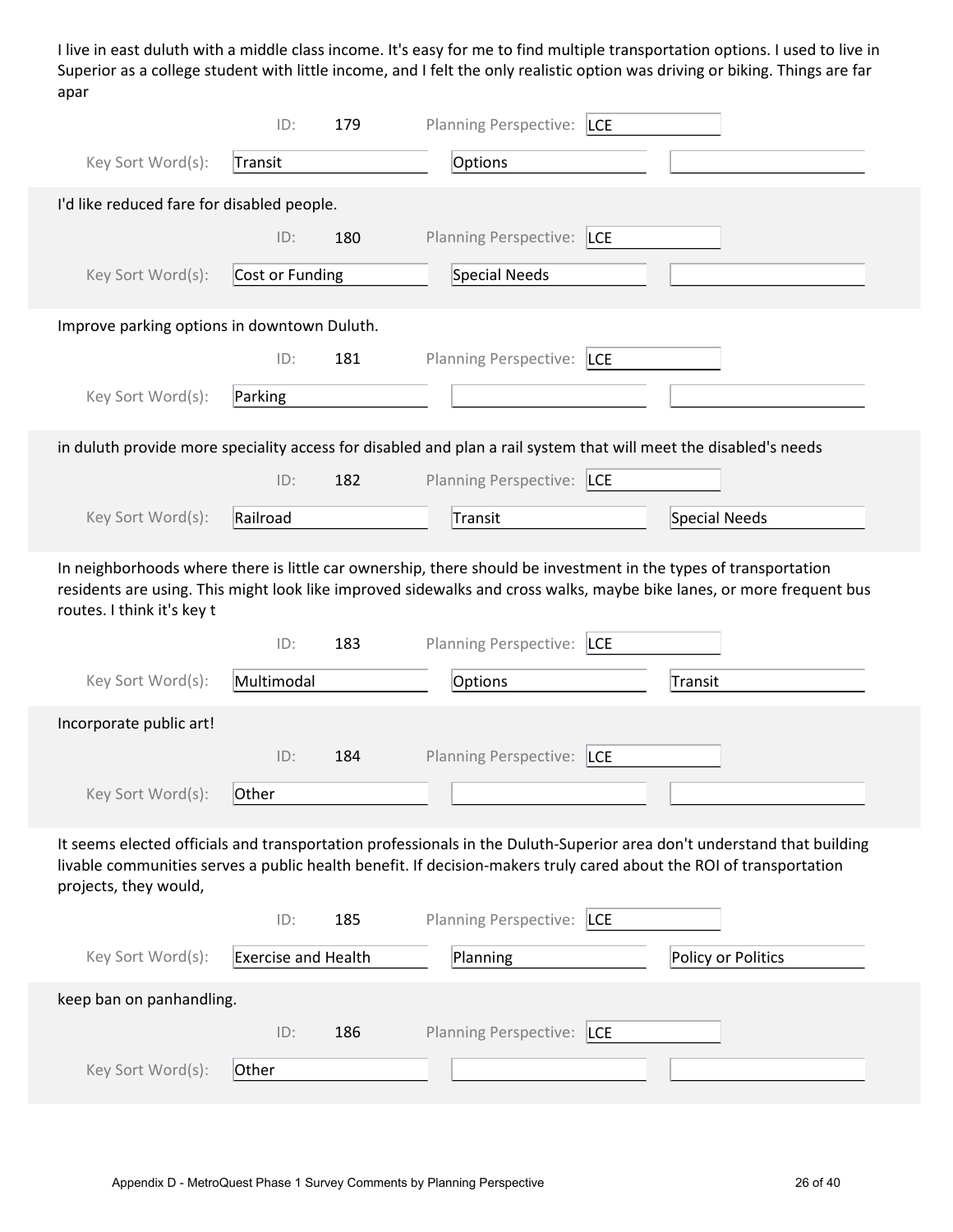I live in east duluth with a middle class income. It's easy for me to find multiple transportation options. I used to live in Superior as a college student with little income, and I felt the only realistic option was driving or biking. Things are far apar

|                                                                                                                  | ID:                        | 179 | Planning Perspective:  LCE |                                                                                                                                                                                                                                              |  |
|------------------------------------------------------------------------------------------------------------------|----------------------------|-----|----------------------------|----------------------------------------------------------------------------------------------------------------------------------------------------------------------------------------------------------------------------------------------|--|
| Key Sort Word(s):                                                                                                | Transit                    |     | Options                    |                                                                                                                                                                                                                                              |  |
| I'd like reduced fare for disabled people.                                                                       |                            |     |                            |                                                                                                                                                                                                                                              |  |
|                                                                                                                  | ID:                        | 180 | Planning Perspective: LCE  |                                                                                                                                                                                                                                              |  |
| Key Sort Word(s):                                                                                                | Cost or Funding            |     | <b>Special Needs</b>       |                                                                                                                                                                                                                                              |  |
| Improve parking options in downtown Duluth.                                                                      |                            |     |                            |                                                                                                                                                                                                                                              |  |
|                                                                                                                  | ID:                        | 181 | Planning Perspective: LCE  |                                                                                                                                                                                                                                              |  |
| Key Sort Word(s):                                                                                                | Parking                    |     |                            |                                                                                                                                                                                                                                              |  |
| in duluth provide more speciality access for disabled and plan a rail system that will meet the disabled's needs |                            |     |                            |                                                                                                                                                                                                                                              |  |
|                                                                                                                  | ID:                        | 182 | Planning Perspective: LCE  |                                                                                                                                                                                                                                              |  |
| Key Sort Word(s):                                                                                                | Railroad                   |     | Transit                    | Special Needs                                                                                                                                                                                                                                |  |
|                                                                                                                  |                            |     |                            | In neighborhoods where there is little car ownership, there should be investment in the types of transportation<br>residents are using. This might look like improved sidewalks and cross walks, maybe bike lanes, or more frequent bus      |  |
| routes. I think it's key t                                                                                       |                            |     |                            |                                                                                                                                                                                                                                              |  |
|                                                                                                                  | ID:                        | 183 | Planning Perspective:  LCE |                                                                                                                                                                                                                                              |  |
| Key Sort Word(s):                                                                                                | Multimodal                 |     | Options                    | Transit                                                                                                                                                                                                                                      |  |
| Incorporate public art!                                                                                          |                            |     |                            |                                                                                                                                                                                                                                              |  |
|                                                                                                                  | ID:                        | 184 | Planning Perspective: LCE  |                                                                                                                                                                                                                                              |  |
| Key Sort Word(s):                                                                                                | Other                      |     |                            |                                                                                                                                                                                                                                              |  |
| projects, they would,                                                                                            |                            |     |                            | It seems elected officials and transportation professionals in the Duluth-Superior area don't understand that building<br>livable communities serves a public health benefit. If decision-makers truly cared about the ROI of transportation |  |
|                                                                                                                  | ID:                        | 185 | Planning Perspective:  LCE |                                                                                                                                                                                                                                              |  |
| Key Sort Word(s):                                                                                                | <b>Exercise and Health</b> |     | Planning                   | Policy or Politics                                                                                                                                                                                                                           |  |
| keep ban on panhandling.                                                                                         |                            |     |                            |                                                                                                                                                                                                                                              |  |
|                                                                                                                  | ID:                        | 186 | Planning Perspective: LCE  |                                                                                                                                                                                                                                              |  |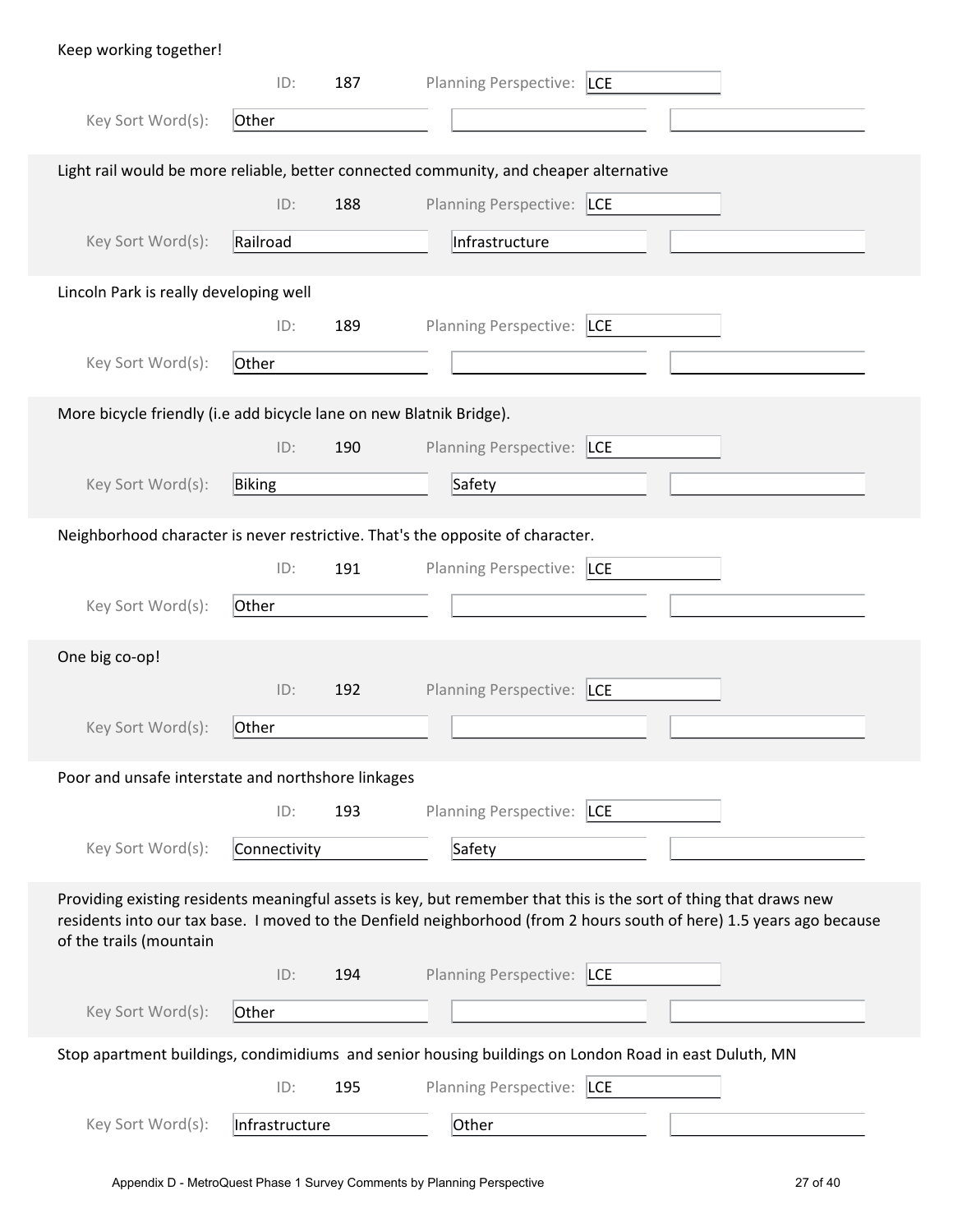| Keep working together!                                              |                |     |                                                                                                                                                                                                                                           |
|---------------------------------------------------------------------|----------------|-----|-------------------------------------------------------------------------------------------------------------------------------------------------------------------------------------------------------------------------------------------|
|                                                                     | ID:            | 187 | Planning Perspective: LCE                                                                                                                                                                                                                 |
| Key Sort Word(s):                                                   | Other          |     |                                                                                                                                                                                                                                           |
|                                                                     |                |     | Light rail would be more reliable, better connected community, and cheaper alternative                                                                                                                                                    |
|                                                                     | ID:            | 188 | Planning Perspective: LCE                                                                                                                                                                                                                 |
| Key Sort Word(s):                                                   | Railroad       |     | Infrastructure                                                                                                                                                                                                                            |
| Lincoln Park is really developing well                              |                |     |                                                                                                                                                                                                                                           |
|                                                                     | ID:            | 189 | Planning Perspective:  LCE                                                                                                                                                                                                                |
| Key Sort Word(s):                                                   | Other          |     |                                                                                                                                                                                                                                           |
| More bicycle friendly (i.e add bicycle lane on new Blatnik Bridge). |                |     |                                                                                                                                                                                                                                           |
|                                                                     | ID:            | 190 | Planning Perspective: LCE                                                                                                                                                                                                                 |
| Key Sort Word(s):                                                   | Biking         |     | Safety                                                                                                                                                                                                                                    |
|                                                                     |                |     | Neighborhood character is never restrictive. That's the opposite of character.                                                                                                                                                            |
|                                                                     | ID:            | 191 | Planning Perspective: LCE                                                                                                                                                                                                                 |
| Key Sort Word(s):                                                   | Other          |     |                                                                                                                                                                                                                                           |
| One big co-op!                                                      |                |     |                                                                                                                                                                                                                                           |
|                                                                     | ID:            | 192 | Planning Perspective: LCE                                                                                                                                                                                                                 |
| Key Sort Word(s):                                                   | Other          |     |                                                                                                                                                                                                                                           |
| Poor and unsafe interstate and northshore linkages                  |                |     |                                                                                                                                                                                                                                           |
|                                                                     | ID:            | 193 | Planning Perspective:<br><b>LCE</b>                                                                                                                                                                                                       |
| Key Sort Word(s):                                                   | Connectivity   |     | Safety                                                                                                                                                                                                                                    |
| of the trails (mountain                                             |                |     | Providing existing residents meaningful assets is key, but remember that this is the sort of thing that draws new<br>residents into our tax base. I moved to the Denfield neighborhood (from 2 hours south of here) 1.5 years ago because |
|                                                                     | ID:            | 194 | Planning Perspective: LCE                                                                                                                                                                                                                 |
| Key Sort Word(s):                                                   | Other          |     |                                                                                                                                                                                                                                           |
|                                                                     |                |     | Stop apartment buildings, condimidiums and senior housing buildings on London Road in east Duluth, MN                                                                                                                                     |
|                                                                     | ID:            | 195 | Planning Perspective:  LCE                                                                                                                                                                                                                |
| Key Sort Word(s):                                                   | Infrastructure |     | Other                                                                                                                                                                                                                                     |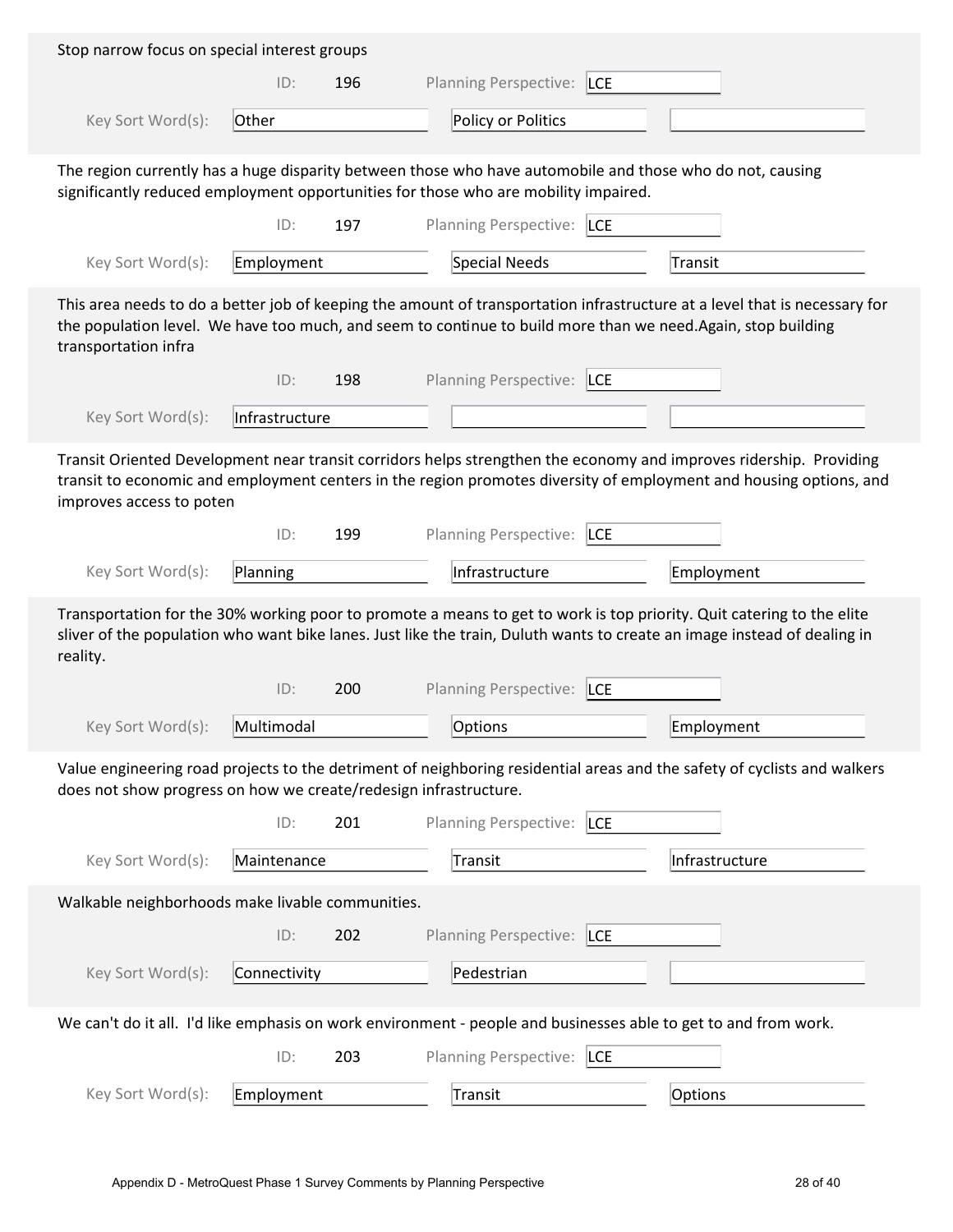| Stop narrow focus on special interest groups                     |                |     |                                                                                                                                                                                                                                                   |                                                                                                                            |
|------------------------------------------------------------------|----------------|-----|---------------------------------------------------------------------------------------------------------------------------------------------------------------------------------------------------------------------------------------------------|----------------------------------------------------------------------------------------------------------------------------|
|                                                                  | ID:            | 196 | <b>Planning Perspective:</b><br><b>LCE</b>                                                                                                                                                                                                        |                                                                                                                            |
| Key Sort Word(s):                                                | Other          |     | Policy or Politics                                                                                                                                                                                                                                |                                                                                                                            |
|                                                                  |                |     | The region currently has a huge disparity between those who have automobile and those who do not, causing<br>significantly reduced employment opportunities for those who are mobility impaired.                                                  |                                                                                                                            |
|                                                                  | ID:            | 197 | <b>Planning Perspective:</b><br><b>LCE</b>                                                                                                                                                                                                        |                                                                                                                            |
| Key Sort Word(s):                                                | Employment     |     | Special Needs                                                                                                                                                                                                                                     | <b>Transit</b>                                                                                                             |
| transportation infra                                             |                |     | the population level. We have too much, and seem to continue to build more than we need. Again, stop building                                                                                                                                     | This area needs to do a better job of keeping the amount of transportation infrastructure at a level that is necessary for |
|                                                                  | ID:            | 198 | <b>Planning Perspective:</b><br><b>LCE</b>                                                                                                                                                                                                        |                                                                                                                            |
| Key Sort Word(s):                                                | Infrastructure |     |                                                                                                                                                                                                                                                   |                                                                                                                            |
| improves access to poten                                         |                |     | Transit Oriented Development near transit corridors helps strengthen the economy and improves ridership. Providing                                                                                                                                | transit to economic and employment centers in the region promotes diversity of employment and housing options, and         |
|                                                                  | ID:            | 199 | <b>Planning Perspective:</b><br><b>LCE</b>                                                                                                                                                                                                        |                                                                                                                            |
| Key Sort Word(s):                                                | Planning       |     | Infrastructure                                                                                                                                                                                                                                    | Employment                                                                                                                 |
| reality.                                                         |                |     | Transportation for the 30% working poor to promote a means to get to work is top priority. Quit catering to the elite<br>sliver of the population who want bike lanes. Just like the train, Duluth wants to create an image instead of dealing in |                                                                                                                            |
|                                                                  | ID:            | 200 | <b>Planning Perspective:</b><br><b>LCE</b>                                                                                                                                                                                                        |                                                                                                                            |
| Key Sort Word(s):                                                | Multimodal     |     | Options                                                                                                                                                                                                                                           | Employment                                                                                                                 |
| does not show progress on how we create/redesign infrastructure. |                |     |                                                                                                                                                                                                                                                   | Value engineering road projects to the detriment of neighboring residential areas and the safety of cyclists and walkers   |
|                                                                  | ID:            | 201 | Planning Perspective:<br><b>LCE</b>                                                                                                                                                                                                               |                                                                                                                            |
| Key Sort Word(s):                                                | Maintenance    |     | <b>Transit</b>                                                                                                                                                                                                                                    | Infrastructure                                                                                                             |
| Walkable neighborhoods make livable communities.                 |                |     |                                                                                                                                                                                                                                                   |                                                                                                                            |
|                                                                  | ID:            | 202 | <b>Planning Perspective:</b><br><b>LCE</b>                                                                                                                                                                                                        |                                                                                                                            |
| Key Sort Word(s):                                                | Connectivity   |     | Pedestrian                                                                                                                                                                                                                                        |                                                                                                                            |
|                                                                  |                |     | We can't do it all. I'd like emphasis on work environment - people and businesses able to get to and from work.                                                                                                                                   |                                                                                                                            |
|                                                                  | ID:            | 203 | <b>Planning Perspective:</b><br><b>LCE</b>                                                                                                                                                                                                        |                                                                                                                            |
| Key Sort Word(s):                                                | Employment     |     | Transit                                                                                                                                                                                                                                           | Options                                                                                                                    |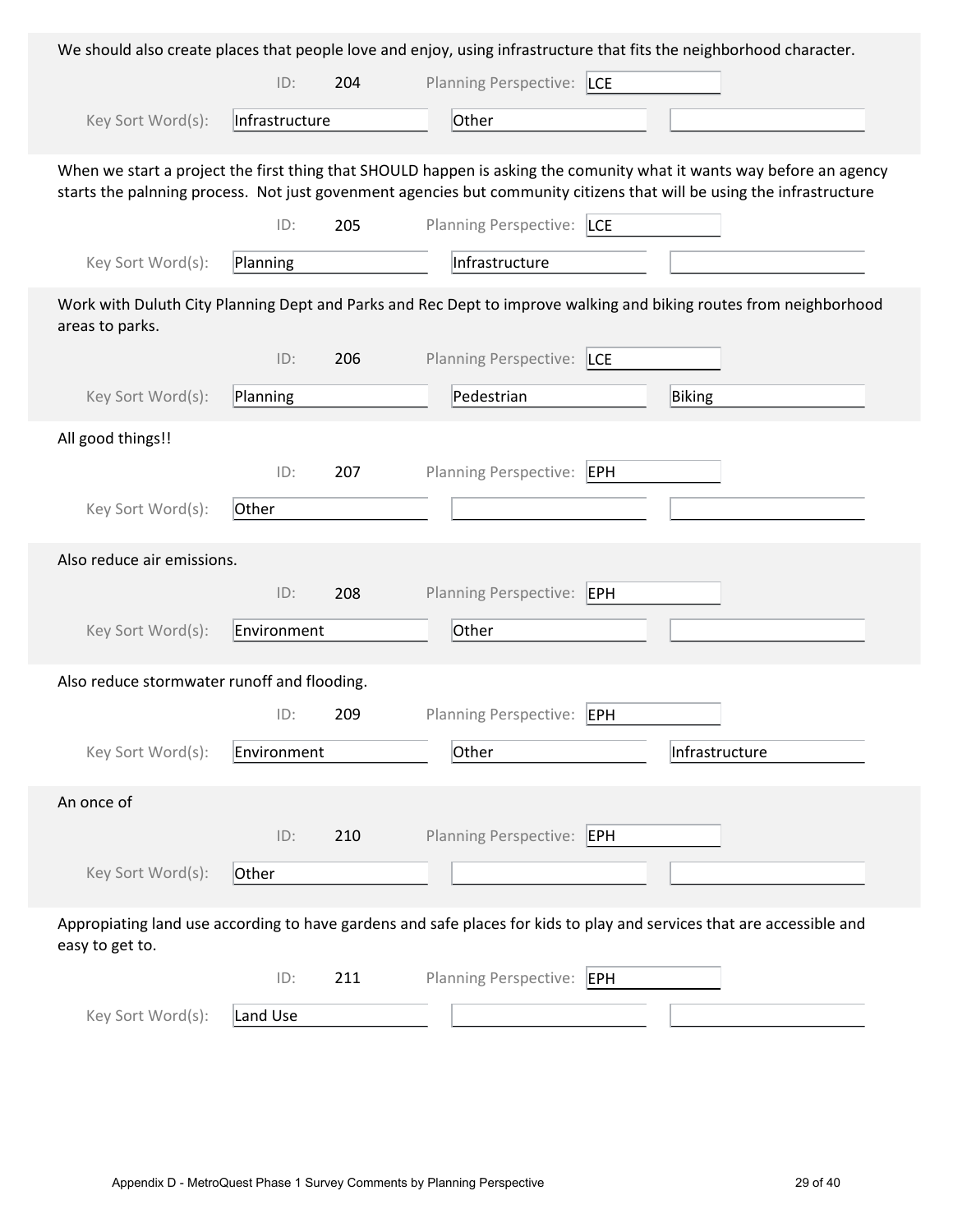|                                             |                |     |                                            | We should also create places that people love and enjoy, using infrastructure that fits the neighborhood character.                                                                                                                           |
|---------------------------------------------|----------------|-----|--------------------------------------------|-----------------------------------------------------------------------------------------------------------------------------------------------------------------------------------------------------------------------------------------------|
|                                             | ID:            | 204 | Planning Perspective: LCE                  |                                                                                                                                                                                                                                               |
| Key Sort Word(s):                           | Infrastructure |     | Other                                      |                                                                                                                                                                                                                                               |
|                                             |                |     |                                            | When we start a project the first thing that SHOULD happen is asking the comunity what it wants way before an agency<br>starts the palnning process. Not just govenment agencies but community citizens that will be using the infrastructure |
|                                             | ID:            | 205 | Planning Perspective: LCE                  |                                                                                                                                                                                                                                               |
| Key Sort Word(s):                           | Planning       |     | Infrastructure                             |                                                                                                                                                                                                                                               |
| areas to parks.                             |                |     |                                            | Work with Duluth City Planning Dept and Parks and Rec Dept to improve walking and biking routes from neighborhood                                                                                                                             |
|                                             | ID:            | 206 | <b>Planning Perspective:</b><br><b>LCE</b> |                                                                                                                                                                                                                                               |
| Key Sort Word(s):                           | Planning       |     | Pedestrian                                 | Biking                                                                                                                                                                                                                                        |
| All good things!!                           |                |     |                                            |                                                                                                                                                                                                                                               |
|                                             | ID:            | 207 | Planning Perspective:<br>EPH               |                                                                                                                                                                                                                                               |
| Key Sort Word(s):                           | Other          |     |                                            |                                                                                                                                                                                                                                               |
| Also reduce air emissions.                  |                |     |                                            |                                                                                                                                                                                                                                               |
|                                             | ID:            | 208 | <b>Planning Perspective:</b><br>EPH        |                                                                                                                                                                                                                                               |
| Key Sort Word(s):                           | Environment    |     | Other                                      |                                                                                                                                                                                                                                               |
| Also reduce stormwater runoff and flooding. |                |     |                                            |                                                                                                                                                                                                                                               |
|                                             | ID:            | 209 | Planning Perspective: EPH                  |                                                                                                                                                                                                                                               |
| Key Sort Word(s):                           | Environment    |     | Other                                      | Infrastructure                                                                                                                                                                                                                                |
| An once of                                  |                |     |                                            |                                                                                                                                                                                                                                               |
|                                             | ID:            | 210 | Planning Perspective: EPH                  |                                                                                                                                                                                                                                               |
| Key Sort Word(s):                           | Other          |     |                                            |                                                                                                                                                                                                                                               |
| easy to get to.                             |                |     |                                            | Appropiating land use according to have gardens and safe places for kids to play and services that are accessible and                                                                                                                         |
|                                             | ID:            | 211 | <b>Planning Perspective:</b><br>EPH        |                                                                                                                                                                                                                                               |
| Key Sort Word(s):                           | Land Use       |     |                                            |                                                                                                                                                                                                                                               |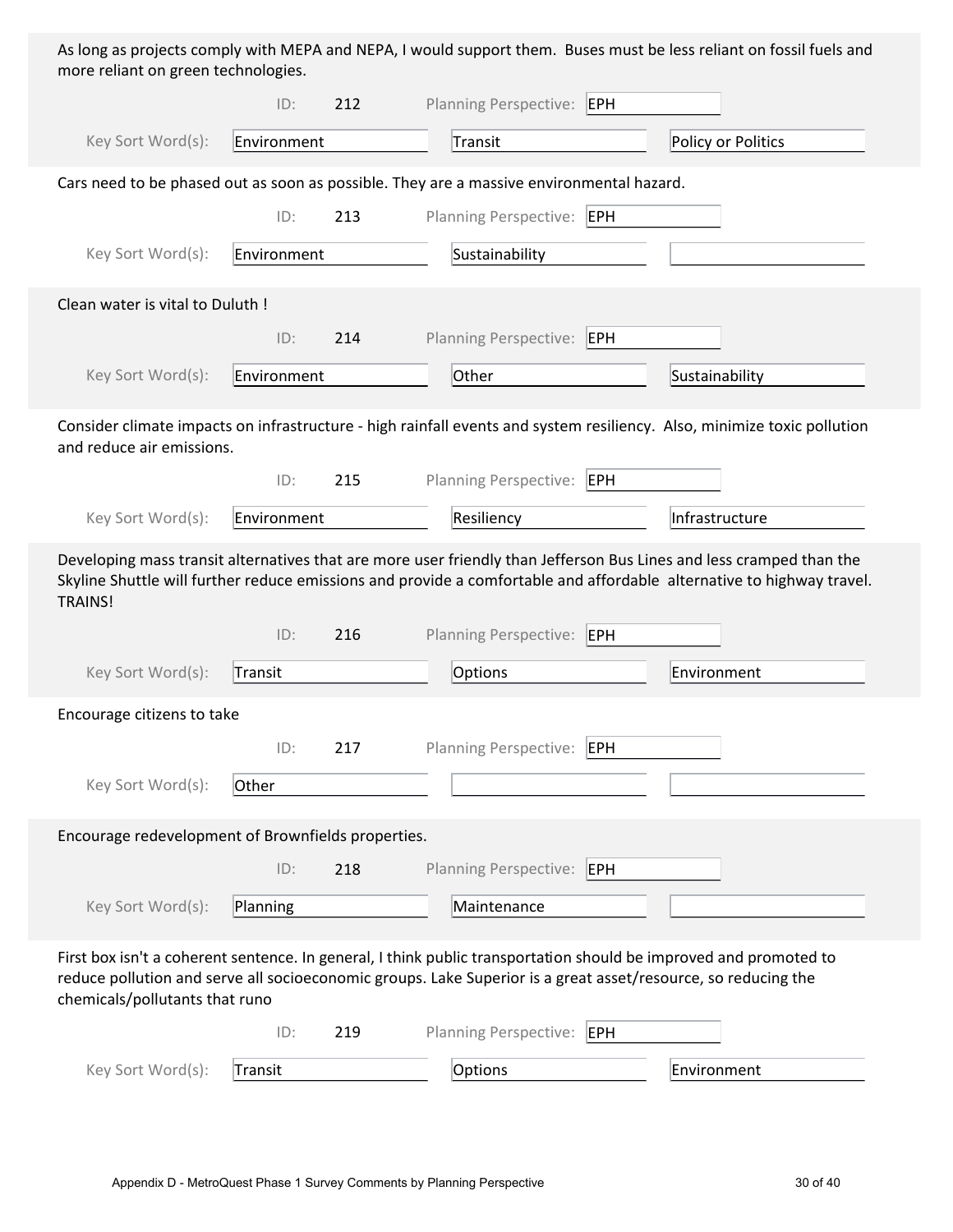| As long as projects comply with MEPA and NEPA, I would support them. Buses must be less reliant on fossil fuels and |  |  |
|---------------------------------------------------------------------------------------------------------------------|--|--|
| more reliant on green technologies.                                                                                 |  |  |

|                                                                                                                                                 | ID:         | 212 | Planning Perspective: EPH    |     |                                                                                                                                                                                                                                              |
|-------------------------------------------------------------------------------------------------------------------------------------------------|-------------|-----|------------------------------|-----|----------------------------------------------------------------------------------------------------------------------------------------------------------------------------------------------------------------------------------------------|
| Key Sort Word(s):                                                                                                                               | Environment |     | Transit                      |     | Policy or Politics                                                                                                                                                                                                                           |
| Cars need to be phased out as soon as possible. They are a massive environmental hazard.                                                        |             |     |                              |     |                                                                                                                                                                                                                                              |
|                                                                                                                                                 | ID:         | 213 | <b>Planning Perspective:</b> | EPH |                                                                                                                                                                                                                                              |
| Key Sort Word(s):                                                                                                                               | Environment |     | Sustainability               |     |                                                                                                                                                                                                                                              |
| Clean water is vital to Duluth !                                                                                                                |             |     |                              |     |                                                                                                                                                                                                                                              |
|                                                                                                                                                 | ID:         | 214 | Planning Perspective: EPH    |     |                                                                                                                                                                                                                                              |
| Key Sort Word(s):                                                                                                                               | Environment |     | Other                        |     | Sustainability                                                                                                                                                                                                                               |
| and reduce air emissions.                                                                                                                       |             |     |                              |     | Consider climate impacts on infrastructure - high rainfall events and system resiliency. Also, minimize toxic pollution                                                                                                                      |
|                                                                                                                                                 | ID:         | 215 | Planning Perspective:        | EPH |                                                                                                                                                                                                                                              |
| Key Sort Word(s):                                                                                                                               | Environment |     | Resiliency                   |     | Infrastructure                                                                                                                                                                                                                               |
| <b>TRAINS!</b>                                                                                                                                  |             |     |                              |     | Developing mass transit alternatives that are more user friendly than Jefferson Bus Lines and less cramped than the<br>Skyline Shuttle will further reduce emissions and provide a comfortable and affordable alternative to highway travel. |
|                                                                                                                                                 | ID:         | 216 | Planning Perspective: EPH    |     |                                                                                                                                                                                                                                              |
| Key Sort Word(s):                                                                                                                               | Transit     |     | Options                      |     | Environment                                                                                                                                                                                                                                  |
| Encourage citizens to take                                                                                                                      |             |     |                              |     |                                                                                                                                                                                                                                              |
|                                                                                                                                                 | ID:         | 217 | <b>Planning Perspective:</b> | EPH |                                                                                                                                                                                                                                              |
| Key Sort Word(s):                                                                                                                               | Other       |     |                              |     |                                                                                                                                                                                                                                              |
| Encourage redevelopment of Brownfields properties.                                                                                              |             |     |                              |     |                                                                                                                                                                                                                                              |
|                                                                                                                                                 | ID:         | 218 | Planning Perspective: EPH    |     |                                                                                                                                                                                                                                              |
| Key Sort Word(s):                                                                                                                               | Planning    |     | Maintenance                  |     |                                                                                                                                                                                                                                              |
| reduce pollution and serve all socioeconomic groups. Lake Superior is a great asset/resource, so reducing the<br>chemicals/pollutants that runo |             |     |                              |     | First box isn't a coherent sentence. In general, I think public transportation should be improved and promoted to                                                                                                                            |
|                                                                                                                                                 | ID:         | 219 | <b>Planning Perspective:</b> | EPH |                                                                                                                                                                                                                                              |
| Key Sort Word(s):                                                                                                                               | Transit     |     | Options                      |     | Environment                                                                                                                                                                                                                                  |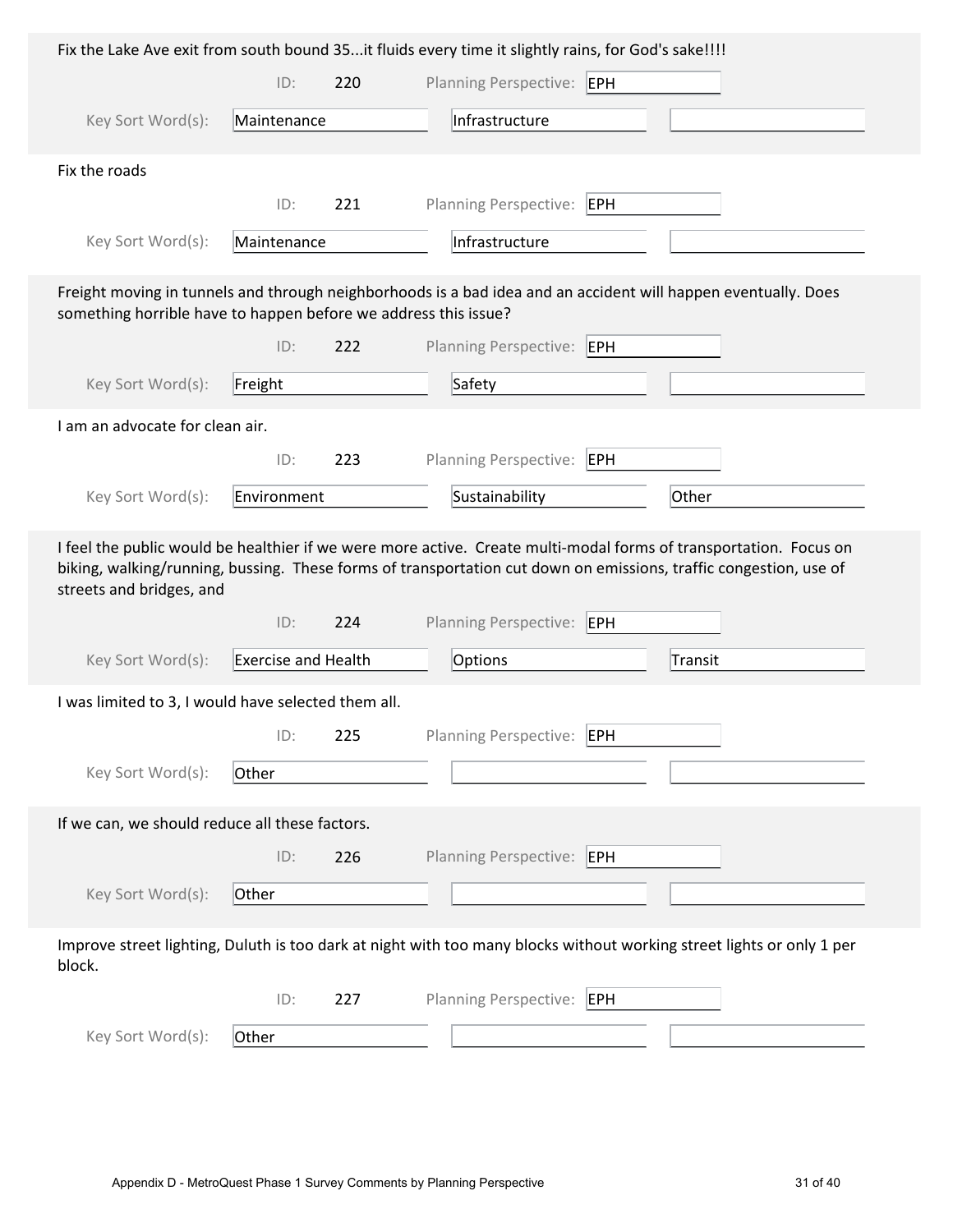|                                                                 |                            |     | Fix the Lake Ave exit from south bound 35it fluids every time it slightly rains, for God's sake!!!!                                                                                                                                                                           |         |
|-----------------------------------------------------------------|----------------------------|-----|-------------------------------------------------------------------------------------------------------------------------------------------------------------------------------------------------------------------------------------------------------------------------------|---------|
|                                                                 | ID:                        | 220 | Planning Perspective: EPH                                                                                                                                                                                                                                                     |         |
| Key Sort Word(s):                                               | Maintenance                |     | Infrastructure                                                                                                                                                                                                                                                                |         |
| Fix the roads                                                   |                            |     |                                                                                                                                                                                                                                                                               |         |
|                                                                 | ID:                        | 221 | <b>Planning Perspective:</b><br>EPH                                                                                                                                                                                                                                           |         |
| Key Sort Word(s):                                               | Maintenance                |     | Infrastructure                                                                                                                                                                                                                                                                |         |
| something horrible have to happen before we address this issue? |                            |     | Freight moving in tunnels and through neighborhoods is a bad idea and an accident will happen eventually. Does                                                                                                                                                                |         |
|                                                                 | ID:                        | 222 | <b>Planning Perspective:</b><br>EPH                                                                                                                                                                                                                                           |         |
| Key Sort Word(s):                                               | Freight                    |     | Safety                                                                                                                                                                                                                                                                        |         |
| I am an advocate for clean air.                                 |                            |     |                                                                                                                                                                                                                                                                               |         |
|                                                                 | ID:                        | 223 | Planning Perspective:<br>EPH                                                                                                                                                                                                                                                  |         |
| Key Sort Word(s):                                               | Environment                |     | Sustainability                                                                                                                                                                                                                                                                | Other   |
|                                                                 |                            |     |                                                                                                                                                                                                                                                                               |         |
| streets and bridges, and                                        | ID:                        | 224 | I feel the public would be healthier if we were more active. Create multi-modal forms of transportation. Focus on<br>biking, walking/running, bussing. These forms of transportation cut down on emissions, traffic congestion, use of<br><b>Planning Perspective:</b><br>EPH |         |
| Key Sort Word(s):                                               | <b>Exercise and Health</b> |     | Options                                                                                                                                                                                                                                                                       | Transit |
| I was limited to 3, I would have selected them all.             |                            |     |                                                                                                                                                                                                                                                                               |         |
|                                                                 | ID:                        | 225 | Planning Perspective:<br>EPH                                                                                                                                                                                                                                                  |         |
| Key Sort Word(s):                                               | Other                      |     |                                                                                                                                                                                                                                                                               |         |
| If we can, we should reduce all these factors.                  |                            |     |                                                                                                                                                                                                                                                                               |         |
|                                                                 | ID:                        | 226 | <b>Planning Perspective:</b><br><b>EPH</b>                                                                                                                                                                                                                                    |         |
| Key Sort Word(s):                                               | Other                      |     |                                                                                                                                                                                                                                                                               |         |
| block.                                                          |                            |     | Improve street lighting, Duluth is too dark at night with too many blocks without working street lights or only 1 per                                                                                                                                                         |         |
|                                                                 | ID:                        | 227 | Planning Perspective:<br><b>EPH</b>                                                                                                                                                                                                                                           |         |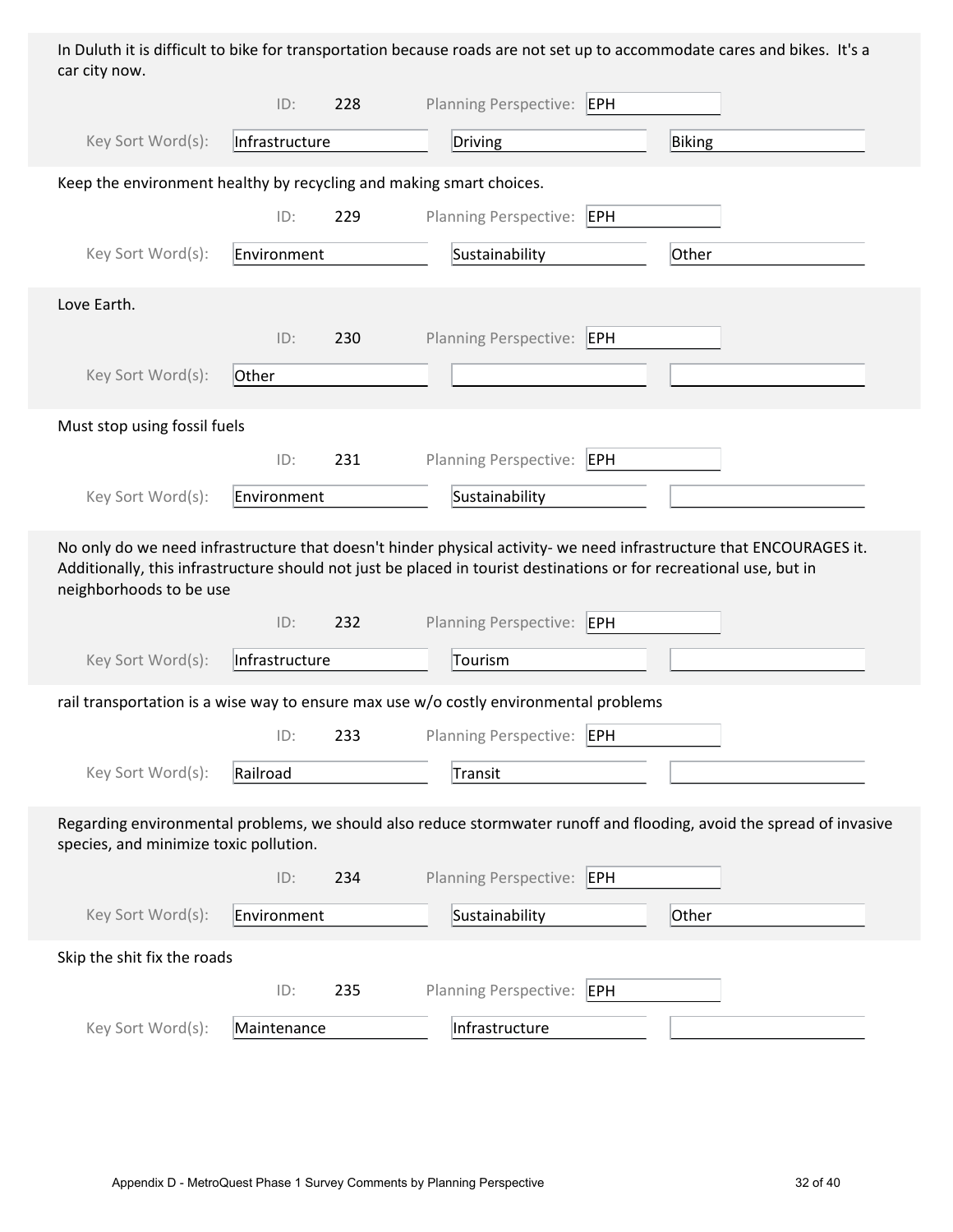In Duluth it is difficult to bike for transportation because roads are not set up to accommodate cares and bikes. It's a car city now.

|                                                                                                                                                                                                                                                                       | ID:            | 228 | Planning Perspective: EPH    |            |        |  |
|-----------------------------------------------------------------------------------------------------------------------------------------------------------------------------------------------------------------------------------------------------------------------|----------------|-----|------------------------------|------------|--------|--|
| Key Sort Word(s):                                                                                                                                                                                                                                                     | Infrastructure |     | Driving                      |            | Biking |  |
| Keep the environment healthy by recycling and making smart choices.                                                                                                                                                                                                   |                |     |                              |            |        |  |
|                                                                                                                                                                                                                                                                       | ID:            | 229 | Planning Perspective:        | EPH        |        |  |
| Key Sort Word(s):                                                                                                                                                                                                                                                     | Environment    |     | Sustainability               |            | Other  |  |
| Love Earth.                                                                                                                                                                                                                                                           |                |     |                              |            |        |  |
|                                                                                                                                                                                                                                                                       | ID:            | 230 | Planning Perspective: EPH    |            |        |  |
| Key Sort Word(s):                                                                                                                                                                                                                                                     | Other          |     |                              |            |        |  |
| Must stop using fossil fuels                                                                                                                                                                                                                                          |                |     |                              |            |        |  |
|                                                                                                                                                                                                                                                                       | ID:            | 231 | Planning Perspective: EPH    |            |        |  |
| Key Sort Word(s):                                                                                                                                                                                                                                                     | Environment    |     | Sustainability               |            |        |  |
| No only do we need infrastructure that doesn't hinder physical activity- we need infrastructure that ENCOURAGES it.<br>Additionally, this infrastructure should not just be placed in tourist destinations or for recreational use, but in<br>neighborhoods to be use |                |     |                              |            |        |  |
|                                                                                                                                                                                                                                                                       | ID:            | 232 | <b>Planning Perspective:</b> | <b>EPH</b> |        |  |
| Key Sort Word(s):                                                                                                                                                                                                                                                     | Infrastructure |     | Tourism                      |            |        |  |
| rail transportation is a wise way to ensure max use w/o costly environmental problems                                                                                                                                                                                 |                |     |                              |            |        |  |
|                                                                                                                                                                                                                                                                       | ID:            | 233 | <b>Planning Perspective:</b> | EPH        |        |  |
| Key Sort Word(s):                                                                                                                                                                                                                                                     | Railroad       |     | Transit                      |            |        |  |
| Regarding environmental problems, we should also reduce stormwater runoff and flooding, avoid the spread of invasive<br>species, and minimize toxic pollution.                                                                                                        |                |     |                              |            |        |  |
|                                                                                                                                                                                                                                                                       | ID:            | 234 | <b>Planning Perspective:</b> | EPH        |        |  |
| Key Sort Word(s):                                                                                                                                                                                                                                                     | Environment    |     | Sustainability               |            | Other  |  |
| Skip the shit fix the roads                                                                                                                                                                                                                                           |                |     |                              |            |        |  |
|                                                                                                                                                                                                                                                                       | ID:            | 235 | Planning Perspective:        | EPH        |        |  |
| Key Sort Word(s):                                                                                                                                                                                                                                                     | Maintenance    |     | Infrastructure               |            |        |  |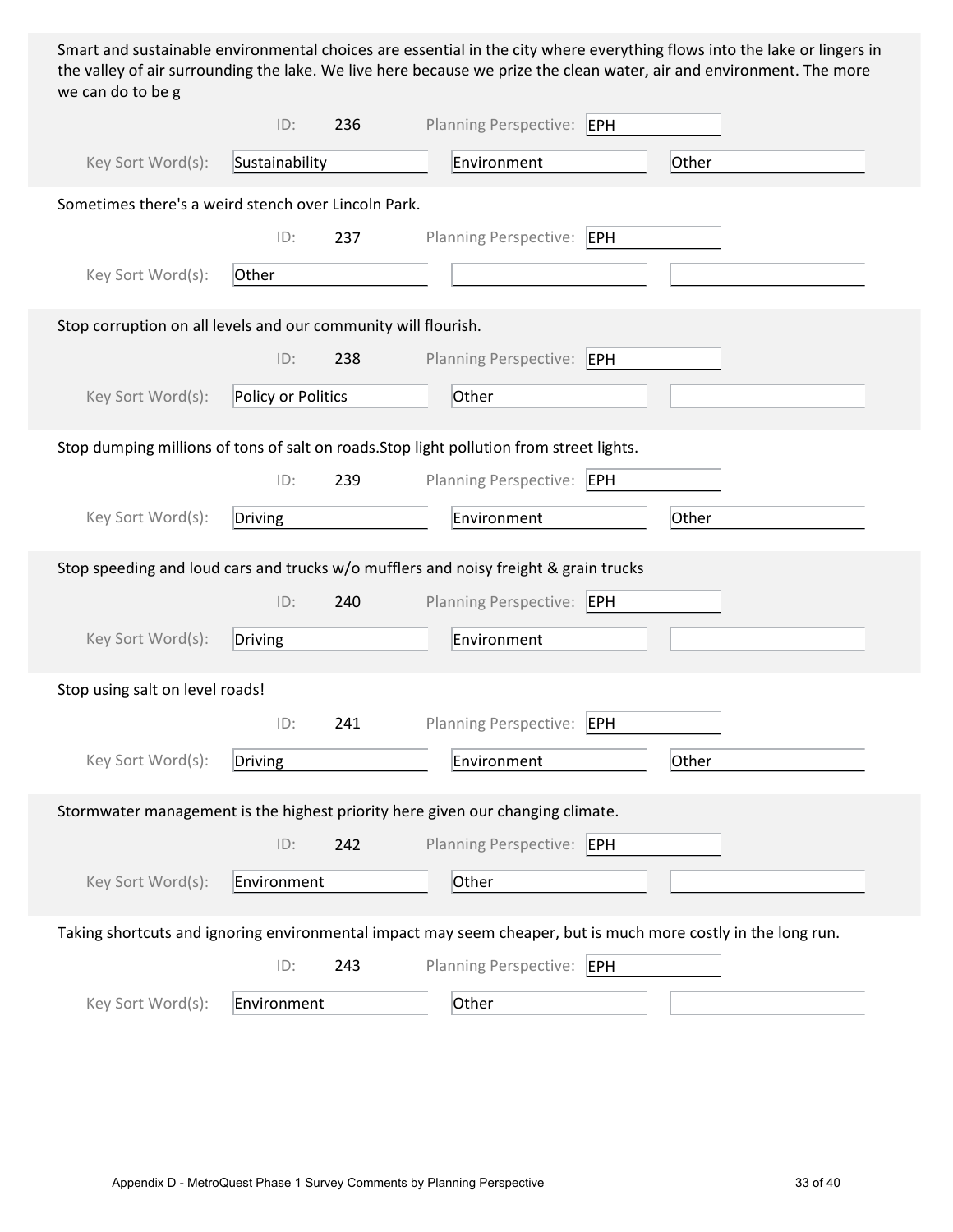Smart and sustainable environmental choices are essential in the city where everything flows into the lake or lingers in the valley of air surrounding the lake. We live here because we prize the clean water, air and environment. The more we can do to be g

|                                                                | ID:                | 236 | <b>Planning Perspective:</b><br>EPH                                                                           |       |
|----------------------------------------------------------------|--------------------|-----|---------------------------------------------------------------------------------------------------------------|-------|
| Key Sort Word(s):                                              | Sustainability     |     | Environment                                                                                                   | Other |
| Sometimes there's a weird stench over Lincoln Park.            |                    |     |                                                                                                               |       |
|                                                                | ID:                | 237 | <b>Planning Perspective:</b><br>EPH                                                                           |       |
| Key Sort Word(s):                                              | Other              |     |                                                                                                               |       |
| Stop corruption on all levels and our community will flourish. |                    |     |                                                                                                               |       |
|                                                                | ID:                | 238 | Planning Perspective: EPH                                                                                     |       |
| Key Sort Word(s):                                              | Policy or Politics |     | Other                                                                                                         |       |
|                                                                |                    |     | Stop dumping millions of tons of salt on roads. Stop light pollution from street lights.                      |       |
|                                                                | ID:                | 239 | Planning Perspective: EPH                                                                                     |       |
| Key Sort Word(s):                                              | Driving            |     | Environment                                                                                                   | Other |
|                                                                |                    |     | Stop speeding and loud cars and trucks w/o mufflers and noisy freight & grain trucks                          |       |
|                                                                | ID:                | 240 | Planning Perspective: EPH                                                                                     |       |
| Key Sort Word(s):                                              | Driving            |     | Environment                                                                                                   |       |
| Stop using salt on level roads!                                |                    |     |                                                                                                               |       |
|                                                                | ID:                | 241 | <b>Planning Perspective:</b><br>EPH                                                                           |       |
| Key Sort Word(s):                                              | Driving            |     | Environment                                                                                                   | Other |
|                                                                |                    |     | Stormwater management is the highest priority here given our changing climate.                                |       |
|                                                                | ID:                | 242 | Planning Perspective: EPH                                                                                     |       |
| Key Sort Word(s):                                              | Environment        |     | Other                                                                                                         |       |
|                                                                |                    |     | Taking shortcuts and ignoring environmental impact may seem cheaper, but is much more costly in the long run. |       |
|                                                                | ID:                | 243 | Planning Perspective: EPH                                                                                     |       |
| Key Sort Word(s):                                              | Environment        |     | Other                                                                                                         |       |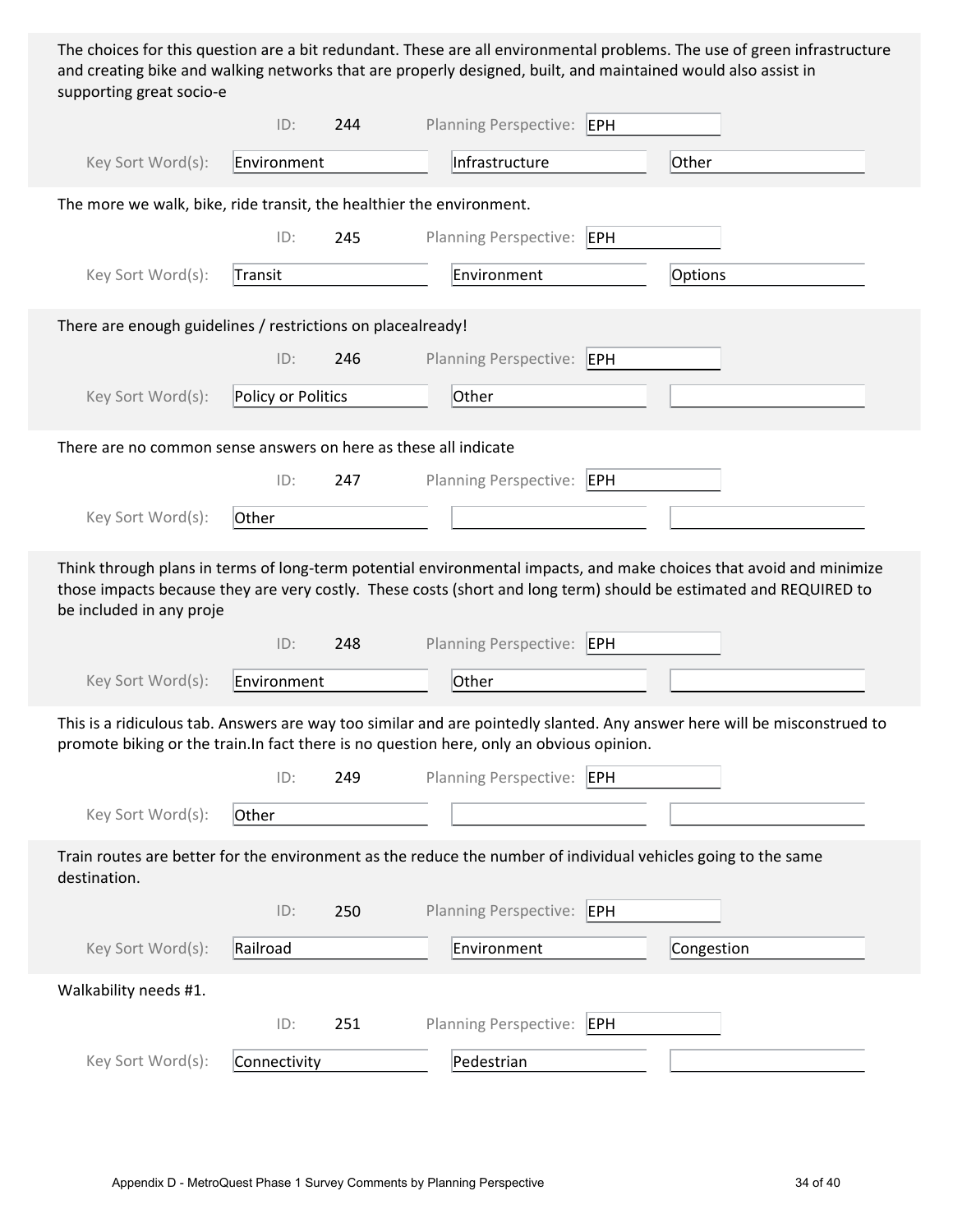The choices for this question are a bit redundant. These are all environmental problems. The use of green infrastructure and creating bike and walking networks that are properly designed, built, and maintained would also assist in supporting great socio-e

|                                                                                                                                                                                                                                                                      | ID:                | 244 | <b>Planning Perspective:</b> | EPH |            |  |
|----------------------------------------------------------------------------------------------------------------------------------------------------------------------------------------------------------------------------------------------------------------------|--------------------|-----|------------------------------|-----|------------|--|
| Key Sort Word(s):                                                                                                                                                                                                                                                    | Environment        |     | Infrastructure               |     | Other      |  |
| The more we walk, bike, ride transit, the healthier the environment.                                                                                                                                                                                                 |                    |     |                              |     |            |  |
|                                                                                                                                                                                                                                                                      | ID:                | 245 | Planning Perspective:        | EPH |            |  |
| Key Sort Word(s):                                                                                                                                                                                                                                                    | Transit            |     | Environment                  |     | Options    |  |
| There are enough guidelines / restrictions on placealready!                                                                                                                                                                                                          |                    |     |                              |     |            |  |
|                                                                                                                                                                                                                                                                      | ID:                | 246 | <b>Planning Perspective:</b> | EPH |            |  |
| Key Sort Word(s):                                                                                                                                                                                                                                                    | Policy or Politics |     | Other                        |     |            |  |
| There are no common sense answers on here as these all indicate                                                                                                                                                                                                      |                    |     |                              |     |            |  |
|                                                                                                                                                                                                                                                                      | ID:                | 247 | Planning Perspective:        | EPH |            |  |
| Key Sort Word(s):                                                                                                                                                                                                                                                    | Other              |     |                              |     |            |  |
| Think through plans in terms of long-term potential environmental impacts, and make choices that avoid and minimize<br>those impacts because they are very costly. These costs (short and long term) should be estimated and REQUIRED to<br>be included in any proje |                    |     |                              |     |            |  |
|                                                                                                                                                                                                                                                                      | ID:                | 248 | Planning Perspective: EPH    |     |            |  |
| Key Sort Word(s):                                                                                                                                                                                                                                                    | Environment        |     | Other                        |     |            |  |
| This is a ridiculous tab. Answers are way too similar and are pointedly slanted. Any answer here will be misconstrued to<br>promote biking or the train. In fact there is no question here, only an obvious opinion.                                                 |                    |     |                              |     |            |  |
|                                                                                                                                                                                                                                                                      | ID:                | 249 | <b>Planning Perspective:</b> | EPH |            |  |
| Key Sort Word(s):                                                                                                                                                                                                                                                    | Other              |     |                              |     |            |  |
| Train routes are better for the environment as the reduce the number of individual vehicles going to the same<br>destination.                                                                                                                                        |                    |     |                              |     |            |  |
|                                                                                                                                                                                                                                                                      | ID:                | 250 | Planning Perspective:        | EPH |            |  |
| Key Sort Word(s):                                                                                                                                                                                                                                                    | Railroad           |     | Environment                  |     | Congestion |  |
| Walkability needs #1.                                                                                                                                                                                                                                                |                    |     |                              |     |            |  |
|                                                                                                                                                                                                                                                                      | ID:                | 251 | Planning Perspective: EPH    |     |            |  |
| Key Sort Word(s):                                                                                                                                                                                                                                                    | Connectivity       |     | Pedestrian                   |     |            |  |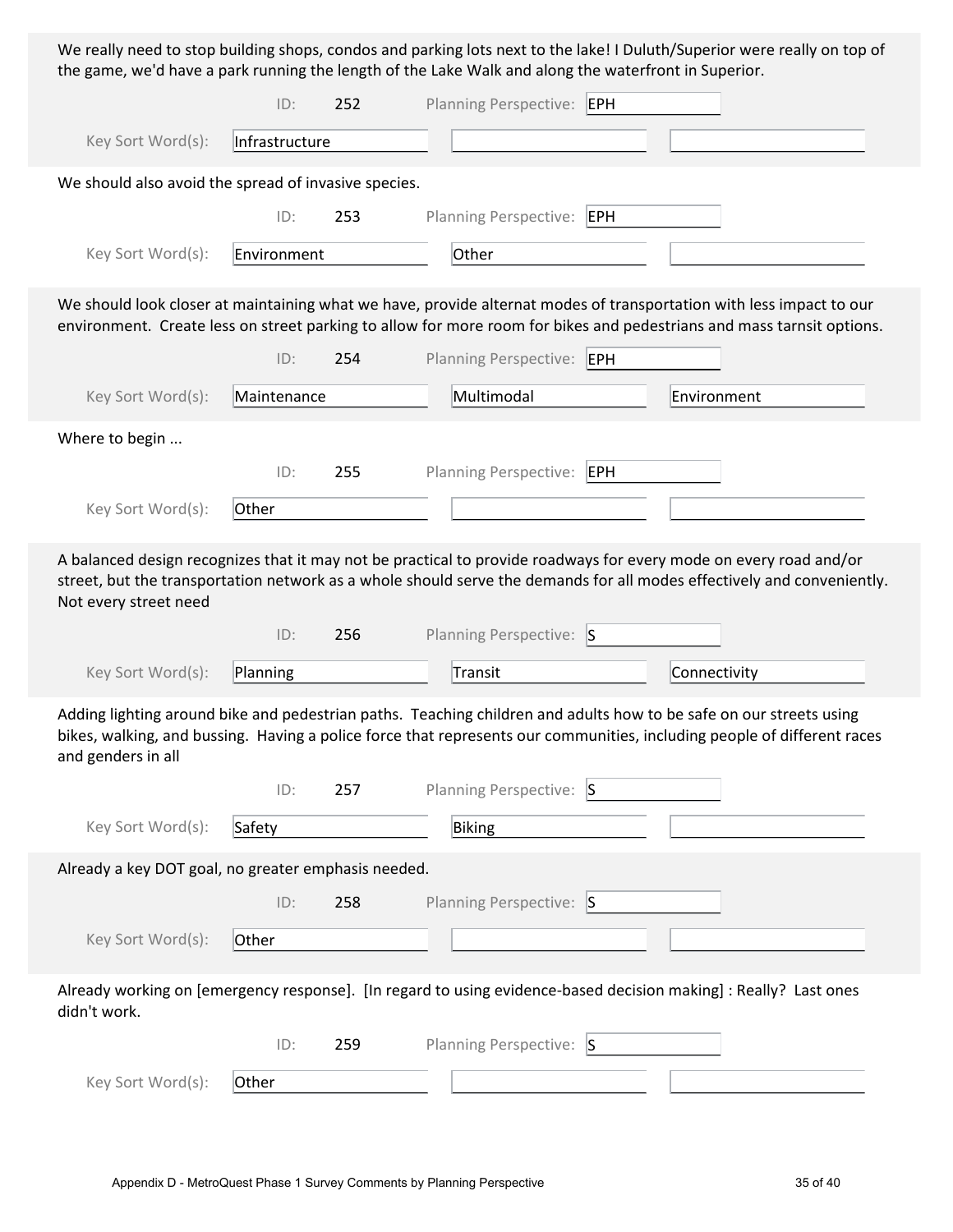We really need to stop building shops, condos and parking lots next to the lake! I Duluth/Superior were really on top of the game, we'd have a park running the length of the Lake Walk and along the waterfront in Superior.

|                                                      | ID:            | 252 | Planning Perspective: EPH |                                                                                                                                                                                                                                               |
|------------------------------------------------------|----------------|-----|---------------------------|-----------------------------------------------------------------------------------------------------------------------------------------------------------------------------------------------------------------------------------------------|
| Key Sort Word(s):                                    | Infrastructure |     |                           |                                                                                                                                                                                                                                               |
| We should also avoid the spread of invasive species. |                |     |                           |                                                                                                                                                                                                                                               |
|                                                      | ID:            | 253 | Planning Perspective: EPH |                                                                                                                                                                                                                                               |
| Key Sort Word(s):                                    | Environment    |     | Other                     |                                                                                                                                                                                                                                               |
|                                                      |                |     |                           | We should look closer at maintaining what we have, provide alternat modes of transportation with less impact to our<br>environment. Create less on street parking to allow for more room for bikes and pedestrians and mass tarnsit options.  |
|                                                      | ID:            | 254 | Planning Perspective: EPH |                                                                                                                                                                                                                                               |
| Key Sort Word(s):                                    | Maintenance    |     | Multimodal                | Environment                                                                                                                                                                                                                                   |
| Where to begin                                       |                |     |                           |                                                                                                                                                                                                                                               |
|                                                      | ID:            | 255 | Planning Perspective: EPH |                                                                                                                                                                                                                                               |
| Key Sort Word(s):                                    | Other          |     |                           |                                                                                                                                                                                                                                               |
| Not every street need                                |                |     |                           | A balanced design recognizes that it may not be practical to provide roadways for every mode on every road and/or<br>street, but the transportation network as a whole should serve the demands for all modes effectively and conveniently.   |
|                                                      |                |     |                           |                                                                                                                                                                                                                                               |
|                                                      | ID:            | 256 | Planning Perspective: S   |                                                                                                                                                                                                                                               |
| Key Sort Word(s):                                    | Planning       |     | Transit                   | Connectivity                                                                                                                                                                                                                                  |
| and genders in all                                   |                |     |                           | Adding lighting around bike and pedestrian paths. Teaching children and adults how to be safe on our streets using<br>bikes, walking, and bussing. Having a police force that represents our communities, including people of different races |
|                                                      | ID:            | 257 | Planning Perspective: S   |                                                                                                                                                                                                                                               |
| Key Sort Word(s):                                    | Safety         |     | Biking                    |                                                                                                                                                                                                                                               |
| Already a key DOT goal, no greater emphasis needed.  |                |     |                           |                                                                                                                                                                                                                                               |
|                                                      | ID:            | 258 | Planning Perspective: S   |                                                                                                                                                                                                                                               |
| Key Sort Word(s):                                    | Other          |     |                           |                                                                                                                                                                                                                                               |
| didn't work.                                         |                |     |                           | Already working on [emergency response]. [In regard to using evidence-based decision making]: Really? Last ones                                                                                                                               |
|                                                      | ID:            | 259 | Planning Perspective: S   |                                                                                                                                                                                                                                               |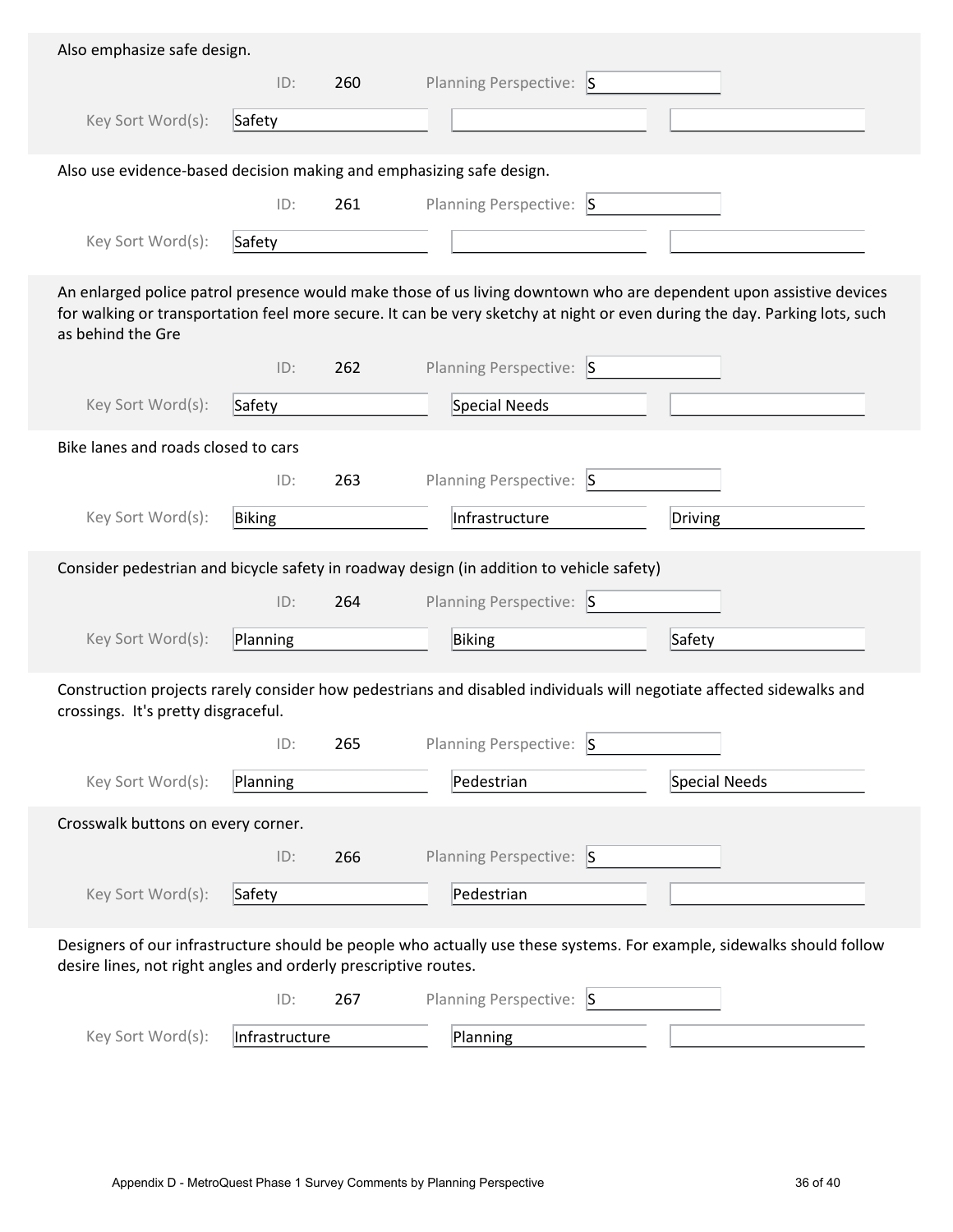| Also emphasize safe design.                                          |          |     |                                                                                                                                                                                                                                                  |               |
|----------------------------------------------------------------------|----------|-----|--------------------------------------------------------------------------------------------------------------------------------------------------------------------------------------------------------------------------------------------------|---------------|
|                                                                      | ID:      | 260 | Planning Perspective: S                                                                                                                                                                                                                          |               |
| Key Sort Word(s):                                                    | Safety   |     |                                                                                                                                                                                                                                                  |               |
|                                                                      |          |     |                                                                                                                                                                                                                                                  |               |
| Also use evidence-based decision making and emphasizing safe design. |          |     |                                                                                                                                                                                                                                                  |               |
|                                                                      | ID:      | 261 | Planning Perspective: S                                                                                                                                                                                                                          |               |
| Key Sort Word(s):                                                    | Safety   |     |                                                                                                                                                                                                                                                  |               |
| as behind the Gre                                                    |          |     | An enlarged police patrol presence would make those of us living downtown who are dependent upon assistive devices<br>for walking or transportation feel more secure. It can be very sketchy at night or even during the day. Parking lots, such |               |
|                                                                      | ID:      | 262 | Planning Perspective: S                                                                                                                                                                                                                          |               |
| Key Sort Word(s):                                                    | Safety   |     | Special Needs                                                                                                                                                                                                                                    |               |
| Bike lanes and roads closed to cars                                  |          |     |                                                                                                                                                                                                                                                  |               |
|                                                                      | ID:      | 263 | <b>Planning Perspective:</b><br>$\vert S \vert$                                                                                                                                                                                                  |               |
| Key Sort Word(s):                                                    | Biking   |     | Infrastructure                                                                                                                                                                                                                                   | Driving       |
|                                                                      |          |     |                                                                                                                                                                                                                                                  |               |
|                                                                      |          |     | Consider pedestrian and bicycle safety in roadway design (in addition to vehicle safety)                                                                                                                                                         |               |
|                                                                      | ID:      | 264 | Planning Perspective: S                                                                                                                                                                                                                          |               |
| Key Sort Word(s):                                                    | Planning |     | Biking                                                                                                                                                                                                                                           | Safety        |
| crossings. It's pretty disgraceful.                                  | ID:      | 265 | Construction projects rarely consider how pedestrians and disabled individuals will negotiate affected sidewalks and<br><b>Planning Perspective:</b><br>$\vert$ S<br>Pedestrian                                                                  |               |
| Key Sort Word(s):                                                    | Planning |     |                                                                                                                                                                                                                                                  | Special Needs |
| Crosswalk buttons on every corner.                                   |          |     |                                                                                                                                                                                                                                                  |               |
|                                                                      | ID:      | 266 | Planning Perspective: S                                                                                                                                                                                                                          |               |
| Key Sort Word(s):                                                    | Safety   |     | Pedestrian                                                                                                                                                                                                                                       |               |
| desire lines, not right angles and orderly prescriptive routes.      |          |     | Designers of our infrastructure should be people who actually use these systems. For example, sidewalks should follow                                                                                                                            |               |
|                                                                      | ID:      | 267 | Planning Perspective: S                                                                                                                                                                                                                          |               |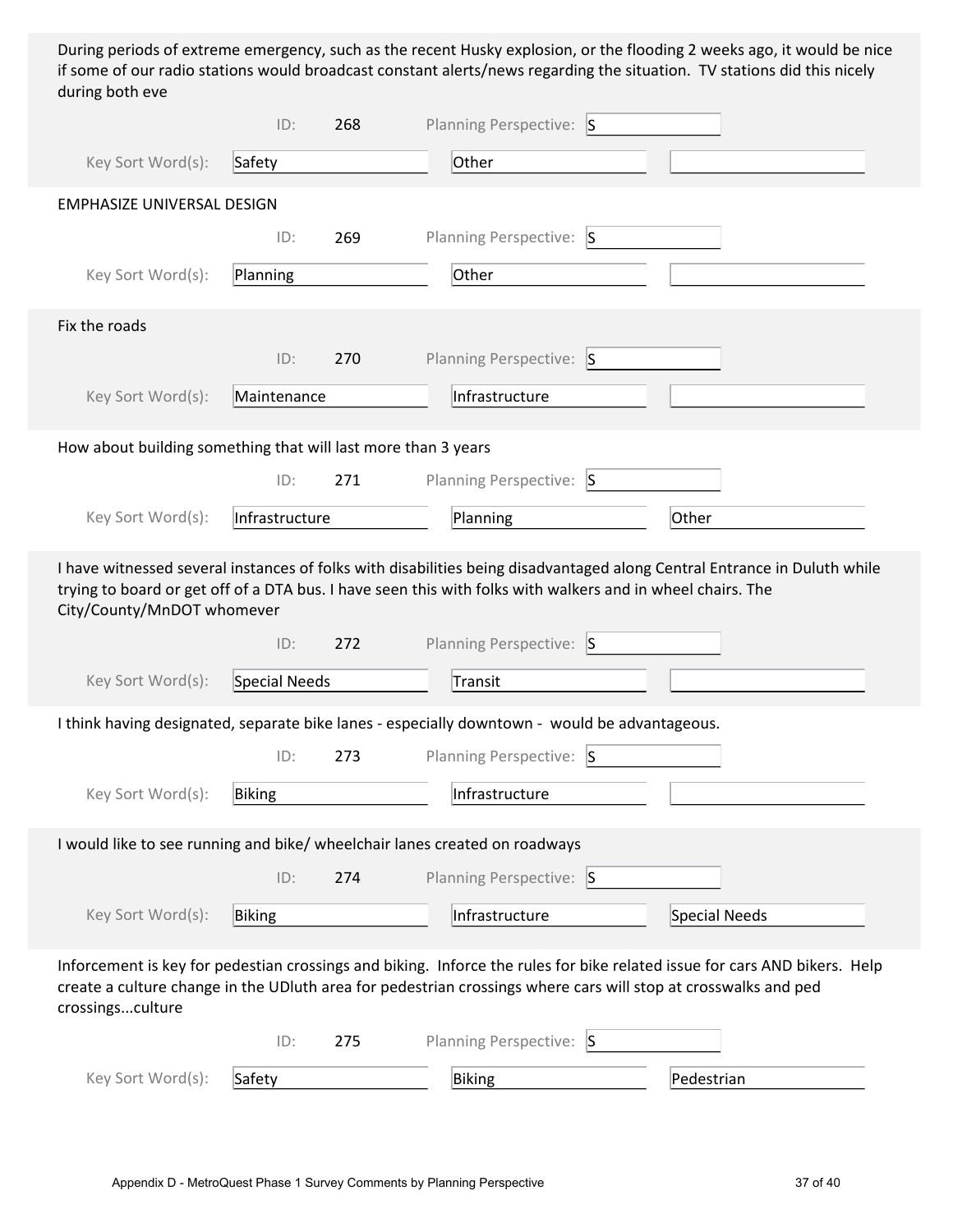During periods of extreme emergency, such as the recent Husky explosion, or the flooding 2 weeks ago, it would be nice if some of our radio stations would broadcast constant alerts/news regarding the situation. TV stations did this nicely during both eve

|                                                               | ID:            | 268 | Planning Perspective: S                                                                                                                                                                                                                     |               |
|---------------------------------------------------------------|----------------|-----|---------------------------------------------------------------------------------------------------------------------------------------------------------------------------------------------------------------------------------------------|---------------|
| Key Sort Word(s):                                             | Safety         |     | Other                                                                                                                                                                                                                                       |               |
| <b>EMPHASIZE UNIVERSAL DESIGN</b>                             |                |     |                                                                                                                                                                                                                                             |               |
|                                                               | ID:            | 269 | Planning Perspective: S                                                                                                                                                                                                                     |               |
| Key Sort Word(s):                                             | Planning       |     | Other                                                                                                                                                                                                                                       |               |
| Fix the roads                                                 |                |     |                                                                                                                                                                                                                                             |               |
|                                                               | ID:            | 270 | Planning Perspective: S                                                                                                                                                                                                                     |               |
| Key Sort Word(s):                                             | Maintenance    |     | Infrastructure                                                                                                                                                                                                                              |               |
| How about building something that will last more than 3 years |                |     |                                                                                                                                                                                                                                             |               |
|                                                               | ID:            | 271 | Planning Perspective: S                                                                                                                                                                                                                     |               |
| Key Sort Word(s):                                             | Infrastructure |     | Planning                                                                                                                                                                                                                                    | Other         |
| City/County/MnDOT whomever                                    |                |     | I have witnessed several instances of folks with disabilities being disadvantaged along Central Entrance in Duluth while<br>trying to board or get off of a DTA bus. I have seen this with folks with walkers and in wheel chairs. The      |               |
|                                                               | ID:            | 272 | Planning Perspective: S                                                                                                                                                                                                                     |               |
| Key Sort Word(s):                                             | Special Needs  |     | Transit                                                                                                                                                                                                                                     |               |
|                                                               |                |     | I think having designated, separate bike lanes - especially downtown - would be advantageous.                                                                                                                                               |               |
|                                                               | ID:            | 273 | Planning Perspective: S                                                                                                                                                                                                                     |               |
| Key Sort Word(s):                                             | Biking         |     | Infrastructure                                                                                                                                                                                                                              |               |
|                                                               |                |     | I would like to see running and bike/ wheelchair lanes created on roadways                                                                                                                                                                  |               |
|                                                               | ID:            | 274 | Planning Perspective: S                                                                                                                                                                                                                     |               |
| Key Sort Word(s):                                             | Biking         |     | Infrastructure                                                                                                                                                                                                                              | Special Needs |
| crossingsculture                                              |                |     | Inforcement is key for pedestian crossings and biking. Inforce the rules for bike related issue for cars AND bikers. Help<br>create a culture change in the UDIuth area for pedestrian crossings where cars will stop at crosswalks and ped |               |
|                                                               | ID:            | 275 | Planning Perspective: S                                                                                                                                                                                                                     |               |
| Key Sort Word(s):                                             | Safety         |     | Biking                                                                                                                                                                                                                                      | Pedestrian    |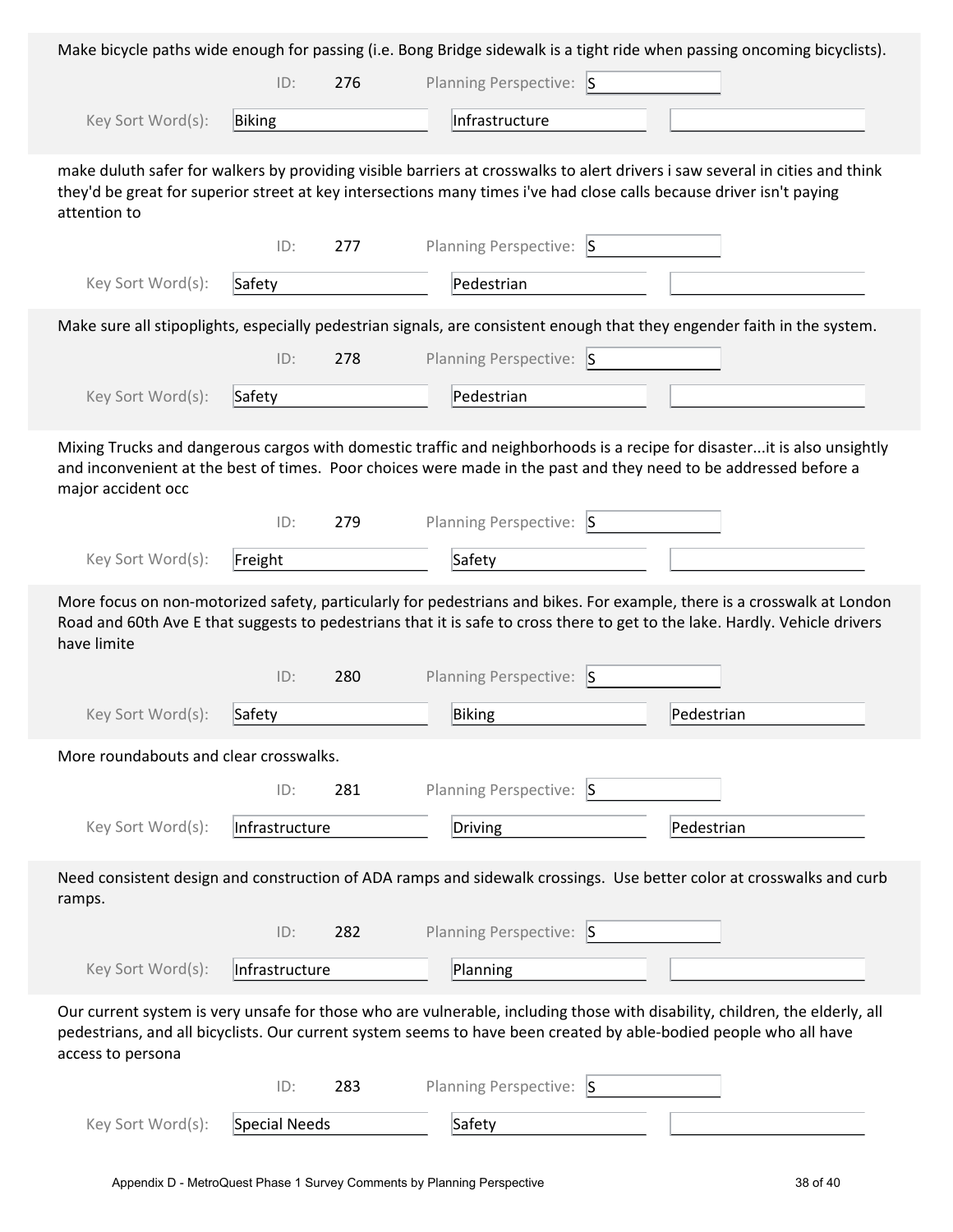|                                        |                |     |                         | Make bicycle paths wide enough for passing (i.e. Bong Bridge sidewalk is a tight ride when passing oncoming bicyclists).                                                                                                                               |  |
|----------------------------------------|----------------|-----|-------------------------|--------------------------------------------------------------------------------------------------------------------------------------------------------------------------------------------------------------------------------------------------------|--|
|                                        | ID:            | 276 | Planning Perspective: S |                                                                                                                                                                                                                                                        |  |
| Key Sort Word(s):                      | Biking         |     | Infrastructure          |                                                                                                                                                                                                                                                        |  |
| attention to                           |                |     |                         | make duluth safer for walkers by providing visible barriers at crosswalks to alert drivers i saw several in cities and think<br>they'd be great for superior street at key intersections many times i've had close calls because driver isn't paying   |  |
|                                        | ID:            | 277 | Planning Perspective: S |                                                                                                                                                                                                                                                        |  |
| Key Sort Word(s):                      | Safety         |     | Pedestrian              |                                                                                                                                                                                                                                                        |  |
|                                        |                |     |                         | Make sure all stipoplights, especially pedestrian signals, are consistent enough that they engender faith in the system.                                                                                                                               |  |
|                                        | ID:            | 278 | Planning Perspective: S |                                                                                                                                                                                                                                                        |  |
| Key Sort Word(s):                      | Safety         |     | Pedestrian              |                                                                                                                                                                                                                                                        |  |
| major accident occ                     |                |     |                         | Mixing Trucks and dangerous cargos with domestic traffic and neighborhoods is a recipe for disasterit is also unsightly<br>and inconvenient at the best of times. Poor choices were made in the past and they need to be addressed before a            |  |
|                                        | ID:            | 279 | Planning Perspective: S |                                                                                                                                                                                                                                                        |  |
| Key Sort Word(s):                      | Freight        |     | Safety                  |                                                                                                                                                                                                                                                        |  |
| have limite                            |                |     |                         | More focus on non-motorized safety, particularly for pedestrians and bikes. For example, there is a crosswalk at London<br>Road and 60th Ave E that suggests to pedestrians that it is safe to cross there to get to the lake. Hardly. Vehicle drivers |  |
|                                        |                |     |                         |                                                                                                                                                                                                                                                        |  |
|                                        | ID:            | 280 | Planning Perspective: S |                                                                                                                                                                                                                                                        |  |
| Key Sort Word(s):                      | Safety         |     | <b>Biking</b>           | Pedestrian                                                                                                                                                                                                                                             |  |
| More roundabouts and clear crosswalks. |                |     |                         |                                                                                                                                                                                                                                                        |  |
|                                        | ID:            | 281 | Planning Perspective: S |                                                                                                                                                                                                                                                        |  |
| Key Sort Word(s):                      | Infrastructure |     | <b>Driving</b>          | Pedestrian                                                                                                                                                                                                                                             |  |
| ramps.                                 |                |     |                         | Need consistent design and construction of ADA ramps and sidewalk crossings. Use better color at crosswalks and curb                                                                                                                                   |  |
|                                        | ID:            | 282 | Planning Perspective: S |                                                                                                                                                                                                                                                        |  |
| Key Sort Word(s):                      | Infrastructure |     | Planning                |                                                                                                                                                                                                                                                        |  |
| access to persona                      |                |     |                         | Our current system is very unsafe for those who are vulnerable, including those with disability, children, the elderly, all<br>pedestrians, and all bicyclists. Our current system seems to have been created by able-bodied people who all have       |  |
|                                        | ID:            | 283 | Planning Perspective: S |                                                                                                                                                                                                                                                        |  |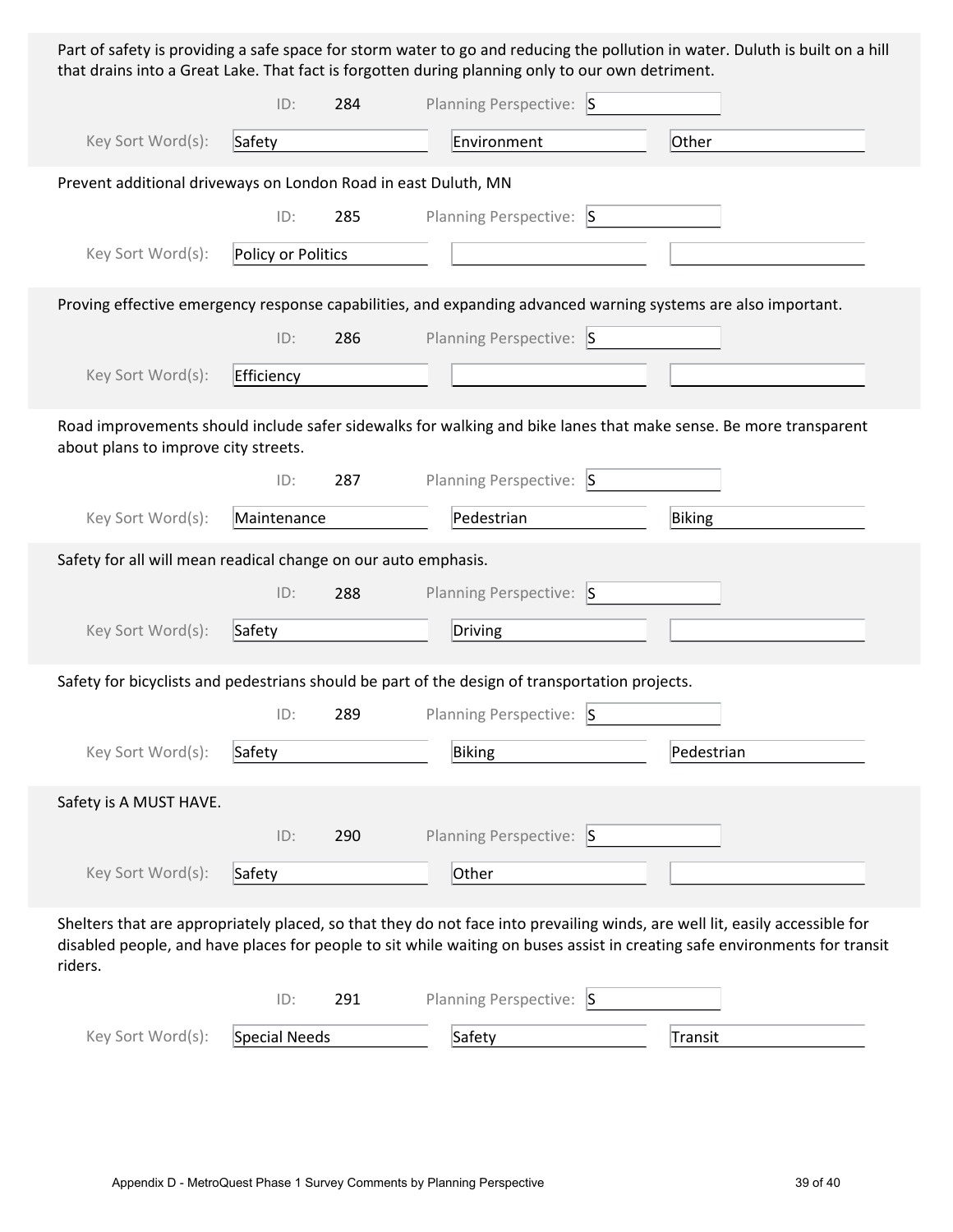Part of safety is providing a safe space for storm water to go and reducing the pollution in water. Duluth is built on a hill that drains into a Great Lake. That fact is forgotten during planning only to our own detriment.

|                                                                | ID:                | 284 | Planning Perspective: S                                                                        |                                                                                                                                                                                                                                                           |
|----------------------------------------------------------------|--------------------|-----|------------------------------------------------------------------------------------------------|-----------------------------------------------------------------------------------------------------------------------------------------------------------------------------------------------------------------------------------------------------------|
| Key Sort Word(s):                                              | Safety             |     | Environment                                                                                    | Other                                                                                                                                                                                                                                                     |
| Prevent additional driveways on London Road in east Duluth, MN |                    |     |                                                                                                |                                                                                                                                                                                                                                                           |
|                                                                | ID:                | 285 | Planning Perspective: S                                                                        |                                                                                                                                                                                                                                                           |
| Key Sort Word(s):                                              | Policy or Politics |     |                                                                                                |                                                                                                                                                                                                                                                           |
|                                                                |                    |     |                                                                                                | Proving effective emergency response capabilities, and expanding advanced warning systems are also important.                                                                                                                                             |
|                                                                | ID:                | 286 | Planning Perspective: S                                                                        |                                                                                                                                                                                                                                                           |
| Key Sort Word(s):                                              | Efficiency         |     |                                                                                                |                                                                                                                                                                                                                                                           |
| about plans to improve city streets.                           |                    |     |                                                                                                | Road improvements should include safer sidewalks for walking and bike lanes that make sense. Be more transparent                                                                                                                                          |
|                                                                | ID:                | 287 | Planning Perspective: S                                                                        |                                                                                                                                                                                                                                                           |
| Key Sort Word(s):                                              | Maintenance        |     | Pedestrian                                                                                     | Biking                                                                                                                                                                                                                                                    |
| Safety for all will mean readical change on our auto emphasis. |                    |     |                                                                                                |                                                                                                                                                                                                                                                           |
|                                                                | ID:                | 288 | Planning Perspective: S                                                                        |                                                                                                                                                                                                                                                           |
| Key Sort Word(s):                                              | Safety             |     | Driving                                                                                        |                                                                                                                                                                                                                                                           |
|                                                                |                    |     | Safety for bicyclists and pedestrians should be part of the design of transportation projects. |                                                                                                                                                                                                                                                           |
|                                                                | ID:                | 289 | Planning Perspective: S                                                                        |                                                                                                                                                                                                                                                           |
| Key Sort Word(s):                                              | Safety             |     | Biking                                                                                         | Pedestrian                                                                                                                                                                                                                                                |
| Safety is A MUST HAVE.                                         |                    |     |                                                                                                |                                                                                                                                                                                                                                                           |
|                                                                | ID:                | 290 | Planning Perspective: S                                                                        |                                                                                                                                                                                                                                                           |
| Key Sort Word(s):                                              | Safety             |     | Other                                                                                          |                                                                                                                                                                                                                                                           |
| riders.                                                        |                    |     |                                                                                                | Shelters that are appropriately placed, so that they do not face into prevailing winds, are well lit, easily accessible for<br>disabled people, and have places for people to sit while waiting on buses assist in creating safe environments for transit |
|                                                                | ID:                | 291 | Planning Perspective: S                                                                        |                                                                                                                                                                                                                                                           |
| Key Sort Word(s):                                              | Special Needs      |     | Safety                                                                                         | Transit                                                                                                                                                                                                                                                   |